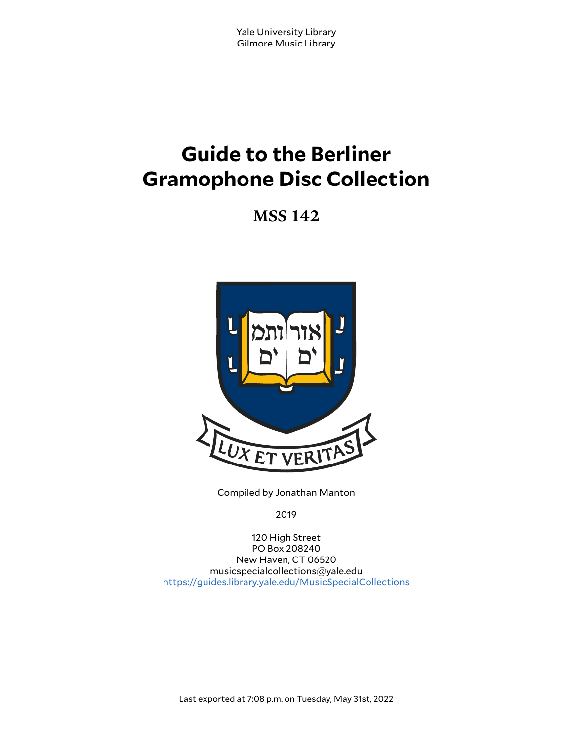# **Guide to the Berliner Gramophone Disc Collection**

**MSS 142**



Compiled by Jonathan Manton

2019

120 High Street PO Box 208240 New Haven, CT 06520 musicspecialcollections@yale.edu <https://guides.library.yale.edu/MusicSpecialCollections>

Last exported at 7:08 p.m. on Tuesday, May 31st, 2022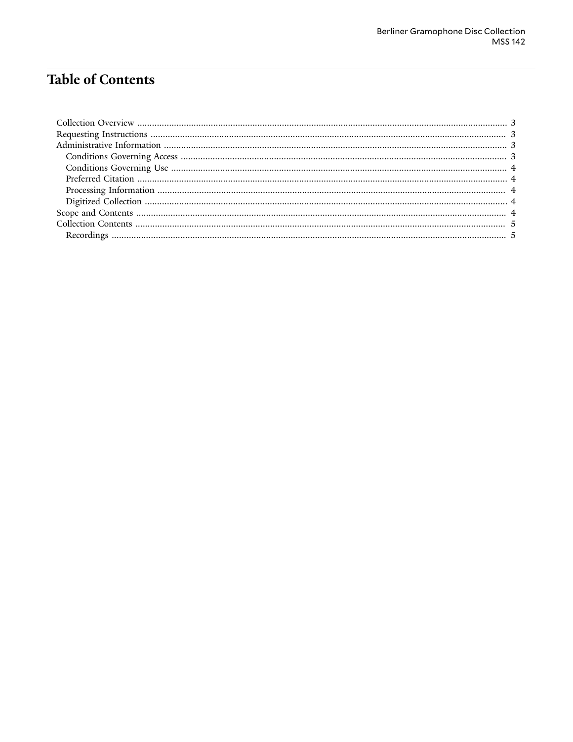# **Table of Contents**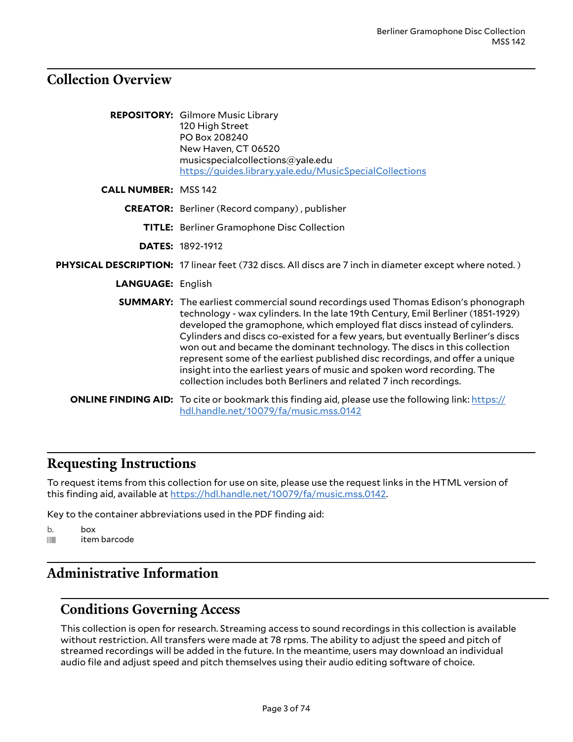#### <span id="page-2-0"></span>**Collection Overview**

|                             | <b>REPOSITORY:</b> Gilmore Music Library<br>120 High Street<br>PO Box 208240<br>New Haven, CT 06520<br>musicspecialcollections@yale.edu<br>https://guides.library.yale.edu/MusicSpecialCollections                                                                                                                                                                                                                                                                                                                                                                                                                                                      |
|-----------------------------|---------------------------------------------------------------------------------------------------------------------------------------------------------------------------------------------------------------------------------------------------------------------------------------------------------------------------------------------------------------------------------------------------------------------------------------------------------------------------------------------------------------------------------------------------------------------------------------------------------------------------------------------------------|
| <b>CALL NUMBER: MSS 142</b> |                                                                                                                                                                                                                                                                                                                                                                                                                                                                                                                                                                                                                                                         |
|                             | <b>CREATOR:</b> Berliner (Record company), publisher                                                                                                                                                                                                                                                                                                                                                                                                                                                                                                                                                                                                    |
|                             | <b>TITLE:</b> Berliner Gramophone Disc Collection                                                                                                                                                                                                                                                                                                                                                                                                                                                                                                                                                                                                       |
|                             | <b>DATES: 1892-1912</b>                                                                                                                                                                                                                                                                                                                                                                                                                                                                                                                                                                                                                                 |
|                             | PHYSICAL DESCRIPTION: 17 linear feet (732 discs. All discs are 7 inch in diameter except where noted.)                                                                                                                                                                                                                                                                                                                                                                                                                                                                                                                                                  |
| <b>LANGUAGE: English</b>    |                                                                                                                                                                                                                                                                                                                                                                                                                                                                                                                                                                                                                                                         |
|                             | <b>SUMMARY:</b> The earliest commercial sound recordings used Thomas Edison's phonograph<br>technology - wax cylinders. In the late 19th Century, Emil Berliner (1851-1929)<br>developed the gramophone, which employed flat discs instead of cylinders.<br>Cylinders and discs co-existed for a few years, but eventually Berliner's discs<br>won out and became the dominant technology. The discs in this collection<br>represent some of the earliest published disc recordings, and offer a unique<br>insight into the earliest years of music and spoken word recording. The<br>collection includes both Berliners and related 7 inch recordings. |
|                             | <b>ONLINE FINDING AID:</b> To cite or bookmark this finding aid, please use the following link: https://<br>hdl.handle.net/10079/fa/music.mss.0142                                                                                                                                                                                                                                                                                                                                                                                                                                                                                                      |

#### <span id="page-2-1"></span>**Requesting Instructions**

To request items from this collection for use on site, please use the request links in the HTML version of this finding aid, available at [https://hdl.handle.net/10079/fa/music.mss.0142.](https://hdl.handle.net/10079/fa/music.mss.0142)

Key to the container abbreviations used in the PDF finding aid:

```
b. box
ifferm barcode
```
#### <span id="page-2-2"></span>**Administrative Information**

#### <span id="page-2-3"></span>**Conditions Governing Access**

This collection is open for research. Streaming access to sound recordings in this collection is available without restriction. All transfers were made at 78 rpms. The ability to adjust the speed and pitch of streamed recordings will be added in the future. In the meantime, users may download an individual audio file and adjust speed and pitch themselves using their audio editing software of choice.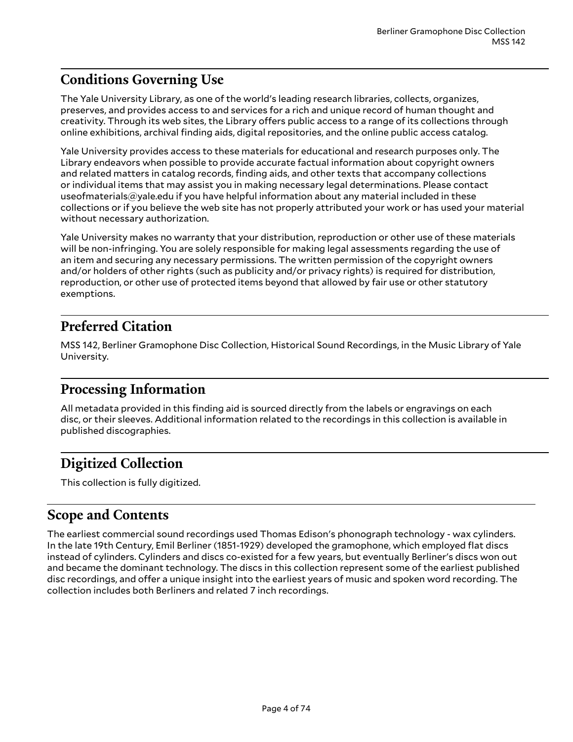### <span id="page-3-0"></span>**Conditions Governing Use**

The Yale University Library, as one of the world's leading research libraries, collects, organizes, preserves, and provides access to and services for a rich and unique record of human thought and creativity. Through its web sites, the Library offers public access to a range of its collections through online exhibitions, archival finding aids, digital repositories, and the online public access catalog.

Yale University provides access to these materials for educational and research purposes only. The Library endeavors when possible to provide accurate factual information about copyright owners and related matters in catalog records, finding aids, and other texts that accompany collections or individual items that may assist you in making necessary legal determinations. Please contact useofmaterials@yale.edu if you have helpful information about any material included in these collections or if you believe the web site has not properly attributed your work or has used your material without necessary authorization.

Yale University makes no warranty that your distribution, reproduction or other use of these materials will be non-infringing. You are solely responsible for making legal assessments regarding the use of an item and securing any necessary permissions. The written permission of the copyright owners and/or holders of other rights (such as publicity and/or privacy rights) is required for distribution, reproduction, or other use of protected items beyond that allowed by fair use or other statutory exemptions.

### <span id="page-3-1"></span>**Preferred Citation**

MSS 142, Berliner Gramophone Disc Collection, Historical Sound Recordings, in the Music Library of Yale University.

#### <span id="page-3-2"></span>**Processing Information**

All metadata provided in this finding aid is sourced directly from the labels or engravings on each disc, or their sleeves. Additional information related to the recordings in this collection is available in published discographies.

## <span id="page-3-3"></span>**Digitized Collection**

This collection is fully digitized.

#### <span id="page-3-4"></span>**Scope and Contents**

The earliest commercial sound recordings used Thomas Edison's phonograph technology - wax cylinders. In the late 19th Century, Emil Berliner (1851-1929) developed the gramophone, which employed flat discs instead of cylinders. Cylinders and discs co-existed for a few years, but eventually Berliner's discs won out and became the dominant technology. The discs in this collection represent some of the earliest published disc recordings, and offer a unique insight into the earliest years of music and spoken word recording. The collection includes both Berliners and related 7 inch recordings.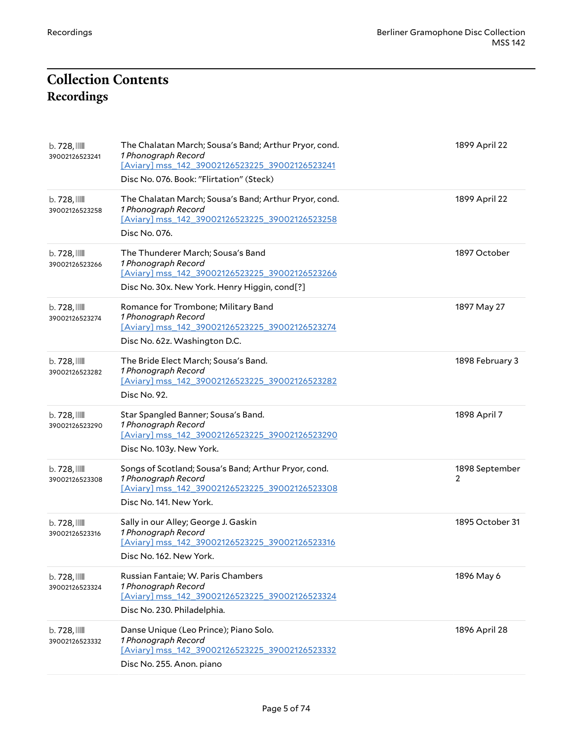# <span id="page-4-1"></span><span id="page-4-0"></span>**Collection Contents Recordings**

| $b.728$ , $\blacksquare$<br>39002126523241 | The Chalatan March; Sousa's Band; Arthur Pryor, cond.<br>1 Phonograph Record<br>[Aviary] mss_142_39002126523225_39002126523241<br>Disc No. 076. Book: "Flirtation" (Steck) | 1899 April 22       |
|--------------------------------------------|----------------------------------------------------------------------------------------------------------------------------------------------------------------------------|---------------------|
| $b.728$ , $\blacksquare$<br>39002126523258 | The Chalatan March; Sousa's Band; Arthur Pryor, cond.<br>1 Phonograph Record<br>[Aviary] mss_142_39002126523225_39002126523258<br>Disc No. 076.                            | 1899 April 22       |
| $b.728$ , $\blacksquare$<br>39002126523266 | The Thunderer March; Sousa's Band<br>1 Phonograph Record<br>[Aviary] mss 142 39002126523225 39002126523266<br>Disc No. 30x. New York. Henry Higgin, cond[?]                | 1897 October        |
| $b.728$ , $\blacksquare$<br>39002126523274 | Romance for Trombone; Military Band<br>1 Phonograph Record<br>[Aviary] mss_142_39002126523225_39002126523274<br>Disc No. 62z. Washington D.C.                              | 1897 May 27         |
| $b.728$ , $\mathbb{III}$<br>39002126523282 | The Bride Elect March; Sousa's Band.<br>1 Phonograph Record<br>[Aviary] mss_142_39002126523225_39002126523282<br>Disc No. 92.                                              | 1898 February 3     |
| $b.728$ , $\blacksquare$<br>39002126523290 | Star Spangled Banner; Sousa's Band.<br>1 Phonograph Record<br>[Aviary] mss_142_39002126523225_39002126523290<br>Disc No. 103y. New York.                                   | 1898 April 7        |
| $b.728$ , $\blacksquare$<br>39002126523308 | Songs of Scotland; Sousa's Band; Arthur Pryor, cond.<br>1 Phonograph Record<br>[Aviary] mss_142_39002126523225_39002126523308<br>Disc No. 141. New York.                   | 1898 September<br>2 |
| $b.728$ , $\blacksquare$<br>39002126523316 | Sally in our Alley; George J. Gaskin<br>1 Phonograph Record<br>[Aviary] mss 142 39002126523225 39002126523316<br>Disc No. 162. New York.                                   | 1895 October 31     |
| $b.728$ , $\mathbb{III}$<br>39002126523324 | Russian Fantaie; W. Paris Chambers<br>1 Phonograph Record<br>[Aviary] mss_142_39002126523225_39002126523324<br>Disc No. 230. Philadelphia.                                 | 1896 May 6          |
| $b.728$ , $\mathbb{III}$<br>39002126523332 | Danse Unique (Leo Prince); Piano Solo.<br>1 Phonograph Record<br>[Aviary] mss_142_39002126523225_39002126523332<br>Disc No. 255. Anon. piano                               | 1896 April 28       |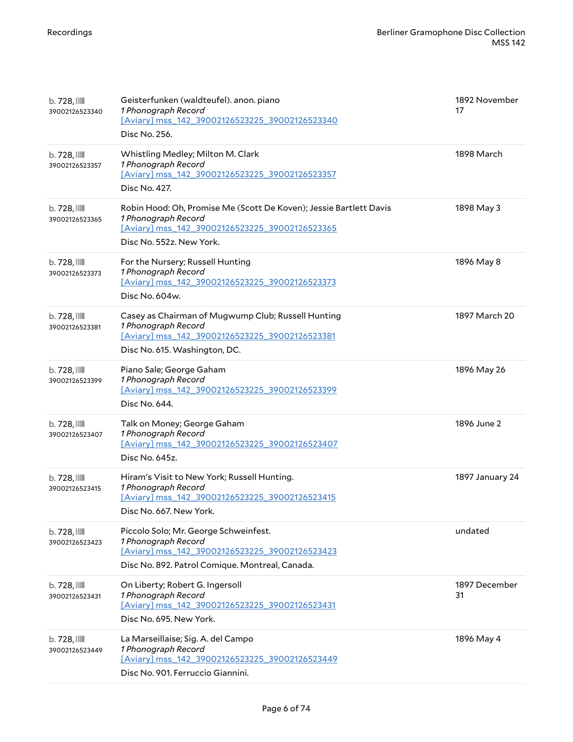| $b.728$ , $\mathbb{III}$<br>39002126523340 | Geisterfunken (waldteufel). anon. piano<br>1 Phonograph Record<br>[Aviary] mss_142_39002126523225_39002126523340<br>Disc No. 256.                                       | 1892 November<br>17 |
|--------------------------------------------|-------------------------------------------------------------------------------------------------------------------------------------------------------------------------|---------------------|
| $b.728$ , $\blacksquare$<br>39002126523357 | Whistling Medley; Milton M. Clark<br>1 Phonograph Record<br>[Aviary] mss 142 39002126523225 39002126523357<br>Disc No. 427.                                             | 1898 March          |
| b. 728,<br>39002126523365                  | Robin Hood: Oh, Promise Me (Scott De Koven); Jessie Bartlett Davis<br>1 Phonograph Record<br>[Aviary] mss 142 39002126523225 39002126523365<br>Disc No. 552z. New York. | 1898 May 3          |
| b. 728, IIII<br>39002126523373             | For the Nursery; Russell Hunting<br>1 Phonograph Record<br>[Aviary] mss_142_39002126523225_39002126523373<br>Disc No. 604w.                                             | 1896 May 8          |
| $b.728$ , $\blacksquare$<br>39002126523381 | Casey as Chairman of Mugwump Club; Russell Hunting<br>1 Phonograph Record<br>[Aviary] mss 142 39002126523225 39002126523381<br>Disc No. 615. Washington, DC.            | 1897 March 20       |
| $b.728$ , $\blacksquare$<br>39002126523399 | Piano Sale; George Gaham<br>1 Phonograph Record<br>[Aviary] mss_142_39002126523225_39002126523399<br>Disc No. 644.                                                      | 1896 May 26         |
| $b.728$ , $\mathbb{III}$<br>39002126523407 | Talk on Money; George Gaham<br>1 Phonograph Record<br>[Aviary] mss_142_39002126523225_39002126523407<br>Disc No. 645z.                                                  | 1896 June 2         |
| b. 728, III<br>39002126523415              | Hiram's Visit to New York; Russell Hunting.<br>1 Phonograph Record<br>[Aviary] mss 142 39002126523225 39002126523415<br>Disc No. 667. New York.                         | 1897 January 24     |
| $b.728$ ,<br>39002126523423                | Piccolo Solo; Mr. George Schweinfest.<br>1 Phonograph Record<br>[Aviary] mss 142 39002126523225 39002126523423<br>Disc No. 892. Patrol Comique. Montreal, Canada.       | undated             |
| $b.728$ , $\blacksquare$<br>39002126523431 | On Liberty; Robert G. Ingersoll<br>1 Phonograph Record<br>[Aviary] mss 142 39002126523225 39002126523431<br>Disc No. 695. New York.                                     | 1897 December<br>31 |
| $b.728$ , $\blacksquare$<br>39002126523449 | La Marseillaise; Sig. A. del Campo<br>1 Phonograph Record<br>[Aviary] mss_142_39002126523225_39002126523449<br>Disc No. 901. Ferruccio Giannini.                        | 1896 May 4          |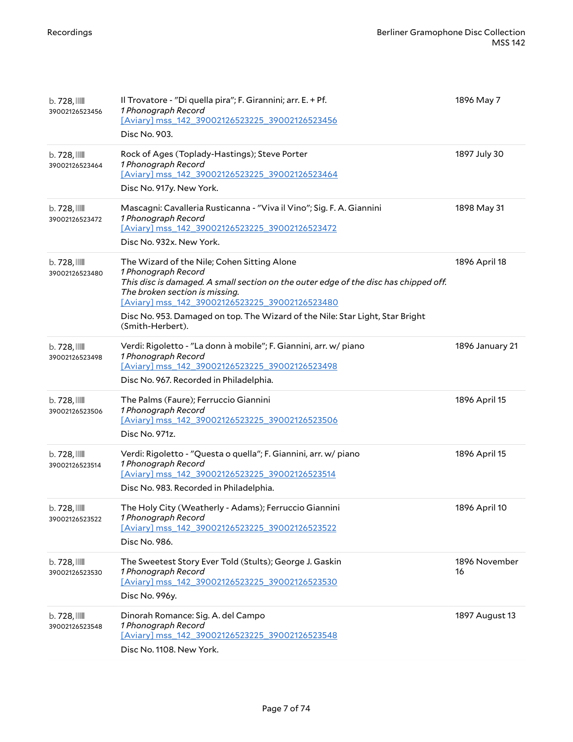| $b.728$ , $\mathbb{III}$<br>39002126523456 | Il Trovatore - "Di quella pira"; F. Girannini; arr. E. + Pf.<br>1 Phonograph Record<br>[Aviary] mss_142_39002126523225_39002126523456<br>Disc No. 903.                                                                                                                                                                                              | 1896 May 7          |
|--------------------------------------------|-----------------------------------------------------------------------------------------------------------------------------------------------------------------------------------------------------------------------------------------------------------------------------------------------------------------------------------------------------|---------------------|
| $b.728$ , $\mathbb{III}$<br>39002126523464 | Rock of Ages (Toplady-Hastings); Steve Porter<br>1 Phonograph Record<br>[Aviary] mss_142_39002126523225_39002126523464<br>Disc No. 917y. New York.                                                                                                                                                                                                  | 1897 July 30        |
| $b.728$ , $III$<br>39002126523472          | Mascagni: Cavalleria Rusticanna - "Viva il Vino"; Sig. F. A. Giannini<br>1 Phonograph Record<br>[Aviary] mss_142_39002126523225_39002126523472<br>Disc No. 932x. New York.                                                                                                                                                                          | 1898 May 31         |
| $b.728$ , $\blacksquare$<br>39002126523480 | The Wizard of the Nile; Cohen Sitting Alone<br>1 Phonograph Record<br>This disc is damaged. A small section on the outer edge of the disc has chipped off.<br>The broken section is missing.<br>[Aviary] mss 142 39002126523225 39002126523480<br>Disc No. 953. Damaged on top. The Wizard of the Nile: Star Light, Star Bright<br>(Smith-Herbert). | 1896 April 18       |
| $b.728$ , $\blacksquare$<br>39002126523498 | Verdi: Rigoletto - "La donn à mobile"; F. Giannini, arr. w/ piano<br>1 Phonograph Record<br>[Aviary] mss 142 39002126523225 39002126523498<br>Disc No. 967. Recorded in Philadelphia.                                                                                                                                                               | 1896 January 21     |
| $b.728$ , $\blacksquare$<br>39002126523506 | The Palms (Faure); Ferruccio Giannini<br>1 Phonograph Record<br>[Aviary] mss_142_39002126523225_39002126523506<br>Disc No. 971z.                                                                                                                                                                                                                    | 1896 April 15       |
| $b.728$ , $III$<br>39002126523514          | Verdi: Rigoletto - "Questa o quella"; F. Giannini, arr. w/ piano<br>1 Phonograph Record<br>[Aviary] mss 142 39002126523225 39002126523514<br>Disc No. 983. Recorded in Philadelphia.                                                                                                                                                                | 1896 April 15       |
| $b.728$ , $\blacksquare$<br>39002126523522 | The Holy City (Weatherly - Adams); Ferruccio Giannini<br>1 Phonograph Record<br>[Aviary] mss_142_39002126523225_39002126523522<br>Disc No. 986.                                                                                                                                                                                                     | 1896 April 10       |
| $b.728$ , $\blacksquare$<br>39002126523530 | The Sweetest Story Ever Told (Stults); George J. Gaskin<br>1 Phonograph Record<br>[Aviary] mss_142_39002126523225_39002126523530<br>Disc No. 996y.                                                                                                                                                                                                  | 1896 November<br>16 |
| $b.728$ , $\mathbb{III}$<br>39002126523548 | Dinorah Romance: Sig. A. del Campo<br>1 Phonograph Record<br>[Aviary] mss_142_39002126523225_39002126523548<br>Disc No. 1108. New York.                                                                                                                                                                                                             | 1897 August 13      |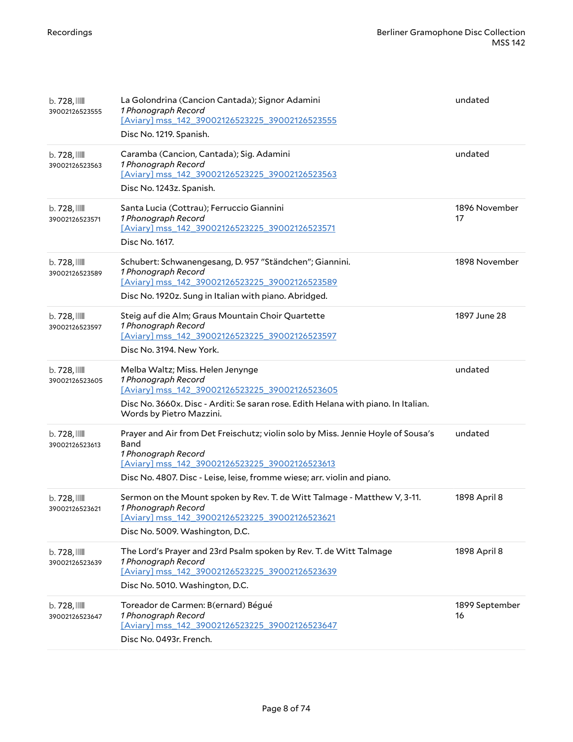| $b.728$ , $\mathbb{I}$<br>39002126523555   | La Golondrina (Cancion Cantada); Signor Adamini<br>1 Phonograph Record<br>[Aviary] mss 142 39002126523225 39002126523555<br>Disc No. 1219. Spanish.                                                                                           | undated              |
|--------------------------------------------|-----------------------------------------------------------------------------------------------------------------------------------------------------------------------------------------------------------------------------------------------|----------------------|
| $b.728$ , $\blacksquare$<br>39002126523563 | Caramba (Cancion, Cantada); Sig. Adamini<br>1 Phonograph Record<br>[Aviary] mss_142_39002126523225_39002126523563<br>Disc No. 1243z. Spanish.                                                                                                 | undated              |
| $b.728$ , $\blacksquare$<br>39002126523571 | Santa Lucia (Cottrau); Ferruccio Giannini<br>1 Phonograph Record<br>[Aviary] mss 142 39002126523225 39002126523571<br>Disc No. 1617.                                                                                                          | 1896 November<br>17  |
| $b.728$ , $\blacksquare$<br>39002126523589 | Schubert: Schwanengesang, D. 957 "Ständchen"; Giannini.<br>1 Phonograph Record<br>[Aviary] mss_142_39002126523225_39002126523589<br>Disc No. 1920z. Sung in Italian with piano. Abridged.                                                     | 1898 November        |
| $b.728$ , $\blacksquare$<br>39002126523597 | Steig auf die Alm; Graus Mountain Choir Quartette<br>1 Phonograph Record<br>[Aviary] mss 142 39002126523225 39002126523597<br>Disc No. 3194. New York.                                                                                        | 1897 June 28         |
| $b.728$ , $\blacksquare$<br>39002126523605 | Melba Waltz; Miss. Helen Jenynge<br>1 Phonograph Record<br>[Aviary] mss_142_39002126523225_39002126523605<br>Disc No. 3660x. Disc - Arditi: Se saran rose. Edith Helana with piano. In Italian.<br>Words by Pietro Mazzini.                   | undated              |
| $b.728$ , $\blacksquare$<br>39002126523613 | Prayer and Air from Det Freischutz; violin solo by Miss. Jennie Hoyle of Sousa's<br>Band<br>1 Phonograph Record<br>[Aviary] mss 142 39002126523225 39002126523613<br>Disc No. 4807. Disc - Leise, leise, fromme wiese; arr. violin and piano. | undated              |
| $b.728$ , $\blacksquare$<br>39002126523621 | Sermon on the Mount spoken by Rev. T. de Witt Talmage - Matthew V, 3-11.<br>1 Phonograph Record<br>[Aviary] mss 142 39002126523225 39002126523621<br>Disc No. 5009. Washington, D.C.                                                          | 1898 April 8         |
| $b.728$ , $\blacksquare$<br>39002126523639 | The Lord's Prayer and 23rd Psalm spoken by Rev. T. de Witt Talmage<br>1 Phonograph Record<br>[Aviary] mss_142_39002126523225_39002126523639<br>Disc No. 5010. Washington, D.C.                                                                | 1898 April 8         |
| b. 728,<br>39002126523647                  | Toreador de Carmen: B(ernard) Bégué<br>1 Phonograph Record<br>[Aviary] mss_142_39002126523225_39002126523647<br>Disc No. 0493r. French.                                                                                                       | 1899 September<br>16 |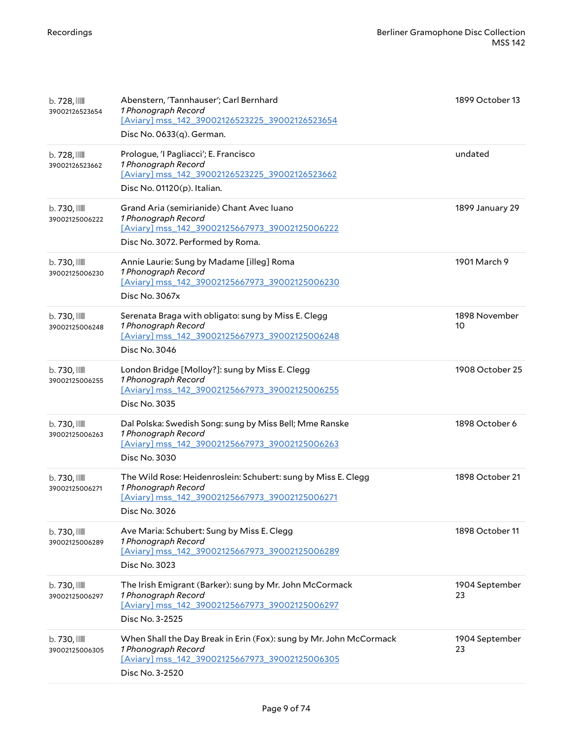| $b.728$ , $\mathbb{III}$<br>39002126523654 | Abenstern, 'Tannhauser'; Carl Bernhard<br>1 Phonograph Record<br>[Aviary] mss 142 39002126523225 39002126523654<br>Disc No. 0633(q). German.                   | 1899 October 13      |
|--------------------------------------------|----------------------------------------------------------------------------------------------------------------------------------------------------------------|----------------------|
| $b.728$ , $\blacksquare$<br>39002126523662 | Prologue, 'I Pagliacci'; E. Francisco<br>1 Phonograph Record<br>[Aviary] mss 142 39002126523225 39002126523662<br>Disc No. 01120(p). Italian.                  | undated              |
| $b.730$ , $III$<br>39002125006222          | Grand Aria (semirianide) Chant Avec Iuano<br>1 Phonograph Record<br>[Aviary] mss_142_39002125667973_39002125006222<br>Disc No. 3072. Performed by Roma.        | 1899 January 29      |
| b. 730, IIII<br>39002125006230             | Annie Laurie: Sung by Madame [illeg] Roma<br>1 Phonograph Record<br>[Aviary] mss_142_39002125667973_39002125006230<br>Disc No. 3067x                           | 1901 March 9         |
| $b.730$ , $III$<br>39002125006248          | Serenata Braga with obligato: sung by Miss E. Clegg<br>1 Phonograph Record<br>[Aviary] mss_142_39002125667973_39002125006248<br>Disc No. 3046                  | 1898 November<br>10  |
| $b.730$ , $III$<br>39002125006255          | London Bridge [Molloy?]: sung by Miss E. Clegg<br>1 Phonograph Record<br>[Aviary] mss_142_39002125667973_39002125006255<br>Disc No. 3035                       | 1908 October 25      |
| $b.730$ , $III$<br>39002125006263          | Dal Polska: Swedish Song: sung by Miss Bell; Mme Ranske<br>1 Phonograph Record<br>[Aviary] mss_142_39002125667973_39002125006263<br>Disc No. 3030              | 1898 October 6       |
| $b.730$ , $III$<br>39002125006271          | The Wild Rose: Heidenroslein: Schubert: sung by Miss E. Clegg<br>1 Phonograph Record<br>[Aviary] mss_142_39002125667973_39002125006271<br>Disc No. 3026        | 1898 October 21      |
| $b.730$ , $III$<br>39002125006289          | Ave Maria: Schubert: Sung by Miss E. Clegg<br>1 Phonograph Record<br>[Aviary] mss_142_39002125667973_39002125006289<br>Disc No. 3023                           | 1898 October 11      |
| $b.730$ , $III$<br>39002125006297          | The Irish Emigrant (Barker): sung by Mr. John McCormack<br>1 Phonograph Record<br>[Aviary] mss_142_39002125667973_39002125006297<br>Disc No. 3-2525            | 1904 September<br>23 |
| $b.730$ , $III$<br>39002125006305          | When Shall the Day Break in Erin (Fox): sung by Mr. John McCormack<br>1 Phonograph Record<br>[Aviary] mss_142_39002125667973_39002125006305<br>Disc No. 3-2520 | 1904 September<br>23 |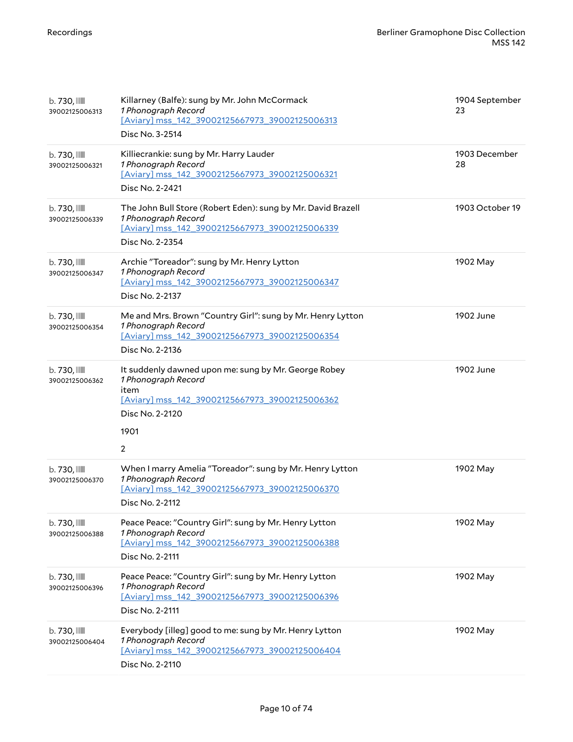| b. 730, III<br>39002125006313              | Killarney (Balfe): sung by Mr. John McCormack<br>1 Phonograph Record<br>[Aviary] mss 142 39002125667973 39002125006313<br>Disc No. 3-2514                                          | 1904 September<br>23 |
|--------------------------------------------|------------------------------------------------------------------------------------------------------------------------------------------------------------------------------------|----------------------|
| b. 730, III<br>39002125006321              | Killiecrankie: sung by Mr. Harry Lauder<br>1 Phonograph Record<br>[Aviary] mss_142_39002125667973_39002125006321<br>Disc No. 2-2421                                                | 1903 December<br>28  |
| $b.730$ , $III$<br>39002125006339          | The John Bull Store (Robert Eden): sung by Mr. David Brazell<br>1 Phonograph Record<br>[Aviary] mss_142_39002125667973_39002125006339<br>Disc No. 2-2354                           | 1903 October 19      |
| b. 730, IIII<br>39002125006347             | Archie "Toreador": sung by Mr. Henry Lytton<br>1 Phonograph Record<br>[Aviary] mss_142_39002125667973_39002125006347<br>Disc No. 2-2137                                            | 1902 May             |
| b. 730, III<br>39002125006354              | Me and Mrs. Brown "Country Girl": sung by Mr. Henry Lytton<br>1 Phonograph Record<br>[Aviary] mss 142 39002125667973 39002125006354<br>Disc No. 2-2136                             | 1902 June            |
| $b.730$ , $\blacksquare$<br>39002125006362 | It suddenly dawned upon me: sung by Mr. George Robey<br>1 Phonograph Record<br>item<br>[Aviary] mss 142 39002125667973 39002125006362<br>Disc No. 2-2120<br>1901<br>$\overline{2}$ | 1902 June            |
| b. 730, III<br>39002125006370              | When I marry Amelia "Toreador": sung by Mr. Henry Lytton<br>1 Phonograph Record<br>[Aviary] mss_142_39002125667973_39002125006370<br>Disc No. 2-2112                               | 1902 May             |
| $b.730$ , $III$<br>39002125006388          | Peace Peace: "Country Girl": sung by Mr. Henry Lytton<br>1 Phonograph Record<br>[Aviary] mss 142 39002125667973 39002125006388<br>Disc No. 2-2111                                  | 1902 May             |
| $b.730$ , $\blacksquare$<br>39002125006396 | Peace Peace: "Country Girl": sung by Mr. Henry Lytton<br>1 Phonograph Record<br>[Aviary] mss_142_39002125667973_39002125006396<br>Disc No. 2-2111                                  | 1902 May             |
| $b.730$ , $\blacksquare$<br>39002125006404 | Everybody [illeg] good to me: sung by Mr. Henry Lytton<br>1 Phonograph Record<br>[Aviary] mss_142_39002125667973_39002125006404<br>Disc No. 2-2110                                 | 1902 May             |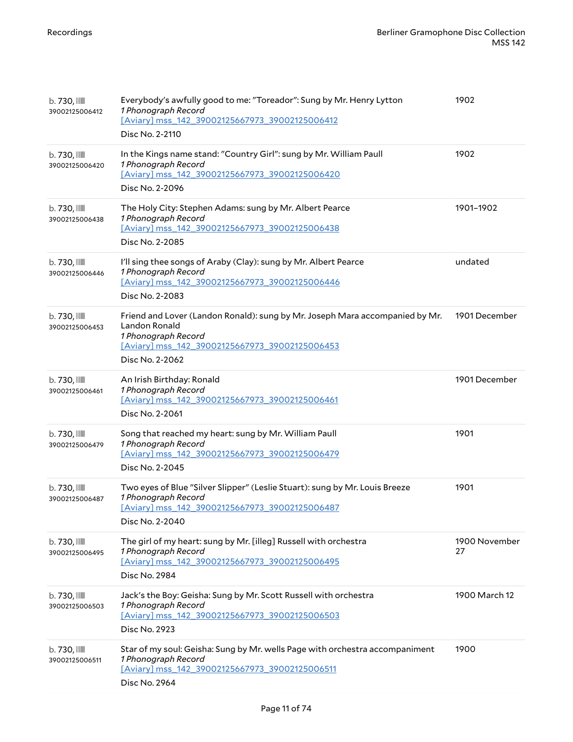| b. 730, III<br>39002125006412     | Everybody's awfully good to me: "Toreador": Sung by Mr. Henry Lytton<br>1 Phonograph Record<br>[Aviary] mss 142 39002125667973 39002125006412<br>Disc No. 2-2110                          | 1902                |
|-----------------------------------|-------------------------------------------------------------------------------------------------------------------------------------------------------------------------------------------|---------------------|
| b. 730, III<br>39002125006420     | In the Kings name stand: "Country Girl": sung by Mr. William Paull<br>1 Phonograph Record<br>[Aviary] mss_142_39002125667973_39002125006420<br>Disc No. 2-2096                            | 1902                |
| b. 730, III<br>39002125006438     | The Holy City: Stephen Adams: sung by Mr. Albert Pearce<br>1 Phonograph Record<br>[Aviary] mss_142_39002125667973_39002125006438<br>Disc No. 2-2085                                       | 1901-1902           |
| b. 730, III<br>39002125006446     | I'll sing thee songs of Araby (Clay): sung by Mr. Albert Pearce<br>1 Phonograph Record<br>[Aviary] mss_142_39002125667973_39002125006446<br>Disc No. 2-2083                               | undated             |
| b. 730, III<br>39002125006453     | Friend and Lover (Landon Ronald): sung by Mr. Joseph Mara accompanied by Mr.<br>Landon Ronald<br>1 Phonograph Record<br>[Aviary] mss_142_39002125667973_39002125006453<br>Disc No. 2-2062 | 1901 December       |
| $b.730$ , $III$<br>39002125006461 | An Irish Birthday: Ronald<br>1 Phonograph Record<br>[Aviary] mss 142 39002125667973 39002125006461<br>Disc No. 2-2061                                                                     | 1901 December       |
| b. 730, III<br>39002125006479     | Song that reached my heart: sung by Mr. William Paull<br>1 Phonograph Record<br>[Aviary] mss_142_39002125667973_39002125006479<br>Disc No. 2-2045                                         | 1901                |
| b. 730, III<br>39002125006487     | Two eyes of Blue "Silver Slipper" (Leslie Stuart): sung by Mr. Louis Breeze<br>1 Phonograph Record<br>[Aviary] mss_142_39002125667973_39002125006487<br>Disc No. 2-2040                   | 1901                |
| $b.730$ , $III$<br>39002125006495 | The girl of my heart: sung by Mr. [illeg] Russell with orchestra<br>1 Phonograph Record<br>[Aviary] mss_142_39002125667973_39002125006495<br>Disc No. 2984                                | 1900 November<br>27 |
| $b.730$ , $III$<br>39002125006503 | Jack's the Boy: Geisha: Sung by Mr. Scott Russell with orchestra<br>1 Phonograph Record<br>[Aviary] mss_142_39002125667973_39002125006503<br>Disc No. 2923                                | 1900 March 12       |
| $b.730$ , $III$<br>39002125006511 | Star of my soul: Geisha: Sung by Mr. wells Page with orchestra accompaniment<br>1 Phonograph Record<br>[Aviary] mss_142_39002125667973_39002125006511<br>Disc No. 2964                    | 1900                |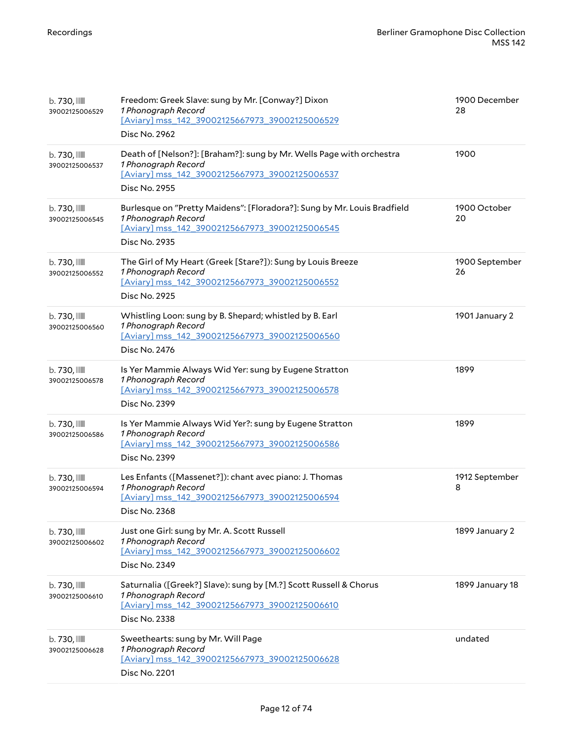| b. 730, III<br>39002125006529     | Freedom: Greek Slave: sung by Mr. [Conway?] Dixon<br>1 Phonograph Record<br>[Aviary] mss_142_39002125667973_39002125006529<br>Disc No. 2962                        | 1900 December<br>28  |
|-----------------------------------|--------------------------------------------------------------------------------------------------------------------------------------------------------------------|----------------------|
| b. 730, IIII<br>39002125006537    | Death of [Nelson?]: [Braham?]: sung by Mr. Wells Page with orchestra<br>1 Phonograph Record<br>[Aviary] mss_142_39002125667973_39002125006537<br>Disc No. 2955     | 1900                 |
| b. 730, III<br>39002125006545     | Burlesque on "Pretty Maidens": [Floradora?]: Sung by Mr. Louis Bradfield<br>1 Phonograph Record<br>[Aviary] mss_142_39002125667973_39002125006545<br>Disc No. 2935 | 1900 October<br>20   |
| b. 730, III<br>39002125006552     | The Girl of My Heart (Greek [Stare?]): Sung by Louis Breeze<br>1 Phonograph Record<br>[Aviary] mss_142_39002125667973_39002125006552<br>Disc No. 2925              | 1900 September<br>26 |
| b. 730, III<br>39002125006560     | Whistling Loon: sung by B. Shepard; whistled by B. Earl<br>1 Phonograph Record<br>[Aviary] mss 142 39002125667973 39002125006560<br>Disc No. 2476                  | 1901 January 2       |
| b. 730, III<br>39002125006578     | Is Yer Mammie Always Wid Yer: sung by Eugene Stratton<br>1 Phonograph Record<br>[Aviary] mss 142 39002125667973 39002125006578<br>Disc No. 2399                    | 1899                 |
| b. 730, III<br>39002125006586     | Is Yer Mammie Always Wid Yer?: sung by Eugene Stratton<br>1 Phonograph Record<br>[Aviary] mss_142_39002125667973_39002125006586<br>Disc No. 2399                   | 1899                 |
| b. 730, III<br>39002125006594     | Les Enfants ([Massenet?]): chant avec piano: J. Thomas<br>1 Phonograph Record<br>[Aviary] mss_142_39002125667973_39002125006594<br>Disc No. 2368                   | 1912 September<br>8  |
| b. 730, III<br>39002125006602     | Just one Girl: sung by Mr. A. Scott Russell<br>1 Phonograph Record<br>[Aviary] mss_142_39002125667973_39002125006602<br>Disc No. 2349                              | 1899 January 2       |
| $b.730$ , $III$<br>39002125006610 | Saturnalia ([Greek?] Slave): sung by [M.?] Scott Russell & Chorus<br>1 Phonograph Record<br>[Aviary] mss_142_39002125667973_39002125006610<br>Disc No. 2338        | 1899 January 18      |
| $b.730$ , $III$<br>39002125006628 | Sweethearts: sung by Mr. Will Page<br>1 Phonograph Record<br>[Aviary] mss_142_39002125667973_39002125006628<br>Disc No. 2201                                       | undated              |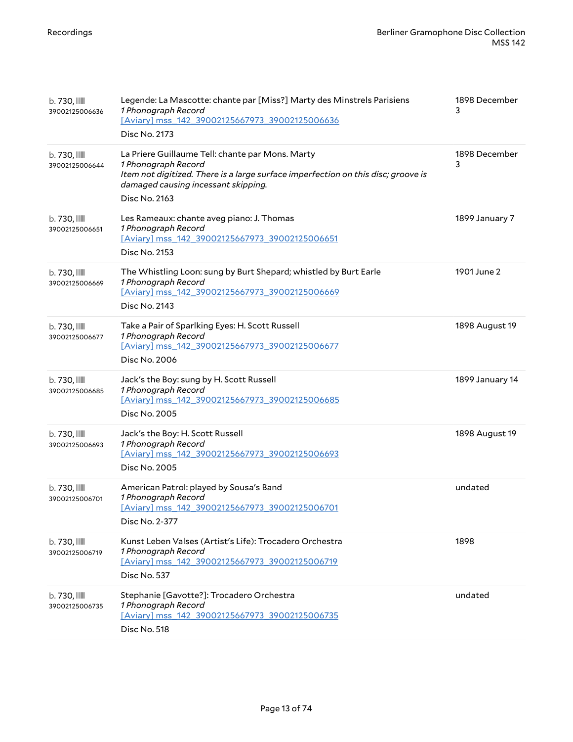| $b.730$ , $III$<br>39002125006636 | Legende: La Mascotte: chante par [Miss?] Marty des Minstrels Parisiens<br>1 Phonograph Record<br>[Aviary] mss 142 39002125667973 39002125006636<br>Disc No. 2173                                                     | 1898 December<br>3 |
|-----------------------------------|----------------------------------------------------------------------------------------------------------------------------------------------------------------------------------------------------------------------|--------------------|
| $b.730$ , $III$<br>39002125006644 | La Priere Guillaume Tell: chante par Mons. Marty<br>1 Phonograph Record<br>Item not digitized. There is a large surface imperfection on this disc; groove is<br>damaged causing incessant skipping.<br>Disc No. 2163 | 1898 December<br>3 |
| $b.730$ , $III$<br>39002125006651 | Les Rameaux: chante aveg piano: J. Thomas<br>1 Phonograph Record<br>[Aviary] mss 142 39002125667973 39002125006651<br>Disc No. 2153                                                                                  | 1899 January 7     |
| $b.730$ , $III$<br>39002125006669 | The Whistling Loon: sung by Burt Shepard; whistled by Burt Earle<br>1 Phonograph Record<br>[Aviary] mss 142 39002125667973 39002125006669<br>Disc No. 2143                                                           | 1901 June 2        |
| $b.730$ , $III$<br>39002125006677 | Take a Pair of Sparlking Eyes: H. Scott Russell<br>1 Phonograph Record<br>[Aviary] mss_142_39002125667973_39002125006677<br>Disc No. 2006                                                                            | 1898 August 19     |
| $b.730$ , $III$<br>39002125006685 | Jack's the Boy: sung by H. Scott Russell<br>1 Phonograph Record<br>[Aviary] mss_142_39002125667973_39002125006685<br>Disc No. 2005                                                                                   | 1899 January 14    |
| $b.730$ , $III$<br>39002125006693 | Jack's the Boy: H. Scott Russell<br>1 Phonograph Record<br>[Aviary] mss 142 39002125667973 39002125006693<br>Disc No. 2005                                                                                           | 1898 August 19     |
| b. 730, III<br>39002125006701     | American Patrol: played by Sousa's Band<br>1 Phonograph Record<br>[Aviary] mss_142_39002125667973_39002125006701<br>Disc No. 2-377                                                                                   | undated            |
| $b.730$ , $III$<br>39002125006719 | Kunst Leben Valses (Artist's Life): Trocadero Orchestra<br>1 Phonograph Record<br>[Aviary] mss 142 39002125667973 39002125006719<br>Disc No. 537                                                                     | 1898               |
| $b.730$ , $III$<br>39002125006735 | Stephanie [Gavotte?]: Trocadero Orchestra<br>1 Phonograph Record<br>[Aviary] mss_142_39002125667973_39002125006735<br>Disc No. 518                                                                                   | undated            |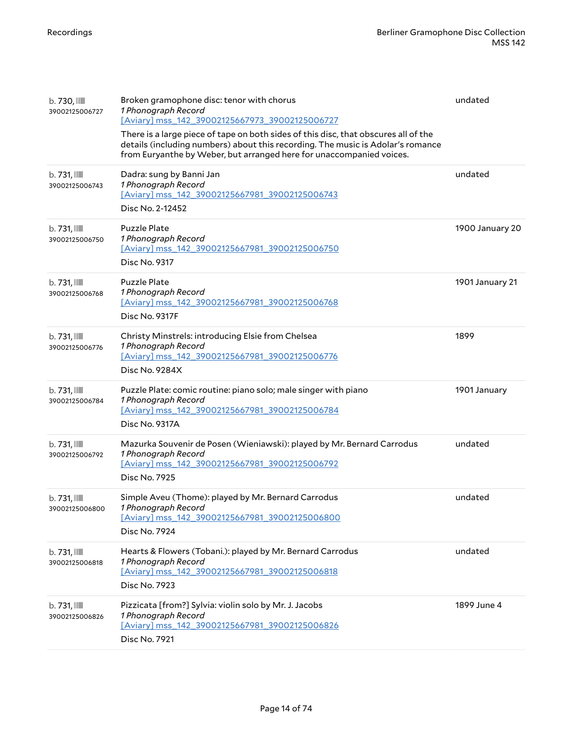| $b.730$ , $III$<br>39002125006727          | Broken gramophone disc: tenor with chorus<br>1 Phonograph Record<br>[Aviary] mss 142 39002125667973 39002125006727<br>There is a large piece of tape on both sides of this disc, that obscures all of the<br>details (including numbers) about this recording. The music is Adolar's romance<br>from Euryanthe by Weber, but arranged here for unaccompanied voices. | undated         |
|--------------------------------------------|----------------------------------------------------------------------------------------------------------------------------------------------------------------------------------------------------------------------------------------------------------------------------------------------------------------------------------------------------------------------|-----------------|
| $b.731$ , $\blacksquare$<br>39002125006743 | Dadra: sung by Banni Jan<br>1 Phonograph Record<br>[Aviary] mss 142 39002125667981 39002125006743<br>Disc No. 2-12452                                                                                                                                                                                                                                                | undated         |
| $b.731$ , $\blacksquare$<br>39002125006750 | <b>Puzzle Plate</b><br>1 Phonograph Record<br>[Aviary] mss_142_39002125667981_39002125006750<br>Disc No. 9317                                                                                                                                                                                                                                                        | 1900 January 20 |
| $b.731$ , $\blacksquare$<br>39002125006768 | <b>Puzzle Plate</b><br>1 Phonograph Record<br>[Aviary] mss_142_39002125667981_39002125006768<br>Disc No. 9317F                                                                                                                                                                                                                                                       | 1901 January 21 |
| b. 731, IIII<br>39002125006776             | Christy Minstrels: introducing Elsie from Chelsea<br>1 Phonograph Record<br>[Aviary] mss_142_39002125667981_39002125006776<br>Disc No. 9284X                                                                                                                                                                                                                         | 1899            |
| b. 731, IIII<br>39002125006784             | Puzzle Plate: comic routine: piano solo; male singer with piano<br>1 Phonograph Record<br>[Aviary] mss_142_39002125667981_39002125006784<br>Disc No. 9317A                                                                                                                                                                                                           | 1901 January    |
| $b.731$ , $\blacksquare$<br>39002125006792 | Mazurka Souvenir de Posen (Wieniawski): played by Mr. Bernard Carrodus<br>1 Phonograph Record<br>[Aviary] mss_142_39002125667981_39002125006792<br>Disc No. 7925                                                                                                                                                                                                     | undated         |
| $b.731$ , $\blacksquare$<br>39002125006800 | Simple Aveu (Thome): played by Mr. Bernard Carrodus<br>1 Phonograph Record<br>[Aviary] mss 142 39002125667981 39002125006800<br>Disc No. 7924                                                                                                                                                                                                                        | undated         |
| b. 731, IIII<br>39002125006818             | Hearts & Flowers (Tobani.): played by Mr. Bernard Carrodus<br>1 Phonograph Record<br>[Aviary] mss_142_39002125667981_39002125006818<br>Disc No. 7923                                                                                                                                                                                                                 | undated         |
| $b.731$ , $\blacksquare$<br>39002125006826 | Pizzicata [from?] Sylvia: violin solo by Mr. J. Jacobs<br>1 Phonograph Record<br>[Aviary] mss_142_39002125667981_39002125006826<br>Disc No. 7921                                                                                                                                                                                                                     | 1899 June 4     |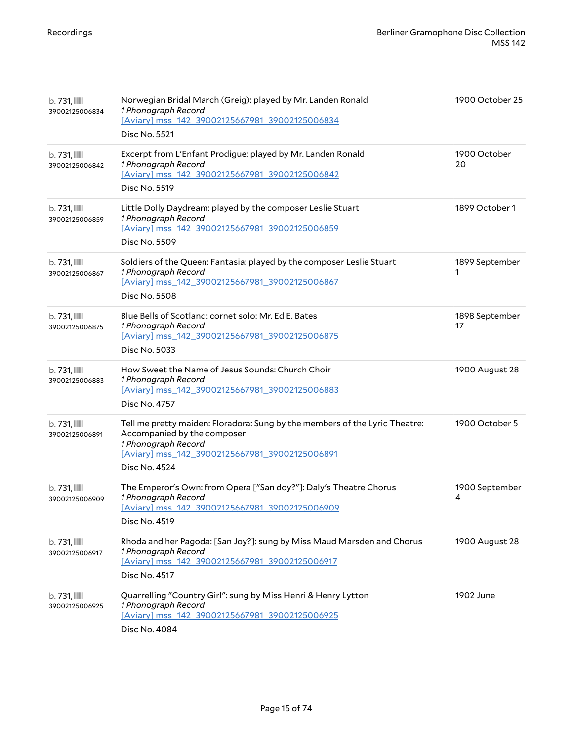| $b.731$ , $\text{mm}$<br>39002125006834    | Norwegian Bridal March (Greig): played by Mr. Landen Ronald<br>1 Phonograph Record<br>[Aviary] mss_142_39002125667981_39002125006834<br>Disc No. 5521                                                | 1900 October 25      |
|--------------------------------------------|------------------------------------------------------------------------------------------------------------------------------------------------------------------------------------------------------|----------------------|
| $b.731$ , $\blacksquare$<br>39002125006842 | Excerpt from L'Enfant Prodigue: played by Mr. Landen Ronald<br>1 Phonograph Record<br>[Aviary] mss_142_39002125667981_39002125006842<br><b>Disc No. 5519</b>                                         | 1900 October<br>20   |
| $b.731$ , $\blacksquare$<br>39002125006859 | Little Dolly Daydream: played by the composer Leslie Stuart<br>1 Phonograph Record<br>[Aviary] mss_142_39002125667981_39002125006859<br>Disc No. 5509                                                | 1899 October 1       |
| $b.731$ , $\blacksquare$<br>39002125006867 | Soldiers of the Queen: Fantasia: played by the composer Leslie Stuart<br>1 Phonograph Record<br>[Aviary] mss_142_39002125667981_39002125006867<br><b>Disc No. 5508</b>                               | 1899 September<br>1  |
| $b.731$ , $\text{mm}$<br>39002125006875    | Blue Bells of Scotland: cornet solo: Mr. Ed E. Bates<br>1 Phonograph Record<br>[Aviary] mss_142_39002125667981_39002125006875<br>Disc No. 5033                                                       | 1898 September<br>17 |
| $b.731$ , $\text{mm}$<br>39002125006883    | How Sweet the Name of Jesus Sounds: Church Choir<br>1 Phonograph Record<br>[Aviary] mss_142_39002125667981_39002125006883<br>Disc No. 4757                                                           | 1900 August 28       |
| $b.731$ , $\blacksquare$<br>39002125006891 | Tell me pretty maiden: Floradora: Sung by the members of the Lyric Theatre:<br>Accompanied by the composer<br>1 Phonograph Record<br>[Aviary] mss 142 39002125667981 39002125006891<br>Disc No. 4524 | 1900 October 5       |
| $b.731$ , $\blacksquare$<br>39002125006909 | The Emperor's Own: from Opera ["San doy?"]: Daly's Theatre Chorus<br>1 Phonograph Record<br>[Aviary] mss_142_39002125667981_39002125006909<br>Disc No. 4519                                          | 1900 September<br>4  |
| b. 731, IIII<br>39002125006917             | Rhoda and her Pagoda: [San Joy?]: sung by Miss Maud Marsden and Chorus<br>1 Phonograph Record<br>[Aviary] mss 142 39002125667981 39002125006917<br>Disc No. 4517                                     | 1900 August 28       |
| $b.731$ , $\blacksquare$<br>39002125006925 | Quarrelling "Country Girl": sung by Miss Henri & Henry Lytton<br>1 Phonograph Record<br>[Aviary] mss_142_39002125667981_39002125006925<br>Disc No. 4084                                              | 1902 June            |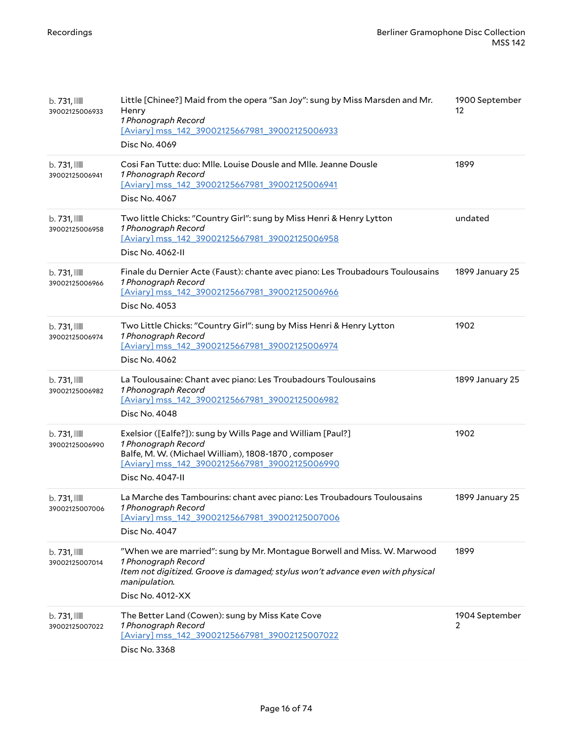| $b.731$ , $\blacksquare$<br>39002125006933 | Little [Chinee?] Maid from the opera "San Joy": sung by Miss Marsden and Mr.<br>Henry<br>1 Phonograph Record<br>[Aviary] mss_142_39002125667981_39002125006933<br>Disc No. 4069                                        | 1900 September<br>12 |
|--------------------------------------------|------------------------------------------------------------------------------------------------------------------------------------------------------------------------------------------------------------------------|----------------------|
| $b.731$ , $\blacksquare$<br>39002125006941 | Cosi Fan Tutte: duo: Mlle. Louise Dousle and Mlle. Jeanne Dousle<br>1 Phonograph Record<br>[Aviary] mss_142_39002125667981_39002125006941<br>Disc No. 4067                                                             | 1899                 |
| $b.731$ , $\blacksquare$<br>39002125006958 | Two little Chicks: "Country Girl": sung by Miss Henri & Henry Lytton<br>1 Phonograph Record<br>[Aviary] mss_142_39002125667981_39002125006958<br>Disc No. 4062-II                                                      | undated              |
| $b.731$ , $\blacksquare$<br>39002125006966 | Finale du Dernier Acte (Faust): chante avec piano: Les Troubadours Toulousains<br>1 Phonograph Record<br>[Aviary] mss_142_39002125667981_39002125006966<br>Disc No. 4053                                               | 1899 January 25      |
| $b.731$ , $\blacksquare$<br>39002125006974 | Two Little Chicks: "Country Girl": sung by Miss Henri & Henry Lytton<br>1 Phonograph Record<br>[Aviary] mss_142_39002125667981_39002125006974<br>Disc No. 4062                                                         | 1902                 |
| $b.731$ , $\blacksquare$<br>39002125006982 | La Toulousaine: Chant avec piano: Les Troubadours Toulousains<br>1 Phonograph Record<br>[Aviary] mss 142 39002125667981 39002125006982<br>Disc No. 4048                                                                | 1899 January 25      |
| b. 731, IIII<br>39002125006990             | Exelsior ([Ealfe?]): sung by Wills Page and William [Paul?]<br>1 Phonograph Record<br>Balfe, M. W. (Michael William), 1808-1870, composer<br>[Aviary] mss_142_39002125667981_39002125006990<br>Disc No. 4047-II        | 1902                 |
| $b.731$ , $\blacksquare$<br>39002125007006 | La Marche des Tambourins: chant avec piano: Les Troubadours Toulousains<br>1 Phonograph Record<br>[Aviary] mss 142 39002125667981 39002125007006<br>Disc No. 4047                                                      | 1899 January 25      |
| b. 731, IIII<br>39002125007014             | "When we are married": sung by Mr. Montague Borwell and Miss. W. Marwood<br>1 Phonograph Record<br>Item not digitized. Groove is damaged; stylus won't advance even with physical<br>manipulation.<br>Disc No. 4012-XX | 1899                 |
| $b.731$ , $\blacksquare$<br>39002125007022 | The Better Land (Cowen): sung by Miss Kate Cove<br>1 Phonograph Record<br>[Aviary] mss_142_39002125667981_39002125007022<br>Disc No. 3368                                                                              | 1904 September<br>2  |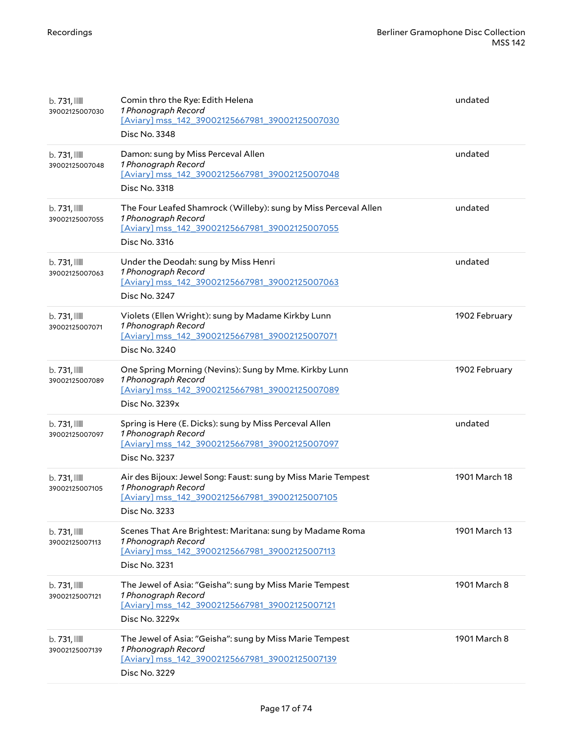| $b.731$ , $\text{mm}$<br>39002125007030    | Comin thro the Rye: Edith Helena<br>1 Phonograph Record<br>[Aviary] mss_142_39002125667981_39002125007030<br>Disc No. 3348                                | undated       |
|--------------------------------------------|-----------------------------------------------------------------------------------------------------------------------------------------------------------|---------------|
| $b.731$ , $\blacksquare$<br>39002125007048 | Damon: sung by Miss Perceval Allen<br>1 Phonograph Record<br>[Aviary] mss_142_39002125667981_39002125007048<br>Disc No. 3318                              | undated       |
| $b.731$ , $\text{mm}$<br>39002125007055    | The Four Leafed Shamrock (Willeby): sung by Miss Perceval Allen<br>1 Phonograph Record<br>[Aviary] mss_142_39002125667981_39002125007055<br>Disc No. 3316 | undated       |
| $b.731$ , $\blacksquare$<br>39002125007063 | Under the Deodah: sung by Miss Henri<br>1 Phonograph Record<br>[Aviary] mss_142_39002125667981_39002125007063<br>Disc No. 3247                            | undated       |
| $b.731$ , $\text{mm}$<br>39002125007071    | Violets (Ellen Wright): sung by Madame Kirkby Lunn<br>1 Phonograph Record<br>[Aviary] mss_142_39002125667981_39002125007071<br>Disc No. 3240              | 1902 February |
| $b.731$ , $\blacksquare$<br>39002125007089 | One Spring Morning (Nevins): Sung by Mme. Kirkby Lunn<br>1 Phonograph Record<br>[Aviary] mss 142 39002125667981 39002125007089<br>Disc No. 3239x          | 1902 February |
| $b.731$ , $\blacksquare$<br>39002125007097 | Spring is Here (E. Dicks): sung by Miss Perceval Allen<br>1 Phonograph Record<br>[Aviary] mss_142_39002125667981_39002125007097<br>Disc No. 3237          | undated       |
| $b.731$ , $\blacksquare$<br>39002125007105 | Air des Bijoux: Jewel Song: Faust: sung by Miss Marie Tempest<br>1 Phonograph Record<br>[Aviary] mss 142 39002125667981 39002125007105<br>Disc No. 3233   | 1901 March 18 |
| $b.731$ , $\blacksquare$<br>39002125007113 | Scenes That Are Brightest: Maritana: sung by Madame Roma<br>1 Phonograph Record<br>[Aviary] mss 142 39002125667981 39002125007113<br>Disc No. 3231        | 1901 March 13 |
| $b.731$ , $\blacksquare$<br>39002125007121 | The Jewel of Asia: "Geisha": sung by Miss Marie Tempest<br>1 Phonograph Record<br>[Aviary] mss 142 39002125667981 39002125007121<br>Disc No. 3229x        | 1901 March 8  |
| $b.731$ , $\blacksquare$<br>39002125007139 | The Jewel of Asia: "Geisha": sung by Miss Marie Tempest<br>1 Phonograph Record<br>[Aviary] mss_142_39002125667981_39002125007139<br>Disc No. 3229         | 1901 March 8  |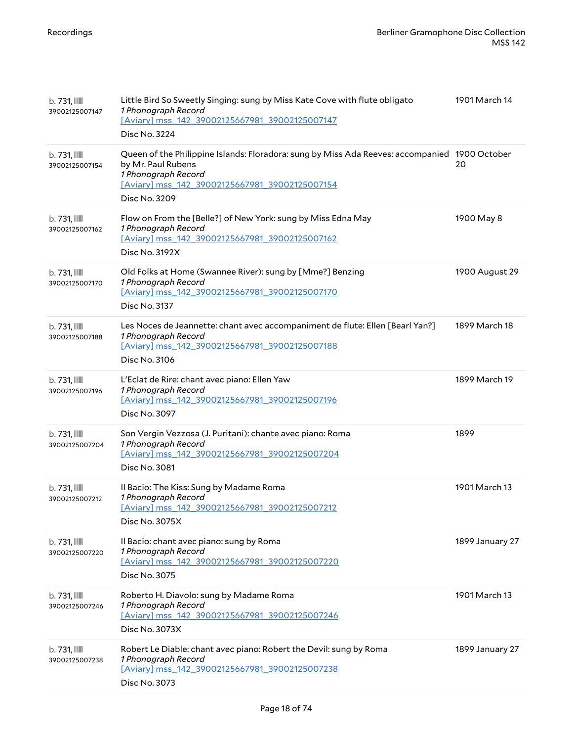| $b.731$ , $\blacksquare$<br>39002125007147 | Little Bird So Sweetly Singing: sung by Miss Kate Cove with flute obligato<br>1 Phonograph Record<br>[Aviary] mss_142_39002125667981_39002125007147<br>Disc No. 3224                                          | 1901 March 14   |
|--------------------------------------------|---------------------------------------------------------------------------------------------------------------------------------------------------------------------------------------------------------------|-----------------|
| $b.731$ , $\blacksquare$<br>39002125007154 | Queen of the Philippine Islands: Floradora: sung by Miss Ada Reeves: accompanied 1900 October<br>by Mr. Paul Rubens<br>1 Phonograph Record<br>[Aviary] mss_142_39002125667981_39002125007154<br>Disc No. 3209 | 20              |
| $b.731$ , $\blacksquare$<br>39002125007162 | Flow on From the [Belle?] of New York: sung by Miss Edna May<br>1 Phonograph Record<br>[Aviary] mss 142 39002125667981 39002125007162<br><b>Disc No. 3192X</b>                                                | 1900 May 8      |
| $b.731$ , $\text{mm}$<br>39002125007170    | Old Folks at Home (Swannee River): sung by [Mme?] Benzing<br>1 Phonograph Record<br>[Aviary] mss 142 39002125667981 39002125007170<br>Disc No. 3137                                                           | 1900 August 29  |
| $b.731$ , $\text{mm}$<br>39002125007188    | Les Noces de Jeannette: chant avec accompaniment de flute: Ellen [Bearl Yan?]<br>1 Phonograph Record<br>[Aviary] mss 142 39002125667981 39002125007188<br>Disc No. 3106                                       | 1899 March 18   |
| $b.731$ , $\text{mm}$<br>39002125007196    | L'Eclat de Rire: chant avec piano: Ellen Yaw<br>1 Phonograph Record<br>[Aviary] mss_142_39002125667981_39002125007196<br>Disc No. 3097                                                                        | 1899 March 19   |
| $b.731$ , $\blacksquare$<br>39002125007204 | Son Vergin Vezzosa (J. Puritani): chante avec piano: Roma<br>1 Phonograph Record<br>[Aviary] mss_142_39002125667981_39002125007204<br>Disc No. 3081                                                           | 1899            |
| $b.731$ , $\text{mm}$<br>39002125007212    | Il Bacio: The Kiss: Sung by Madame Roma<br>1 Phonograph Record<br>[Aviary] mss_142_39002125667981_39002125007212<br>Disc No. 3075X                                                                            | 1901 March 13   |
| $b.731$ , $\blacksquare$<br>39002125007220 | Il Bacio: chant avec piano: sung by Roma<br>1 Phonograph Record<br>[Aviary] mss_142_39002125667981_39002125007220<br>Disc No. 3075                                                                            | 1899 January 27 |
| $b.731$ , $\blacksquare$<br>39002125007246 | Roberto H. Diavolo: sung by Madame Roma<br>1 Phonograph Record<br>[Aviary] mss 142 39002125667981 39002125007246<br>Disc No. 3073X                                                                            | 1901 March 13   |
| $b.731$ , $\blacksquare$<br>39002125007238 | Robert Le Diable: chant avec piano: Robert the Devil: sung by Roma<br>1 Phonograph Record<br>[Aviary] mss_142_39002125667981_39002125007238<br>Disc No. 3073                                                  | 1899 January 27 |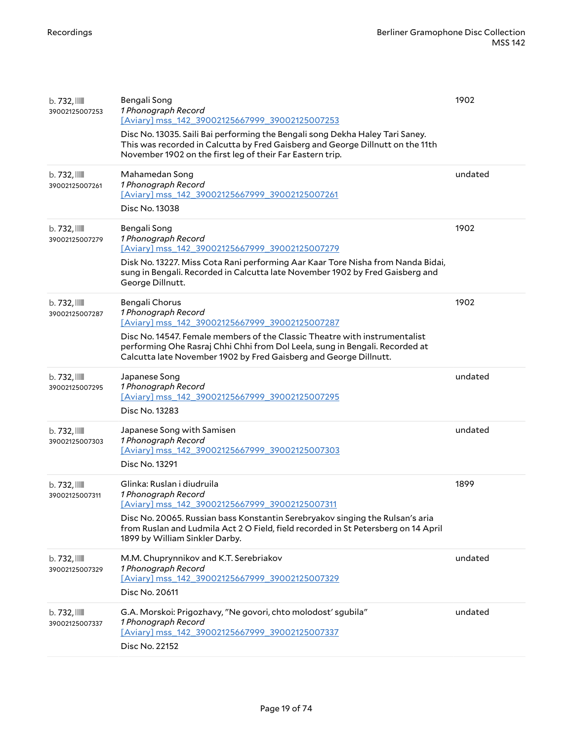| b. 732, III<br>39002125007253  | Bengali Song<br>1 Phonograph Record<br>[Aviary] mss 142 39002125667999 39002125007253<br>Disc No. 13035. Saili Bai performing the Bengali song Dekha Haley Tari Saney.<br>This was recorded in Calcutta by Fred Gaisberg and George Dillnutt on the 11th<br>November 1902 on the first leg of their Far Eastern trip.      | 1902    |
|--------------------------------|----------------------------------------------------------------------------------------------------------------------------------------------------------------------------------------------------------------------------------------------------------------------------------------------------------------------------|---------|
| b.732,<br>39002125007261       | Mahamedan Song<br>1 Phonograph Record<br>[Aviary] mss_142_39002125667999_39002125007261<br>Disc No. 13038                                                                                                                                                                                                                  | undated |
| b.732,<br>39002125007279       | Bengali Song<br>1 Phonograph Record<br>[Aviary] mss_142_39002125667999_39002125007279<br>Disk No. 13227. Miss Cota Rani performing Aar Kaar Tore Nisha from Nanda Bidai,<br>sung in Bengali. Recorded in Calcutta late November 1902 by Fred Gaisberg and<br>George Dillnutt.                                              | 1902    |
| b.732,<br>39002125007287       | Bengali Chorus<br>1 Phonograph Record<br>[Aviary] mss 142 39002125667999 39002125007287<br>Disc No. 14547. Female members of the Classic Theatre with instrumentalist<br>performing Ohe Rasraj Chhi Chhi from Dol Leela, sung in Bengali. Recorded at<br>Calcutta late November 1902 by Fred Gaisberg and George Dillnutt. | 1902    |
| b. 732, III<br>39002125007295  | Japanese Song<br>1 Phonograph Record<br>[Aviary] mss_142_39002125667999_39002125007295<br>Disc No. 13283                                                                                                                                                                                                                   | undated |
| b.732,<br>39002125007303       | Japanese Song with Samisen<br>1 Phonograph Record<br>[Aviary] mss_142_39002125667999_39002125007303<br>Disc No. 13291                                                                                                                                                                                                      | undated |
| b.732,<br>39002125007311       | Glinka: Ruslan i diudruila<br>1 Phonograph Record<br>[Aviary] mss 142 39002125667999 39002125007311<br>Disc No. 20065. Russian bass Konstantin Serebryakov singing the Rulsan's aria<br>from Ruslan and Ludmila Act 2 O Field, field recorded in St Petersberg on 14 April<br>1899 by William Sinkler Darby.               | 1899    |
| b. 732, IIII<br>39002125007329 | M.M. Chuprynnikov and K.T. Serebriakov<br>1 Phonograph Record<br>[Aviary] mss 142 39002125667999 39002125007329<br>Disc No. 20611                                                                                                                                                                                          | undated |
| b. 732, III<br>39002125007337  | G.A. Morskoi: Prigozhavy, "Ne govori, chto molodost' sgubila"<br>1 Phonograph Record<br>[Aviary] mss_142_39002125667999_39002125007337<br>Disc No. 22152                                                                                                                                                                   | undated |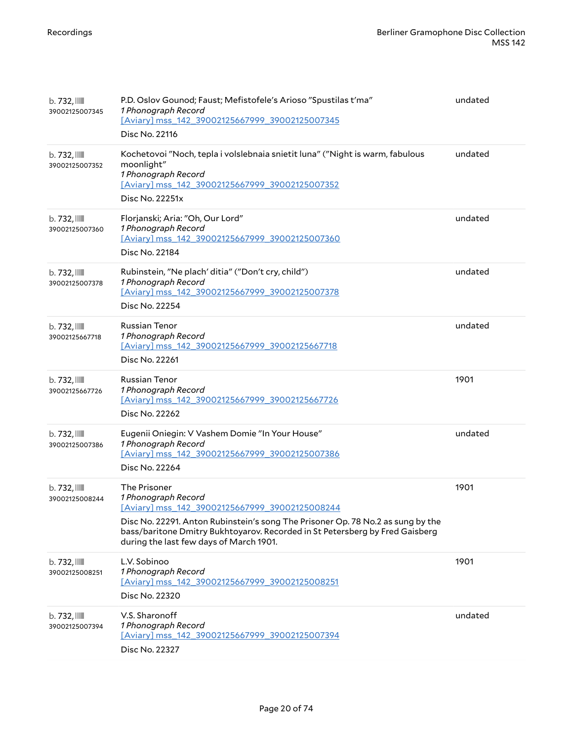| b.732,<br>39002125007345       | P.D. Oslov Gounod; Faust; Mefistofele's Arioso "Spustilas t'ma"<br>1 Phonograph Record<br>[Aviary] mss_142_39002125667999_39002125007345<br>Disc No. 22116                                                                                                                                          | undated |
|--------------------------------|-----------------------------------------------------------------------------------------------------------------------------------------------------------------------------------------------------------------------------------------------------------------------------------------------------|---------|
| b.732,<br>39002125007352       | Kochetovoi "Noch, tepla i volslebnaia snietit luna" ("Night is warm, fabulous<br>moonlight"<br>1 Phonograph Record<br>[Aviary] mss_142_39002125667999_39002125007352<br>Disc No. 22251x                                                                                                             | undated |
| b. 732, IIII<br>39002125007360 | Florjanski; Aria: "Oh, Our Lord"<br>1 Phonograph Record<br>[Aviary] mss_142_39002125667999_39002125007360<br>Disc No. 22184                                                                                                                                                                         | undated |
| b. 732, III<br>39002125007378  | Rubinstein, "Ne plach' ditia" ("Don't cry, child")<br>1 Phonograph Record<br>[Aviary] mss_142_39002125667999_39002125007378<br>Disc No. 22254                                                                                                                                                       | undated |
| b. 732, IIII<br>39002125667718 | <b>Russian Tenor</b><br>1 Phonograph Record<br>[Aviary] mss_142_39002125667999_39002125667718<br>Disc No. 22261                                                                                                                                                                                     | undated |
| b. 732, III<br>39002125667726  | <b>Russian Tenor</b><br>1 Phonograph Record<br>[Aviary] mss_142_39002125667999_39002125667726<br>Disc No. 22262                                                                                                                                                                                     | 1901    |
| b. 732, IIII<br>39002125007386 | Eugenii Oniegin: V Vashem Domie "In Your House"<br>1 Phonograph Record<br>[Aviary] mss 142 39002125667999 39002125007386<br>Disc No. 22264                                                                                                                                                          | undated |
| b. 732, IIII<br>39002125008244 | The Prisoner<br>1 Phonograph Record<br>[Aviary] mss_142_39002125667999_39002125008244<br>Disc No. 22291. Anton Rubinstein's song The Prisoner Op. 78 No.2 as sung by the<br>bass/baritone Dmitry Bukhtoyarov. Recorded in St Petersberg by Fred Gaisberg<br>during the last few days of March 1901. | 1901    |
| b. 732, IIII<br>39002125008251 | L.V. Sobinoo<br>1 Phonograph Record<br>[Aviary] mss 142 39002125667999 39002125008251<br>Disc No. 22320                                                                                                                                                                                             | 1901    |
| b.732,<br>39002125007394       | V.S. Sharonoff<br>1 Phonograph Record<br>[Aviary] mss_142_39002125667999_39002125007394<br>Disc No. 22327                                                                                                                                                                                           | undated |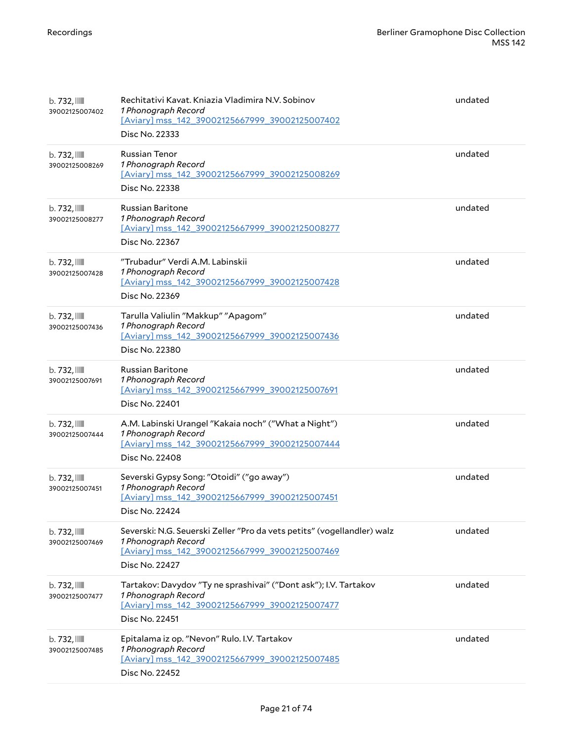| b.732,<br>39002125007402       | Rechitativi Kavat. Kniazia Vladimira N.V. Sobinov<br>1 Phonograph Record<br>[Aviary] mss_142_39002125667999_39002125007402<br>Disc No. 22333                       | undated |
|--------------------------------|--------------------------------------------------------------------------------------------------------------------------------------------------------------------|---------|
| b.732,<br>39002125008269       | <b>Russian Tenor</b><br>1 Phonograph Record<br>[Aviary] mss_142_39002125667999_39002125008269<br>Disc No. 22338                                                    | undated |
| b.732,<br>39002125008277       | <b>Russian Baritone</b><br>1 Phonograph Record<br>[Aviary] mss 142 39002125667999 39002125008277<br>Disc No. 22367                                                 | undated |
| b. 732, IIII<br>39002125007428 | "Trubadur" Verdi A.M. Labinskii<br>1 Phonograph Record<br>[Aviary] mss_142_39002125667999_39002125007428<br>Disc No. 22369                                         | undated |
| b.732,<br>39002125007436       | Tarulla Valiulin "Makkup" "Apagom"<br>1 Phonograph Record<br>[Aviary] mss_142_39002125667999_39002125007436<br>Disc No. 22380                                      | undated |
| b.732,<br>39002125007691       | <b>Russian Baritone</b><br>1 Phonograph Record<br>[Aviary] mss_142_39002125667999_39002125007691<br>Disc No. 22401                                                 | undated |
| b.732,<br>39002125007444       | A.M. Labinski Urangel "Kakaia noch" ("What a Night")<br>1 Phonograph Record<br>[Aviary] mss_142_39002125667999_39002125007444<br>Disc No. 22408                    | undated |
| b.732,<br>39002125007451       | Severski Gypsy Song: "Otoidi" ("go away")<br>1 Phonograph Record<br>[Aviary] mss_142_39002125667999_39002125007451<br>Disc No. 22424                               | undated |
| b.732,<br>39002125007469       | Severski: N.G. Seuerski Zeller "Pro da vets petits" (vogellandler) walz<br>1 Phonograph Record<br>[Aviary] mss_142_39002125667999_39002125007469<br>Disc No. 22427 | undated |
| b.732,<br>39002125007477       | Tartakov: Davydov "Ty ne sprashivai" ("Dont ask"); I.V. Tartakov<br>1 Phonograph Record<br>[Aviary] mss_142_39002125667999_39002125007477<br>Disc No. 22451        | undated |
| b.732,<br>39002125007485       | Epitalama iz op. "Nevon" Rulo. I.V. Tartakov<br>1 Phonograph Record<br>[Aviary] mss_142_39002125667999_39002125007485<br>Disc No. 22452                            | undated |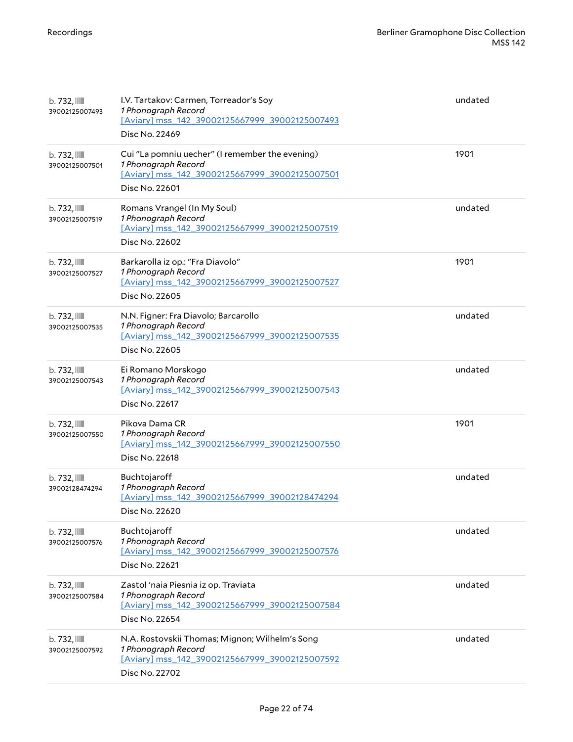| b.732,<br>39002125007493                   | I.V. Tartakov: Carmen, Torreador's Soy<br>1 Phonograph Record<br>[Aviary] mss_142_39002125667999_39002125007493<br>Disc No. 22469          | undated |
|--------------------------------------------|--------------------------------------------------------------------------------------------------------------------------------------------|---------|
| b. 732, IIII<br>39002125007501             | Cui "La pomniu uecher" (I remember the evening)<br>1 Phonograph Record<br>[Aviary] mss_142_39002125667999_39002125007501<br>Disc No. 22601 | 1901    |
| b.732,<br>39002125007519                   | Romans Vrangel (In My Soul)<br>1 Phonograph Record<br>[Aviary] mss_142_39002125667999_39002125007519<br>Disc No. 22602                     | undated |
| b. 732, III<br>39002125007527              | Barkarolla iz op.: "Fra Diavolo"<br>1 Phonograph Record<br>[Aviary] mss_142_39002125667999_39002125007527<br>Disc No. 22605                | 1901    |
| b. 732, IIII<br>39002125007535             | N.N. Figner: Fra Diavolo; Barcarollo<br>1 Phonograph Record<br>[Aviary] mss_142_39002125667999_39002125007535<br>Disc No. 22605            | undated |
| b.732,<br>39002125007543                   | Ei Romano Morskogo<br>1 Phonograph Record<br>[Aviary] mss_142_39002125667999_39002125007543<br>Disc No. 22617                              | undated |
| b.732,<br>39002125007550                   | Pikova Dama CR<br>1 Phonograph Record<br>[Aviary] mss_142_39002125667999_39002125007550<br>Disc No. 22618                                  | 1901    |
| b.732,<br>39002128474294                   | Buchtojaroff<br>1 Phonograph Record<br>[Aviary] mss 142 39002125667999 39002128474294<br>Disc No. 22620                                    | undated |
| b. 732, III<br>39002125007576              | Buchtojaroff<br>1 Phonograph Record<br>[Aviary] mss_142_39002125667999_39002125007576<br>Disc No. 22621                                    | undated |
| $b.732$ , $\blacksquare$<br>39002125007584 | Zastol 'naia Piesnia iz op. Traviata<br>1 Phonograph Record<br>[Aviary] mss_142_39002125667999_39002125007584<br>Disc No. 22654            | undated |
| b.732,<br>39002125007592                   | N.A. Rostovskii Thomas; Mignon; Wilhelm's Song<br>1 Phonograph Record<br>[Aviary] mss_142_39002125667999_39002125007592<br>Disc No. 22702  | undated |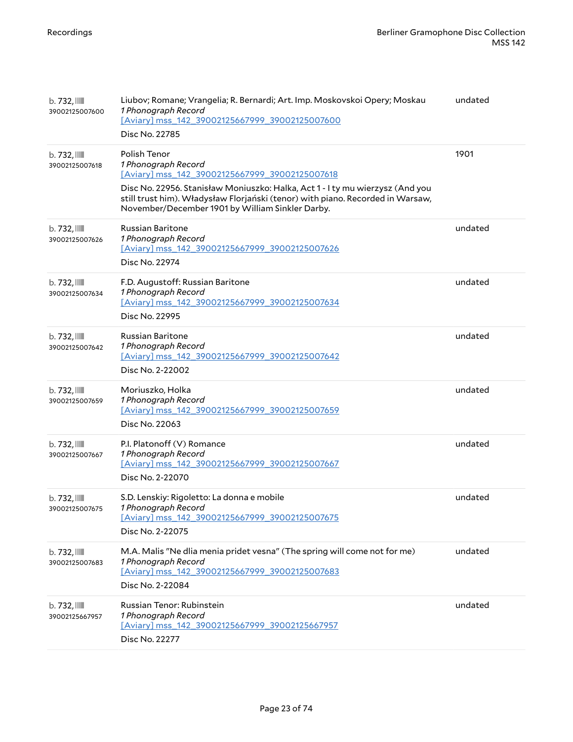| b. 732, III<br>39002125007600              | Liubov; Romane; Vrangelia; R. Bernardi; Art. Imp. Moskovskoi Opery; Moskau<br>1 Phonograph Record<br>[Aviary] mss_142_39002125667999_39002125007600<br>Disc No. 22785                                                                                                                                        | undated |
|--------------------------------------------|--------------------------------------------------------------------------------------------------------------------------------------------------------------------------------------------------------------------------------------------------------------------------------------------------------------|---------|
| b. 732, III<br>39002125007618              | Polish Tenor<br>1 Phonograph Record<br>[Aviary] mss_142_39002125667999_39002125007618<br>Disc No. 22956. Stanisław Moniuszko: Halka, Act 1 - I ty mu wierzysz (And you<br>still trust him). Władysław Florjański (tenor) with piano. Recorded in Warsaw,<br>November/December 1901 by William Sinkler Darby. | 1901    |
| b.732,<br>39002125007626                   | <b>Russian Baritone</b><br>1 Phonograph Record<br>[Aviary] mss_142_39002125667999_39002125007626<br>Disc No. 22974                                                                                                                                                                                           | undated |
| b. 732, III<br>39002125007634              | F.D. Augustoff: Russian Baritone<br>1 Phonograph Record<br>[Aviary] mss 142 39002125667999 39002125007634<br>Disc No. 22995                                                                                                                                                                                  | undated |
| b. 732, III<br>39002125007642              | Russian Baritone<br>1 Phonograph Record<br>[Aviary] mss_142_39002125667999_39002125007642<br>Disc No. 2-22002                                                                                                                                                                                                | undated |
| $b.732$ , $\blacksquare$<br>39002125007659 | Moriuszko, Holka<br>1 Phonograph Record<br>[Aviary] mss 142 39002125667999 39002125007659<br>Disc No. 22063                                                                                                                                                                                                  | undated |
| b. 732, III<br>39002125007667              | P.I. Platonoff (V) Romance<br>1 Phonograph Record<br>[Aviary] mss_142_39002125667999_39002125007667<br>Disc No. 2-22070                                                                                                                                                                                      | undated |
| b.732,<br>39002125007675                   | S.D. Lenskiy: Rigoletto: La donna e mobile<br>1 Phonograph Record<br>[Aviary] mss 142 39002125667999 39002125007675<br>Disc No. 2-22075                                                                                                                                                                      | undated |
| b.732,<br>39002125007683                   | M.A. Malis "Ne dlia menia pridet vesna" (The spring will come not for me)<br>1 Phonograph Record<br>[Aviary] mss_142_39002125667999_39002125007683<br>Disc No. 2-22084                                                                                                                                       | undated |
| b.732,<br>39002125667957                   | Russian Tenor: Rubinstein<br>1 Phonograph Record<br>[Aviary] mss_142_39002125667999_39002125667957<br>Disc No. 22277                                                                                                                                                                                         | undated |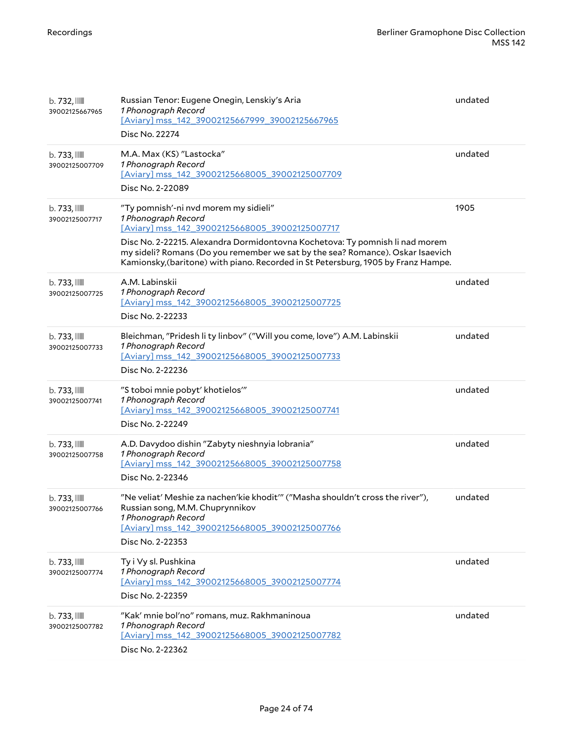| b. 732, IIII<br>39002125667965    | Russian Tenor: Eugene Onegin, Lenskiy's Aria<br>1 Phonograph Record<br>[Aviary] mss_142_39002125667999_39002125667965<br>Disc No. 22274                                                                                                                                                                                                                               | undated |
|-----------------------------------|-----------------------------------------------------------------------------------------------------------------------------------------------------------------------------------------------------------------------------------------------------------------------------------------------------------------------------------------------------------------------|---------|
| $b.733$ , $III$<br>39002125007709 | M.A. Max (KS) "Lastocka"<br>1 Phonograph Record<br>[Aviary] mss_142_39002125668005_39002125007709<br>Disc No. 2-22089                                                                                                                                                                                                                                                 | undated |
| $b.733$ , $III$<br>39002125007717 | "Ty pomnish'-ni nvd morem my sidieli"<br>1 Phonograph Record<br>[Aviary] mss_142_39002125668005_39002125007717<br>Disc No. 2-22215. Alexandra Dormidontovna Kochetova: Ty pomnish li nad morem<br>my sideli? Romans (Do you remember we sat by the sea? Romance). Oskar Isaevich<br>Kamionsky, (baritone) with piano. Recorded in St Petersburg, 1905 by Franz Hampe. | 1905    |
| $b.733$ , $III$<br>39002125007725 | A.M. Labinskii<br>1 Phonograph Record<br>[Aviary] mss_142_39002125668005_39002125007725<br>Disc No. 2-22233                                                                                                                                                                                                                                                           | undated |
| b. 733, IIII<br>39002125007733    | Bleichman, "Pridesh li ty linbov" ("Will you come, love") A.M. Labinskii<br>1 Phonograph Record<br>[Aviary] mss_142_39002125668005_39002125007733<br>Disc No. 2-22236                                                                                                                                                                                                 | undated |
| b. 733, IIII<br>39002125007741    | "S toboi mnie pobyt' khotielos"<br>1 Phonograph Record<br>[Aviary] mss_142_39002125668005_39002125007741<br>Disc No. 2-22249                                                                                                                                                                                                                                          | undated |
| $b.733$ , $III$<br>39002125007758 | A.D. Davydoo dishin "Zabyty nieshnyia lobrania"<br>1 Phonograph Record<br>[Aviary] mss 142 39002125668005 39002125007758<br>Disc No. 2-22346                                                                                                                                                                                                                          | undated |
| b. 733, IIII<br>39002125007766    | "Ne veliat' Meshie za nachen'kie khodit'" ("Masha shouldn't cross the river"),<br>Russian song, M.M. Chuprynnikov<br>1 Phonograph Record<br>[Aviary] mss 142 39002125668005 39002125007766<br>Disc No. 2-22353                                                                                                                                                        | undated |
| $b.733$ , $III$<br>39002125007774 | Ty i Vy sl. Pushkina<br>1 Phonograph Record<br>[Aviary] mss_142_39002125668005_39002125007774<br>Disc No. 2-22359                                                                                                                                                                                                                                                     | undated |
| $b.733$ , $III$<br>39002125007782 | "Kak' mnie bol'no" romans, muz. Rakhmaninoua<br>1 Phonograph Record<br>[Aviary] mss_142_39002125668005_39002125007782<br>Disc No. 2-22362                                                                                                                                                                                                                             | undated |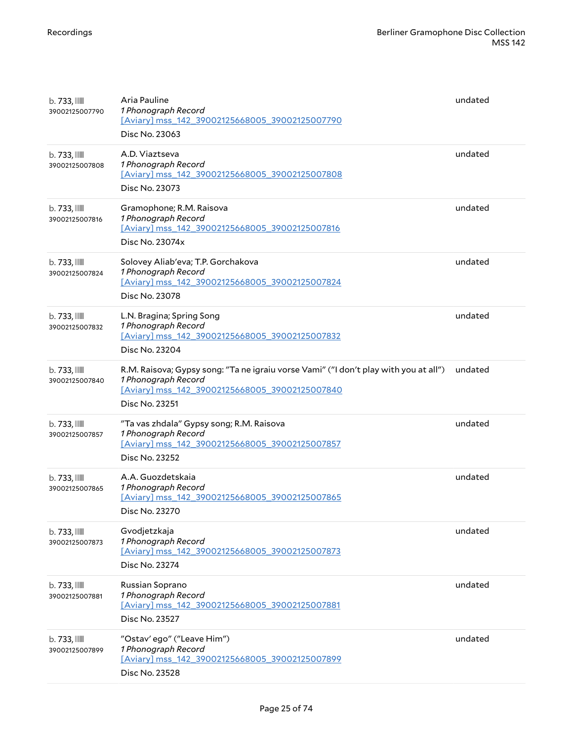| $b.733$ , $\blacksquare$<br>39002125007790 | Aria Pauline<br>1 Phonograph Record<br>[Aviary] mss_142_39002125668005_39002125007790<br>Disc No. 23063                                                                         | undated |
|--------------------------------------------|---------------------------------------------------------------------------------------------------------------------------------------------------------------------------------|---------|
| $b.733$ , $\blacksquare$<br>39002125007808 | A.D. Viaztseva<br>1 Phonograph Record<br>[Aviary] mss_142_39002125668005_39002125007808<br>Disc No. 23073                                                                       | undated |
| $b.733$ , $III$<br>39002125007816          | Gramophone; R.M. Raisova<br>1 Phonograph Record<br>[Aviary] mss_142_39002125668005_39002125007816<br>Disc No. 23074x                                                            | undated |
| $b.733$ , $III$<br>39002125007824          | Solovey Aliab'eva; T.P. Gorchakova<br>1 Phonograph Record<br>[Aviary] mss_142_39002125668005_39002125007824<br>Disc No. 23078                                                   | undated |
| $b.733$ , $\blacksquare$<br>39002125007832 | L.N. Bragina; Spring Song<br>1 Phonograph Record<br>[Aviary] mss_142_39002125668005_39002125007832<br>Disc No. 23204                                                            | undated |
| $b.733$ , $III$<br>39002125007840          | R.M. Raisova; Gypsy song: "Ta ne igraiu vorse Vami" ("I don't play with you at all")<br>1 Phonograph Record<br>[Aviary] mss_142_39002125668005_39002125007840<br>Disc No. 23251 | undated |
| $b.733$ , $III$<br>39002125007857          | "Ta vas zhdala" Gypsy song; R.M. Raisova<br>1 Phonograph Record<br>[Aviary] mss_142_39002125668005_39002125007857<br>Disc No. 23252                                             | undated |
| $b.733$ , $\blacksquare$<br>39002125007865 | A.A. Guozdetskaia<br>1 Phonograph Record<br>[Aviary] mss_142_39002125668005_39002125007865<br>Disc No. 23270                                                                    | undated |
| $b.733$ , $\blacksquare$<br>39002125007873 | Gvodjetzkaja<br>1 Phonograph Record<br>[Aviary] mss_142_39002125668005_39002125007873<br>Disc No. 23274                                                                         | undated |
| b. 733, III<br>39002125007881              | Russian Soprano<br>1 Phonograph Record<br>[Aviary] mss_142_39002125668005_39002125007881<br>Disc No. 23527                                                                      | undated |
| $b.733$ , $III$<br>39002125007899          | "Ostav' ego" ("Leave Him")<br>1 Phonograph Record<br>[Aviary] mss_142_39002125668005_39002125007899<br>Disc No. 23528                                                           | undated |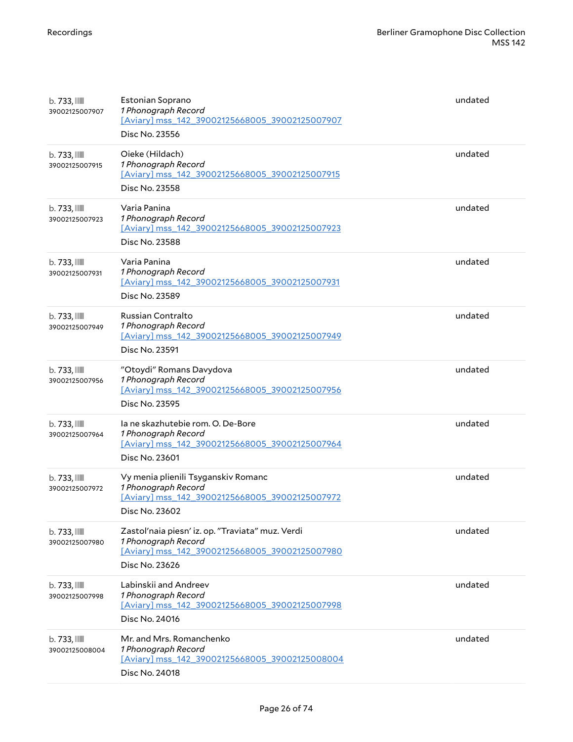| $b.733$ , $\blacksquare$<br>39002125007907 | Estonian Soprano<br>1 Phonograph Record<br>[Aviary] mss 142 39002125668005 39002125007907<br>Disc No. 23556                                 | undated |
|--------------------------------------------|---------------------------------------------------------------------------------------------------------------------------------------------|---------|
| b. 733, IIII<br>39002125007915             | Oieke (Hildach)<br>1 Phonograph Record<br>[Aviary] mss_142_39002125668005_39002125007915<br>Disc No. 23558                                  | undated |
| $b.733$ , $III$<br>39002125007923          | Varia Panina<br>1 Phonograph Record<br>[Aviary] mss_142_39002125668005_39002125007923<br>Disc No. 23588                                     | undated |
| $b.733$ , $III$<br>39002125007931          | Varia Panina<br>1 Phonograph Record<br>[Aviary] mss_142_39002125668005_39002125007931<br>Disc No. 23589                                     | undated |
| b. 733, IIII<br>39002125007949             | Russian Contralto<br>1 Phonograph Record<br>[Aviary] mss_142_39002125668005_39002125007949<br>Disc No. 23591                                | undated |
| $b.733$ , $III$<br>39002125007956          | "Otoydi" Romans Davydova<br>1 Phonograph Record<br>[Aviary] mss_142_39002125668005_39002125007956<br>Disc No. 23595                         | undated |
| $b.733$ , $III$<br>39002125007964          | la ne skazhutebie rom. O. De-Bore<br>1 Phonograph Record<br>[Aviary] mss_142_39002125668005_39002125007964<br>Disc No. 23601                | undated |
| $b.733$ , $III$<br>39002125007972          | Vy menia plienili Tsyganskiv Romanc<br>1 Phonograph Record<br>[Aviary] mss 142 39002125668005 39002125007972<br>Disc No. 23602              | undated |
| $b.733$ , $III$<br>39002125007980          | Zastol'naia piesn' iz. op. "Traviata" muz. Verdi<br>1 Phonograph Record<br>[Aviary] mss_142_39002125668005_39002125007980<br>Disc No. 23626 | undated |
| $b.733$ , $III$<br>39002125007998          | Labinskij and Andreev<br>1 Phonograph Record<br>[Aviary] mss 142 39002125668005 39002125007998<br>Disc No. 24016                            | undated |
| $b.733$ , $III$<br>39002125008004          | Mr. and Mrs. Romanchenko<br>1 Phonograph Record<br>[Aviary] mss_142_39002125668005_39002125008004<br>Disc No. 24018                         | undated |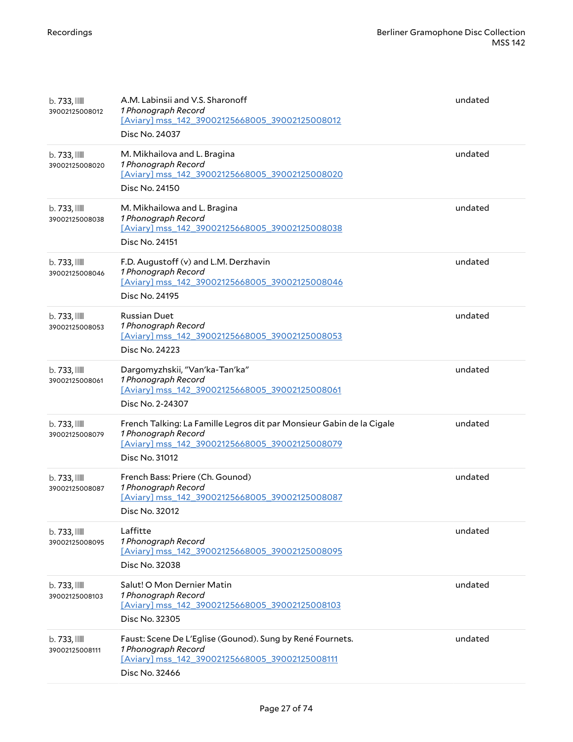| $b.733$ , $III$<br>39002125008012          | A.M. Labinsii and V.S. Sharonoff<br>1 Phonograph Record<br>[Aviary] mss_142_39002125668005_39002125008012<br>Disc No. 24037                                      | undated |
|--------------------------------------------|------------------------------------------------------------------------------------------------------------------------------------------------------------------|---------|
| $b.733$ , $\blacksquare$<br>39002125008020 | M. Mikhailova and L. Bragina<br>1 Phonograph Record<br>[Aviary] mss 142 39002125668005 39002125008020<br>Disc No. 24150                                          | undated |
| $b.733$ , $\mathbb{I}$<br>39002125008038   | M. Mikhailowa and L. Bragina<br>1 Phonograph Record<br>[Aviary] mss_142_39002125668005_39002125008038<br>Disc No. 24151                                          | undated |
| $b.733$ , $III$<br>39002125008046          | F.D. Augustoff (v) and L.M. Derzhavin<br>1 Phonograph Record<br>[Aviary] mss_142_39002125668005_39002125008046<br>Disc No. 24195                                 | undated |
| b. 733, IIII<br>39002125008053             | <b>Russian Duet</b><br>1 Phonograph Record<br>[Aviary] mss_142_39002125668005_39002125008053<br>Disc No. 24223                                                   | undated |
| $b.733$ , $III$<br>39002125008061          | Dargomyzhskii, "Van'ka-Tan'ka"<br>1 Phonograph Record<br>[Aviary] mss_142_39002125668005_39002125008061<br>Disc No. 2-24307                                      | undated |
| $b.733$ , $III$<br>39002125008079          | French Talking: La Famille Legros dit par Monsieur Gabin de la Cigale<br>1 Phonograph Record<br>[Aviary] mss_142_39002125668005_39002125008079<br>Disc No. 31012 | undated |
| $b.733$ , $III$<br>39002125008087          | French Bass: Priere (Ch. Gounod)<br>1 Phonograph Record<br>[Aviary] mss 142 39002125668005 39002125008087<br>Disc No. 32012                                      | undated |
| $b.733$ , $III$<br>39002125008095          | Laffitte<br>1 Phonograph Record<br>[Aviary] mss_142_39002125668005_39002125008095<br>Disc No. 32038                                                              | undated |
| $b.733$ , $III$<br>39002125008103          | Salut! O Mon Dernier Matin<br>1 Phonograph Record<br>[Aviary] mss_142_39002125668005_39002125008103<br>Disc No. 32305                                            | undated |
| $b.733$ , $III$<br>39002125008111          | Faust: Scene De L'Eglise (Gounod). Sung by René Fournets.<br>1 Phonograph Record<br>[Aviary] mss_142_39002125668005_39002125008111<br>Disc No. 32466             | undated |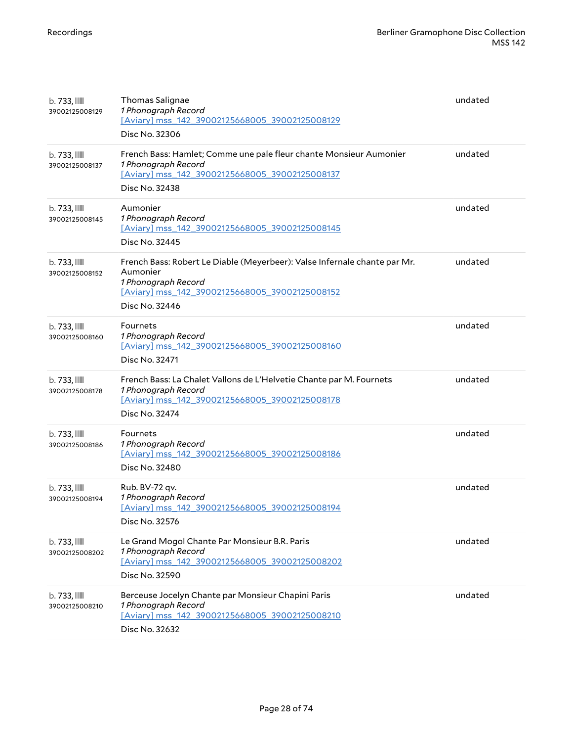| $b.733$ , $\blacksquare$<br>39002125008129 | Thomas Salignae<br>1 Phonograph Record<br>[Aviary] mss_142_39002125668005_39002125008129<br>Disc No. 32306                                                                       | undated |
|--------------------------------------------|----------------------------------------------------------------------------------------------------------------------------------------------------------------------------------|---------|
| $b.733$ , $III$<br>39002125008137          | French Bass: Hamlet; Comme une pale fleur chante Monsieur Aumonier<br>1 Phonograph Record<br>[Aviary] mss_142_39002125668005_39002125008137<br>Disc No. 32438                    | undated |
| b. 733, III<br>39002125008145              | Aumonier<br>1 Phonograph Record<br>[Aviary] mss_142_39002125668005_39002125008145<br>Disc No. 32445                                                                              | undated |
| $b.733$ , $III$<br>39002125008152          | French Bass: Robert Le Diable (Meyerbeer): Valse Infernale chante par Mr.<br>Aumonier<br>1 Phonograph Record<br>[Aviary] mss 142 39002125668005 39002125008152<br>Disc No. 32446 | undated |
| $b.733$ , $III$<br>39002125008160          | Fournets<br>1 Phonograph Record<br>[Aviary] mss_142_39002125668005_39002125008160<br>Disc No. 32471                                                                              | undated |
| b. 733, IIII<br>39002125008178             | French Bass: La Chalet Vallons de L'Helvetie Chante par M. Fournets<br>1 Phonograph Record<br>[Aviary] mss_142_39002125668005_39002125008178<br>Disc No. 32474                   | undated |
| $b.733$ , $III$<br>39002125008186          | Fournets<br>1 Phonograph Record<br>[Aviary] mss_142_39002125668005_39002125008186<br>Disc No. 32480                                                                              | undated |
| $b.733$ , $III$<br>39002125008194          | Rub. BV-72 qv.<br>1 Phonograph Record<br>[Aviary] mss_142_39002125668005_39002125008194<br>Disc No. 32576                                                                        | undated |
| $b.733$ ,<br>39002125008202                | Le Grand Mogol Chante Par Monsieur B.R. Paris<br>1 Phonograph Record<br>[Aviary] mss_142_39002125668005_39002125008202<br>Disc No. 32590                                         | undated |
| $b.733$ , $III$<br>39002125008210          | Berceuse Jocelyn Chante par Monsieur Chapini Paris<br>1 Phonograph Record<br>[Aviary] mss 142 39002125668005 39002125008210<br>Disc No. 32632                                    | undated |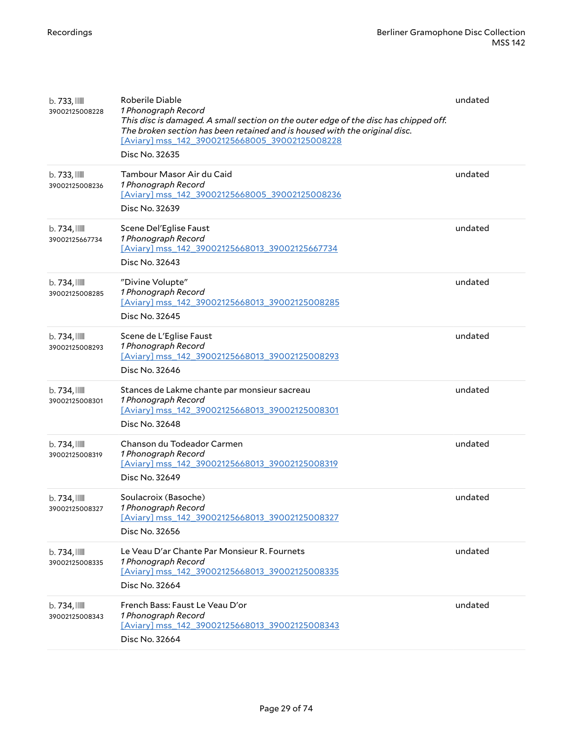| $b.733$ ,<br>39002125008228                | Roberile Diable<br>1 Phonograph Record<br>This disc is damaged. A small section on the outer edge of the disc has chipped off.<br>The broken section has been retained and is housed with the original disc.<br>[Aviary] mss_142_39002125668005_39002125008228<br>Disc No. 32635 | undated |
|--------------------------------------------|----------------------------------------------------------------------------------------------------------------------------------------------------------------------------------------------------------------------------------------------------------------------------------|---------|
| $b.733$ , $III$<br>39002125008236          | Tambour Masor Air du Caid<br>1 Phonograph Record<br>[Aviary] mss 142 39002125668005 39002125008236<br>Disc No. 32639                                                                                                                                                             | undated |
| b.734,<br>39002125667734                   | Scene Del'Eglise Faust<br>1 Phonograph Record<br>[Aviary] mss_142_39002125668013_39002125667734<br>Disc No. 32643                                                                                                                                                                | undated |
| $b.734$ , $\blacksquare$<br>39002125008285 | "Divine Volupte"<br>1 Phonograph Record<br>[Aviary] mss_142_39002125668013_39002125008285<br>Disc No. 32645                                                                                                                                                                      | undated |
| $b.734$ , $\blacksquare$<br>39002125008293 | Scene de L'Eglise Faust<br>1 Phonograph Record<br>[Aviary] mss 142 39002125668013 39002125008293<br>Disc No. 32646                                                                                                                                                               | undated |
| $b.734$ , $\blacksquare$<br>39002125008301 | Stances de Lakme chante par monsieur sacreau<br>1 Phonograph Record<br>[Aviary] mss_142_39002125668013_39002125008301<br>Disc No. 32648                                                                                                                                          | undated |
| $b.734$ , $\blacksquare$<br>39002125008319 | Chanson du Todeador Carmen<br>1 Phonograph Record<br>[Aviary] mss_142_39002125668013_39002125008319<br>Disc No. 32649                                                                                                                                                            | undated |
| $b.734$ , $\blacksquare$<br>39002125008327 | Soulacroix (Basoche)<br>1 Phonograph Record<br>[Aviary] mss_142_39002125668013_39002125008327<br>Disc No. 32656                                                                                                                                                                  | undated |
| b.734,<br>39002125008335                   | Le Veau D'ar Chante Par Monsieur R. Fournets<br>1 Phonograph Record<br>[Aviary] mss 142 39002125668013 39002125008335<br>Disc No. 32664                                                                                                                                          | undated |
| b.734,<br>39002125008343                   | French Bass: Faust Le Veau D'or<br>1 Phonograph Record<br>[Aviary] mss 142 39002125668013 39002125008343<br>Disc No. 32664                                                                                                                                                       | undated |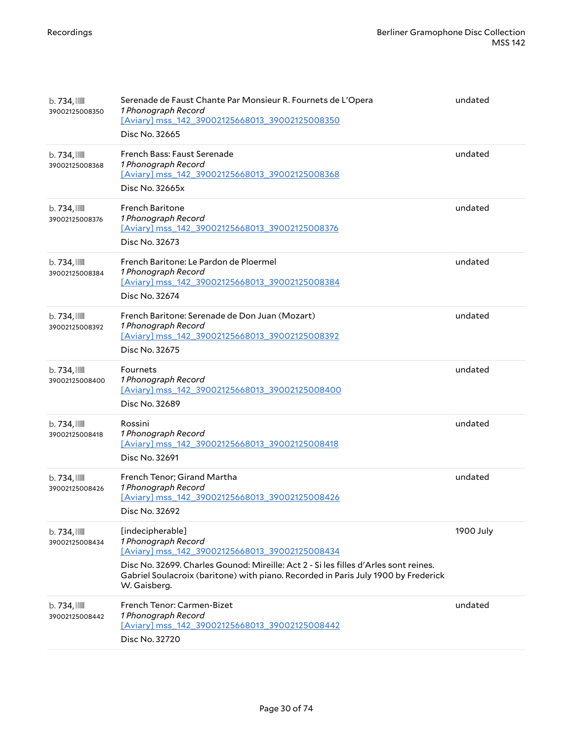| $b.734$ , $\blacksquare$<br>39002125008350 | Serenade de Faust Chante Par Monsieur R. Fournets de L'Opera<br>1 Phonograph Record<br>[Aviary] mss 142 39002125668013 39002125008350<br>Disc No. 32665                                                                                                                                 | undated   |
|--------------------------------------------|-----------------------------------------------------------------------------------------------------------------------------------------------------------------------------------------------------------------------------------------------------------------------------------------|-----------|
| $b.734$ , $\blacksquare$<br>39002125008368 | French Bass: Faust Serenade<br>1 Phonograph Record<br>[Aviary] mss_142_39002125668013_39002125008368<br>Disc No. 32665x                                                                                                                                                                 | undated   |
| $b.734$ , $\blacksquare$<br>39002125008376 | <b>French Baritone</b><br>1 Phonograph Record<br>[Aviary] mss_142_39002125668013_39002125008376<br>Disc No. 32673                                                                                                                                                                       | undated   |
| b. 734, III<br>39002125008384              | French Baritone: Le Pardon de Ploermel<br>1 Phonograph Record<br>[Aviary] mss_142_39002125668013_39002125008384<br>Disc No. 32674                                                                                                                                                       | undated   |
| $b.734$ , $\blacksquare$<br>39002125008392 | French Baritone: Serenade de Don Juan (Mozart)<br>1 Phonograph Record<br>[Aviary] mss_142_39002125668013_39002125008392<br>Disc No. 32675                                                                                                                                               | undated   |
| b.734,<br>39002125008400                   | Fournets<br>1 Phonograph Record<br>[Aviary] mss_142_39002125668013_39002125008400<br>Disc No. 32689                                                                                                                                                                                     | undated   |
| $b.734$ , $\blacksquare$<br>39002125008418 | Rossini<br>1 Phonograph Record<br>[Aviary] mss_142_39002125668013_39002125008418<br>Disc No. 32691                                                                                                                                                                                      | undated   |
| $b.734$ , $\blacksquare$<br>39002125008426 | French Tenor; Girand Martha<br>1 Phonograph Record<br>[Aviary] mss_142_39002125668013_39002125008426<br>Disc No. 32692                                                                                                                                                                  | undated   |
| $b.734$ , $\blacksquare$<br>39002125008434 | [indecipherable]<br>1 Phonograph Record<br>[Aviary] mss 142 39002125668013 39002125008434<br>Disc No. 32699. Charles Gounod: Mireille: Act 2 - Si les filles d'Arles sont reines.<br>Gabriel Soulacroix (baritone) with piano. Recorded in Paris July 1900 by Frederick<br>W. Gaisberg. | 1900 July |
| b.734,<br>39002125008442                   | French Tenor: Carmen-Bizet<br>1 Phonograph Record<br>[Aviary] mss 142 39002125668013 39002125008442<br>Disc No. 32720                                                                                                                                                                   | undated   |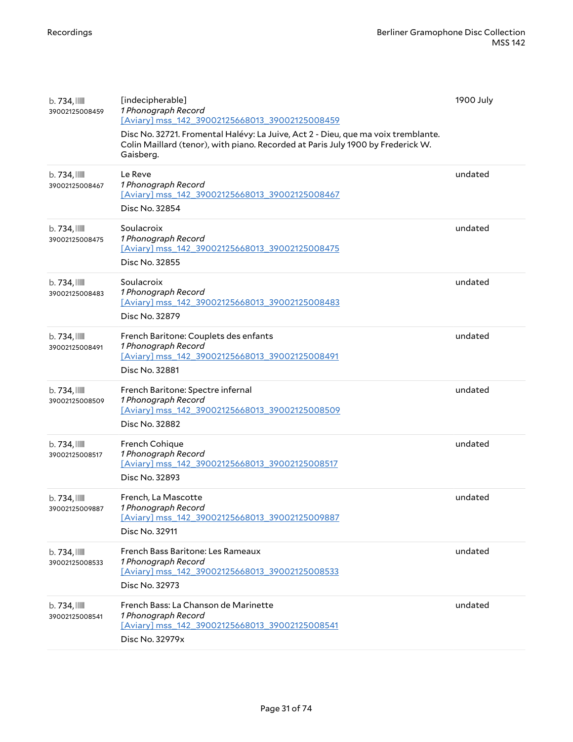| $b.734$ , $III$<br>39002125008459          | [indecipherable]<br>1 Phonograph Record<br>[Aviary] mss 142 39002125668013 39002125008459<br>Disc No. 32721. Fromental Halévy: La Juive, Act 2 - Dieu, que ma voix tremblante.<br>Colin Maillard (tenor), with piano. Recorded at Paris July 1900 by Frederick W.<br>Gaisberg. | 1900 July |
|--------------------------------------------|--------------------------------------------------------------------------------------------------------------------------------------------------------------------------------------------------------------------------------------------------------------------------------|-----------|
| $b.734$ , $111$<br>39002125008467          | Le Reve<br>1 Phonograph Record<br>[Aviary] mss 142 39002125668013 39002125008467<br>Disc No. 32854                                                                                                                                                                             | undated   |
| $b.734$ , $\blacksquare$<br>39002125008475 | Soulacroix<br>1 Phonograph Record<br>[Aviary] mss_142_39002125668013_39002125008475<br>Disc No. 32855                                                                                                                                                                          | undated   |
| $b.734$ , $\blacksquare$<br>39002125008483 | Soulacroix<br>1 Phonograph Record<br>[Aviary] mss 142 39002125668013 39002125008483<br>Disc No. 32879                                                                                                                                                                          | undated   |
| $b.734$ , $\blacksquare$<br>39002125008491 | French Baritone: Couplets des enfants<br>1 Phonograph Record<br>[Aviary] mss_142_39002125668013_39002125008491<br>Disc No. 32881                                                                                                                                               | undated   |
| $b.734$ , $III$<br>39002125008509          | French Baritone: Spectre infernal<br>1 Phonograph Record<br>[Aviary] mss 142 39002125668013 39002125008509<br>Disc No. 32882                                                                                                                                                   | undated   |
| $b.734$ , $III$<br>39002125008517          | French Cohique<br>1 Phonograph Record<br>[Aviary] mss 142 39002125668013 39002125008517<br>Disc No. 32893                                                                                                                                                                      | undated   |
| $b.734$ , $\blacksquare$<br>39002125009887 | French, La Mascotte<br>1 Phonograph Record<br>[Aviary] mss_142_39002125668013_39002125009887<br>Disc No. 32911                                                                                                                                                                 | undated   |
| $b.734$ , $III$<br>39002125008533          | French Bass Baritone: Les Rameaux<br>1 Phonograph Record<br>[Aviary] mss 142 39002125668013 39002125008533<br>Disc No. 32973                                                                                                                                                   | undated   |
| $b.734$ , $\blacksquare$<br>39002125008541 | French Bass: La Chanson de Marinette<br>1 Phonograph Record<br>[Aviary] mss_142_39002125668013_39002125008541<br>Disc No. 32979x                                                                                                                                               | undated   |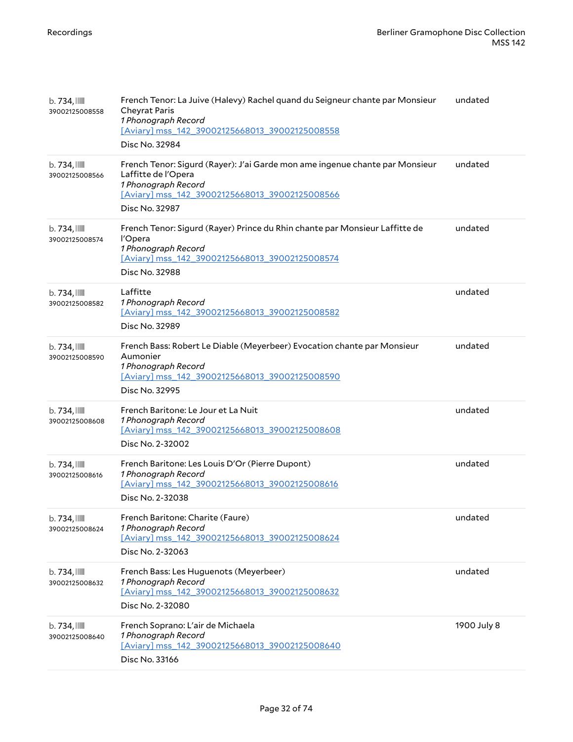| $b.734$ , $\blacksquare$<br>39002125008558 | French Tenor: La Juive (Halevy) Rachel quand du Seigneur chante par Monsieur<br><b>Cheyrat Paris</b><br>1 Phonograph Record<br>[Aviary] mss_142_39002125668013_39002125008558<br>Disc No. 32984 | undated     |
|--------------------------------------------|-------------------------------------------------------------------------------------------------------------------------------------------------------------------------------------------------|-------------|
| $b.734$ , $\blacksquare$<br>39002125008566 | French Tenor: Sigurd (Rayer): J'ai Garde mon ame ingenue chante par Monsieur<br>Laffitte de l'Opera<br>1 Phonograph Record<br>[Aviary] mss_142_39002125668013_39002125008566<br>Disc No. 32987  | undated     |
| b. 734, III<br>39002125008574              | French Tenor: Sigurd (Rayer) Prince du Rhin chante par Monsieur Laffitte de<br>l'Opera<br>1 Phonograph Record<br>[Aviary] mss_142_39002125668013_39002125008574<br>Disc No. 32988               | undated     |
| $b.734$ , $\blacksquare$<br>39002125008582 | Laffitte<br>1 Phonograph Record<br>[Aviary] mss_142_39002125668013_39002125008582<br>Disc No. 32989                                                                                             | undated     |
| $b.734$ , $\blacksquare$<br>39002125008590 | French Bass: Robert Le Diable (Meyerbeer) Evocation chante par Monsieur<br>Aumonier<br>1 Phonograph Record<br>[Aviary] mss 142 39002125668013 39002125008590<br>Disc No. 32995                  | undated     |
| $b.734$ , $\blacksquare$<br>39002125008608 | French Baritone: Le Jour et La Nuit<br>1 Phonograph Record<br>[Aviary] mss_142_39002125668013_39002125008608<br>Disc No. 2-32002                                                                | undated     |
| $b.734$ , $\blacksquare$<br>39002125008616 | French Baritone: Les Louis D'Or (Pierre Dupont)<br>1 Phonograph Record<br>[Aviary] mss_142_39002125668013_39002125008616<br>Disc No. 2-32038                                                    | undated     |
| $b.734$ , $\blacksquare$<br>39002125008624 | French Baritone: Charite (Faure)<br>1 Phonograph Record<br>[Aviary] mss_142_39002125668013_39002125008624<br>Disc No. 2-32063                                                                   | undated     |
| $b.734$ , $\blacksquare$<br>39002125008632 | French Bass: Les Huguenots (Meyerbeer)<br>1 Phonograph Record<br>[Aviary] mss_142_39002125668013_39002125008632<br>Disc No. 2-32080                                                             | undated     |
| $b.734$ , $\blacksquare$<br>39002125008640 | French Soprano: L'air de Michaela<br>1 Phonograph Record<br>[Aviary] mss_142_39002125668013_39002125008640<br>Disc No. 33166                                                                    | 1900 July 8 |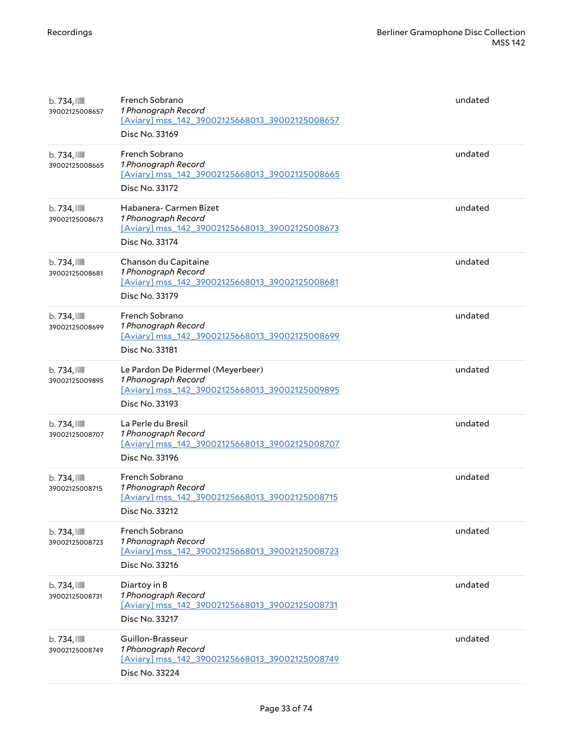| $b.734$ , $\blacksquare$<br>39002125008657 | French Sobrano<br>1 Phonograph Record<br>[Aviary] mss_142_39002125668013_39002125008657<br>Disc No. 33169                    | undated |
|--------------------------------------------|------------------------------------------------------------------------------------------------------------------------------|---------|
| $b.734$ , $\blacksquare$<br>39002125008665 | French Sobrano<br>1 Phonograph Record<br>[Aviary] mss_142_39002125668013_39002125008665<br>Disc No. 33172                    | undated |
| $b.734$ , $\blacksquare$<br>39002125008673 | Habanera- Carmen Bizet<br>1 Phonograph Record<br>[Aviary] mss_142_39002125668013_39002125008673<br>Disc No. 33174            | undated |
| $b.734$ , $\blacksquare$<br>39002125008681 | Chanson du Capitaine<br>1 Phonograph Record<br>[Aviary] mss_142_39002125668013_39002125008681<br>Disc No. 33179              | undated |
| b. 734, III<br>39002125008699              | French Sobrano<br>1 Phonograph Record<br>[Aviary] mss_142_39002125668013_39002125008699<br>Disc No. 33181                    | undated |
| $b.734$ , $\blacksquare$<br>39002125009895 | Le Pardon De Pidermel (Meyerbeer)<br>1 Phonograph Record<br>[Aviary] mss_142_39002125668013_39002125009895<br>Disc No. 33193 | undated |
| $b.734$ , $\blacksquare$<br>39002125008707 | La Perle du Bresil<br>1 Phonograph Record<br>[Aviary] mss_142_39002125668013_39002125008707<br>Disc No. 33196                | undated |
| $b.734$ , $\blacksquare$<br>39002125008715 | French Sobrano<br>1 Phonograph Record<br>[Aviary] mss 142 39002125668013 39002125008715<br>Disc No. 33212                    | undated |
| $b.734$ , $\blacksquare$<br>39002125008723 | French Sobrano<br>1 Phonograph Record<br>[Aviary] mss_142_39002125668013_39002125008723<br>Disc No. 33216                    | undated |
| $b.734$ , $\blacksquare$<br>39002125008731 | Diartoy in B<br>1 Phonograph Record<br>[Aviary] mss 142 39002125668013 39002125008731<br>Disc No. 33217                      | undated |
| $b.734$ , $\blacksquare$<br>39002125008749 | Guillon-Brasseur<br>1 Phonograph Record<br>[Aviary] mss_142_39002125668013_39002125008749<br>Disc No. 33224                  | undated |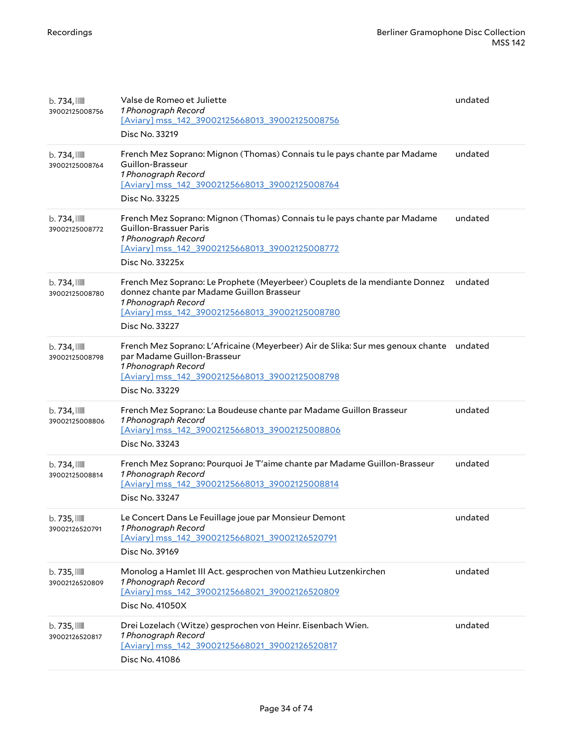| $b.734$ , $\blacksquare$<br>39002125008756 | Valse de Romeo et Juliette<br>1 Phonograph Record<br>[Aviary] mss_142_39002125668013_39002125008756<br>Disc No. 33219                                                                                               | undated |
|--------------------------------------------|---------------------------------------------------------------------------------------------------------------------------------------------------------------------------------------------------------------------|---------|
| $b.734$ , $\blacksquare$<br>39002125008764 | French Mez Soprano: Mignon (Thomas) Connais tu le pays chante par Madame<br>Guillon-Brasseur<br>1 Phonograph Record<br>[Aviary] mss_142_39002125668013_39002125008764<br>Disc No. 33225                             | undated |
| $b.734$ , $\blacksquare$<br>39002125008772 | French Mez Soprano: Mignon (Thomas) Connais tu le pays chante par Madame<br>Guillon-Brassuer Paris<br>1 Phonograph Record<br>[Aviary] mss_142_39002125668013_39002125008772<br>Disc No. 33225x                      | undated |
| $b.734$ , $\blacksquare$<br>39002125008780 | French Mez Soprano: Le Prophete (Meyerbeer) Couplets de la mendiante Donnez<br>donnez chante par Madame Guillon Brasseur<br>1 Phonograph Record<br>[Aviary] mss_142_39002125668013_39002125008780<br>Disc No. 33227 | undated |
| $b.734$ , $\blacksquare$<br>39002125008798 | French Mez Soprano: L'Africaine (Meyerbeer) Air de Slika: Sur mes genoux chante<br>par Madame Guillon-Brasseur<br>1 Phonograph Record<br>[Aviary] mss_142_39002125668013_39002125008798<br>Disc No. 33229           | undated |
| $b.734$ , $\blacksquare$<br>39002125008806 | French Mez Soprano: La Boudeuse chante par Madame Guillon Brasseur<br>1 Phonograph Record<br>[Aviary] mss_142_39002125668013_39002125008806<br>Disc No. 33243                                                       | undated |
| $b.734$ , $\blacksquare$<br>39002125008814 | French Mez Soprano: Pourquoi Je T'aime chante par Madame Guillon-Brasseur<br>1 Phonograph Record<br>[Aviary] mss_142_39002125668013_39002125008814<br>Disc No. 33247                                                | undated |
| $b.735$ , $III$<br>39002126520791          | Le Concert Dans Le Feuillage joue par Monsieur Demont<br>1 Phonograph Record<br>[Aviary] mss 142 39002125668021 39002126520791<br>Disc No. 39169                                                                    | undated |
| $b.735$ , $III$<br>39002126520809          | Monolog a Hamlet III Act. gesprochen von Mathieu Lutzenkirchen<br>1 Phonograph Record<br>[Aviary] mss_142_39002125668021_39002126520809<br>Disc No. 41050X                                                          | undated |
| $b.735$ , $III$<br>39002126520817          | Drei Lozelach (Witze) gesprochen von Heinr. Eisenbach Wien.<br>1 Phonograph Record<br>[Aviary] mss_142_39002125668021_39002126520817<br>Disc No. 41086                                                              | undated |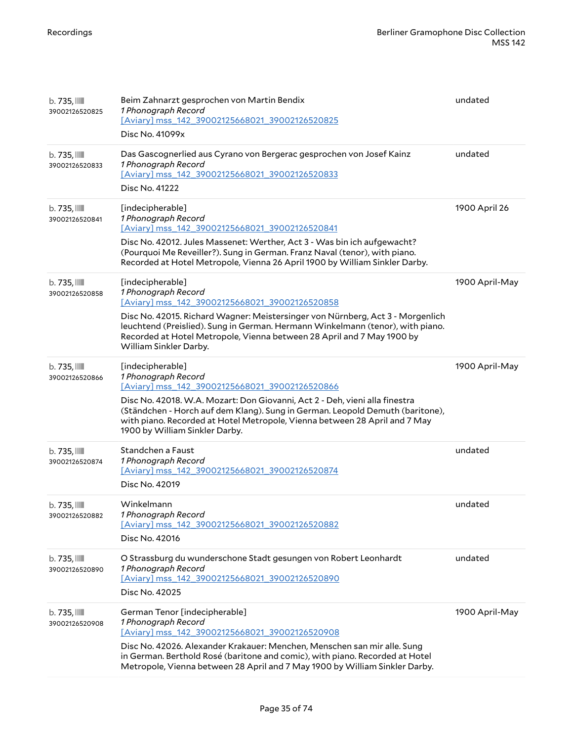| b. 735, IIII<br>39002126520825    | Beim Zahnarzt gesprochen von Martin Bendix<br>1 Phonograph Record<br>[Aviary] mss 142 39002125668021 39002126520825<br>Disc No. 41099x                                                                                                                                                                                                                                    | undated        |
|-----------------------------------|---------------------------------------------------------------------------------------------------------------------------------------------------------------------------------------------------------------------------------------------------------------------------------------------------------------------------------------------------------------------------|----------------|
| b. 735, IIII<br>39002126520833    | Das Gascognerlied aus Cyrano von Bergerac gesprochen von Josef Kainz<br>1 Phonograph Record<br>[Aviary] mss_142_39002125668021_39002126520833<br>Disc No. 41222                                                                                                                                                                                                           | undated        |
| $b.735$ , $III$<br>39002126520841 | [indecipherable]<br>1 Phonograph Record<br>[Aviary] mss_142_39002125668021_39002126520841<br>Disc No. 42012. Jules Massenet: Werther, Act 3 - Was bin ich aufgewacht?<br>(Pourquoi Me Reveiller?). Sung in German. Franz Naval (tenor), with piano.<br>Recorded at Hotel Metropole, Vienna 26 April 1900 by William Sinkler Darby.                                        | 1900 April 26  |
| b. 735,<br>39002126520858         | [indecipherable]<br>1 Phonograph Record<br>[Aviary] mss_142_39002125668021_39002126520858<br>Disc No. 42015. Richard Wagner: Meistersinger von Nürnberg, Act 3 - Morgenlich<br>leuchtend (Preislied). Sung in German. Hermann Winkelmann (tenor), with piano.<br>Recorded at Hotel Metropole, Vienna between 28 April and 7 May 1900 by<br>William Sinkler Darby.         | 1900 April-May |
| b. 735, IIII<br>39002126520866    | [indecipherable]<br>1 Phonograph Record<br>[Aviary] mss 142 39002125668021 39002126520866<br>Disc No. 42018. W.A. Mozart: Don Giovanni, Act 2 - Deh, vieni alla finestra<br>(Ständchen - Horch auf dem Klang). Sung in German. Leopold Demuth (baritone),<br>with piano. Recorded at Hotel Metropole, Vienna between 28 April and 7 May<br>1900 by William Sinkler Darby. | 1900 April-May |
| b. 735,<br>39002126520874         | Standchen a Faust<br>1 Phonograph Record<br>[Aviary] mss_142_39002125668021_39002126520874<br>Disc No. 42019                                                                                                                                                                                                                                                              | undated        |
| b. 735, IIII<br>39002126520882    | Winkelmann<br>1 Phonograph Record<br>[Aviary] mss 142 39002125668021 39002126520882<br>Disc No. 42016                                                                                                                                                                                                                                                                     | undated        |
| $b.735$ , $III$<br>39002126520890 | O Strassburg du wunderschone Stadt gesungen von Robert Leonhardt<br>1 Phonograph Record<br>[Aviary] mss_142_39002125668021_39002126520890<br>Disc No. 42025                                                                                                                                                                                                               | undated        |
| b. 735, IIII<br>39002126520908    | German Tenor [indecipherable]<br>1 Phonograph Record<br>[Aviary] mss_142_39002125668021_39002126520908<br>Disc No. 42026. Alexander Krakauer: Menchen, Menschen san mir alle. Sung<br>in German. Berthold Rosé (baritone and comic), with piano. Recorded at Hotel<br>Metropole, Vienna between 28 April and 7 May 1900 by William Sinkler Darby.                         | 1900 April-May |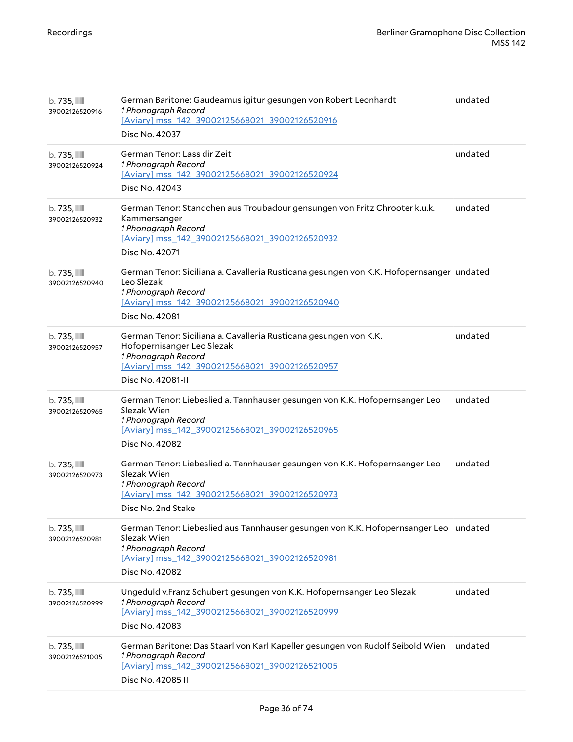| $b.735$ , $III$<br>39002126520916        | German Baritone: Gaudeamus igitur gesungen von Robert Leonhardt<br>1 Phonograph Record<br>[Aviary] mss 142 39002125668021 39002126520916<br>Disc No. 42037                                        | undated |
|------------------------------------------|---------------------------------------------------------------------------------------------------------------------------------------------------------------------------------------------------|---------|
| $b.735$ , $III$<br>39002126520924        | German Tenor: Lass dir Zeit<br>1 Phonograph Record<br>[Aviary] mss_142_39002125668021_39002126520924<br>Disc No. 42043                                                                            | undated |
| $b.735$ , $III$<br>39002126520932        | German Tenor: Standchen aus Troubadour gensungen von Fritz Chrooter k.u.k.<br>Kammersanger<br>1 Phonograph Record<br>[Aviary] mss_142_39002125668021_39002126520932<br>Disc No. 42071             | undated |
| $b.735$ , $III$<br>39002126520940        | German Tenor: Siciliana a. Cavalleria Rusticana gesungen von K.K. Hofopernsanger undated<br>Leo Slezak<br>1 Phonograph Record<br>[Aviary] mss_142_39002125668021_39002126520940<br>Disc No. 42081 |         |
| $b.735$ , $III$<br>39002126520957        | German Tenor: Siciliana a. Cavalleria Rusticana gesungen von K.K.<br>Hofopernisanger Leo Slezak<br>1 Phonograph Record<br>[Aviary] mss 142 39002125668021 39002126520957<br>Disc No. 42081-II     | undated |
| $b.735$ , $III$<br>39002126520965        | German Tenor: Liebeslied a. Tannhauser gesungen von K.K. Hofopernsanger Leo<br>Slezak Wien<br>1 Phonograph Record<br>[Aviary] mss_142_39002125668021_39002126520965<br>Disc No. 42082             | undated |
| $b.735$ , $\mathbb{I}$<br>39002126520973 | German Tenor: Liebeslied a. Tannhauser gesungen von K.K. Hofopernsanger Leo<br>Slezak Wien<br>1 Phonograph Record<br>[Aviary] mss_142_39002125668021_39002126520973<br>Disc No. 2nd Stake         | undated |
| $b.735$ , $III$<br>39002126520981        | German Tenor: Liebeslied aus Tannhauser gesungen von K.K. Hofopernsanger Leo undated<br>Slezak Wien<br>1 Phonograph Record<br>[Aviary] mss_142_39002125668021_39002126520981<br>Disc No. 42082    |         |
| $b.735$ , $\mathbb{I}$<br>39002126520999 | Ungeduld v.Franz Schubert gesungen von K.K. Hofopernsanger Leo Slezak<br>1 Phonograph Record<br>[Aviary] mss_142_39002125668021_39002126520999<br>Disc No. 42083                                  | undated |
| $b.735$ , $III$<br>39002126521005        | German Baritone: Das Staarl von Karl Kapeller gesungen von Rudolf Seibold Wien<br>1 Phonograph Record<br>[Aviary] mss_142_39002125668021_39002126521005<br>Disc No. 42085 II                      | undated |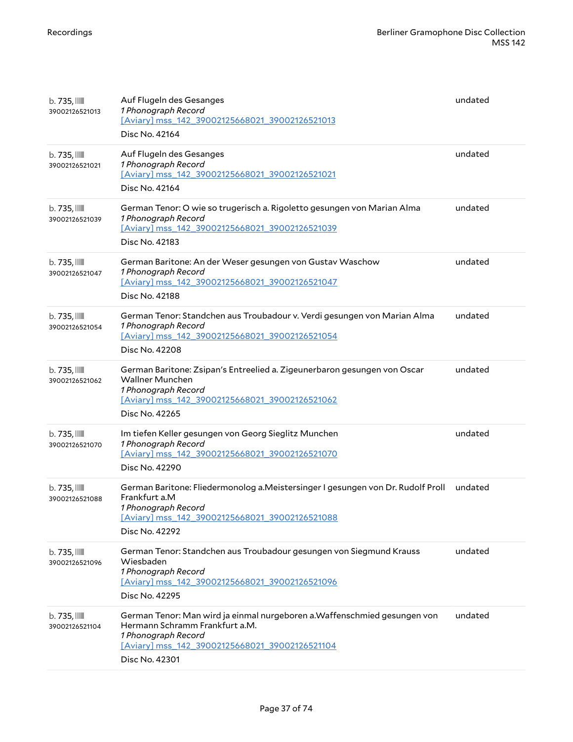| $b.735$ , $III$<br>39002126521013        | Auf Flugeln des Gesanges<br>1 Phonograph Record<br>[Aviary] mss 142 39002125668021 39002126521013<br>Disc No. 42164                                                                                    | undated |
|------------------------------------------|--------------------------------------------------------------------------------------------------------------------------------------------------------------------------------------------------------|---------|
| $b.735$ , $III$<br>39002126521021        | Auf Flugeln des Gesanges<br>1 Phonograph Record<br>[Aviary] mss_142_39002125668021_39002126521021<br>Disc No. 42164                                                                                    | undated |
| $b.735$ , $III$<br>39002126521039        | German Tenor: O wie so trugerisch a. Rigoletto gesungen von Marian Alma<br>1 Phonograph Record<br>[Aviary] mss 142 39002125668021 39002126521039<br>Disc No. 42183                                     | undated |
| $b.735$ , $III$<br>39002126521047        | German Baritone: An der Weser gesungen von Gustav Waschow<br>1 Phonograph Record<br>[Aviary] mss_142_39002125668021_39002126521047<br>Disc No. 42188                                                   | undated |
| $b.735$ , $\mathbb{I}$<br>39002126521054 | German Tenor: Standchen aus Troubadour v. Verdi gesungen von Marian Alma<br>1 Phonograph Record<br>[Aviary] mss 142 39002125668021 39002126521054<br>Disc No. 42208                                    | undated |
| $b.735$ , $III$<br>39002126521062        | German Baritone: Zsipan's Entreelied a. Zigeunerbaron gesungen von Oscar<br><b>Wallner Munchen</b><br>1 Phonograph Record<br>[Aviary] mss_142_39002125668021_39002126521062<br>Disc No. 42265          | undated |
| $b.735$ , $\text{mm}$<br>39002126521070  | Im tiefen Keller gesungen von Georg Sieglitz Munchen<br>1 Phonograph Record<br>[Aviary] mss_142_39002125668021_39002126521070<br>Disc No. 42290                                                        | undated |
| $b.735$ , $\text{mm}$<br>39002126521088  | German Baritone: Fliedermonolog a. Meistersinger I gesungen von Dr. Rudolf Proll<br>Frankfurt a.M<br>1 Phonoaraph Record<br>[Aviary] mss_142_39002125668021_39002126521088<br>Disc No. 42292           | undated |
| $b.735$ , $\mathbb{I}$<br>39002126521096 | German Tenor: Standchen aus Troubadour gesungen von Siegmund Krauss<br>Wiesbaden<br>1 Phonograph Record<br>[Aviary] mss_142_39002125668021_39002126521096<br>Disc No. 42295                            | undated |
| $b.735$ , $\text{mm}$<br>39002126521104  | German Tenor: Man wird ja einmal nurgeboren a. Waffenschmied gesungen von<br>Hermann Schramm Frankfurt a.M.<br>1 Phonograph Record<br>[Aviary] mss_142_39002125668021_39002126521104<br>Disc No. 42301 | undated |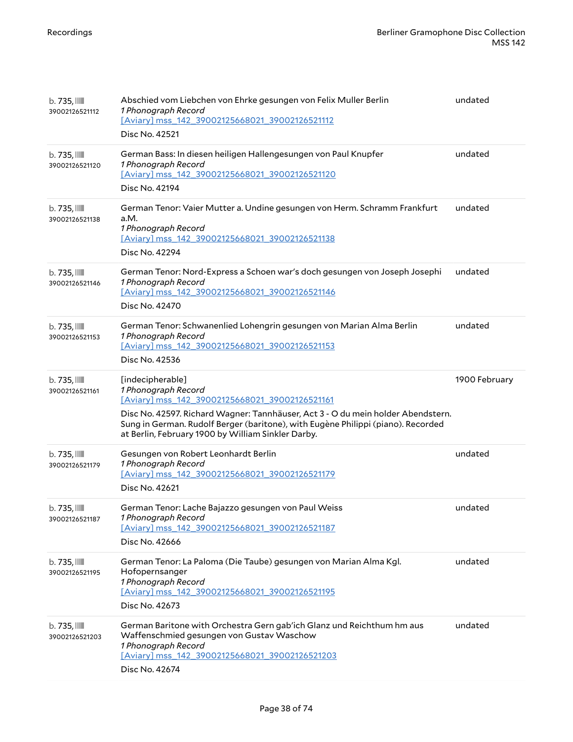| $b.735$ , $III$<br>39002126521112          | Abschied vom Liebchen von Ehrke gesungen von Felix Muller Berlin<br>1 Phonograph Record<br>[Aviary] mss_142_39002125668021_39002126521112<br>Disc No. 42521                                                                                                                                                             | undated       |
|--------------------------------------------|-------------------------------------------------------------------------------------------------------------------------------------------------------------------------------------------------------------------------------------------------------------------------------------------------------------------------|---------------|
| $b.735$ , $III$<br>39002126521120          | German Bass: In diesen heiligen Hallengesungen von Paul Knupfer<br>1 Phonograph Record<br>[Aviary] mss_142_39002125668021_39002126521120<br>Disc No. 42194                                                                                                                                                              | undated       |
| $b.735$ , $III$<br>39002126521138          | German Tenor: Vaier Mutter a. Undine gesungen von Herm. Schramm Frankfurt<br>a.M.<br>1 Phonograph Record<br>[Aviary] mss 142 39002125668021 39002126521138<br>Disc No. 42294                                                                                                                                            | undated       |
| $b.735$ , $\mathbb{I}$<br>39002126521146   | German Tenor: Nord-Express a Schoen war's doch gesungen von Joseph Josephi<br>1 Phonograph Record<br>[Aviary] mss 142 39002125668021 39002126521146<br>Disc No. 42470                                                                                                                                                   | undated       |
| $b.735$ , $\mathbb{I}$<br>39002126521153   | German Tenor: Schwanenlied Lohengrin gesungen von Marian Alma Berlin<br>1 Phonograph Record<br>[Aviary] mss 142 39002125668021 39002126521153<br>Disc No. 42536                                                                                                                                                         | undated       |
| $b.735$ , $\mathbb{I}$<br>39002126521161   | [indecipherable]<br>1 Phonograph Record<br>[Aviary] mss 142 39002125668021 39002126521161<br>Disc No. 42597. Richard Wagner: Tannhäuser, Act 3 - O du mein holder Abendstern.<br>Sung in German. Rudolf Berger (baritone), with Eugène Philippi (piano). Recorded<br>at Berlin, February 1900 by William Sinkler Darby. | 1900 February |
| $b.735$ , $III$<br>39002126521179          | Gesungen von Robert Leonhardt Berlin<br>1 Phonograph Record<br>[Aviary] mss 142 39002125668021 39002126521179<br>Disc No. 42621                                                                                                                                                                                         | undated       |
| $b.735$ , $\blacksquare$<br>39002126521187 | German Tenor: Lache Bajazzo gesungen von Paul Weiss<br>1 Phonograph Record<br>[Aviary] mss 142 39002125668021 39002126521187<br>Disc No. 42666                                                                                                                                                                          | undated       |
| $b.735$ , $\mathbb{I}$<br>39002126521195   | German Tenor: La Paloma (Die Taube) gesungen von Marian Alma Kgl.<br>Hofopernsanger<br>1 Phonograph Record<br>[Aviary] mss_142_39002125668021_39002126521195<br>Disc No. 42673                                                                                                                                          | undated       |
| $b.735$ , $\mathbb{I}$<br>39002126521203   | German Baritone with Orchestra Gern gab'ich Glanz und Reichthum hm aus<br>Waffenschmied gesungen von Gustav Waschow<br>1 Phonograph Record<br>[Aviary] mss 142 39002125668021 39002126521203<br>Disc No. 42674                                                                                                          | undated       |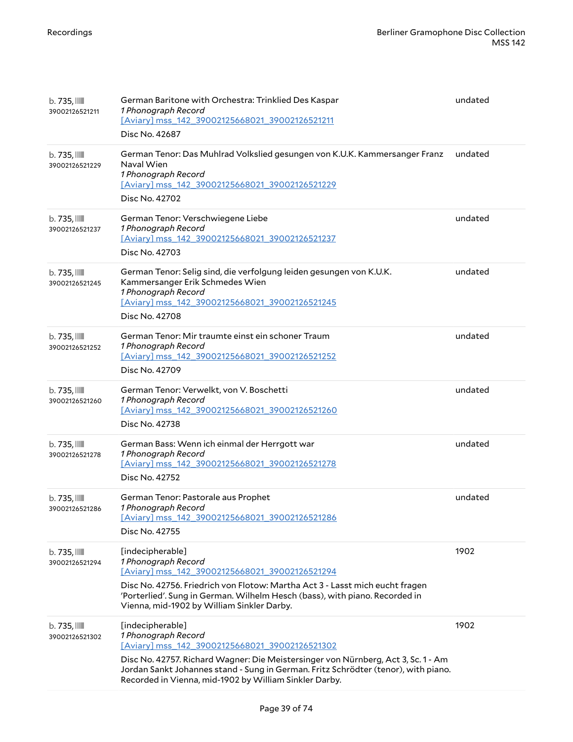| $b.735$ , $III$<br>39002126521211          | German Baritone with Orchestra: Trinklied Des Kaspar<br>1 Phonograph Record<br>[Aviary] mss 142 39002125668021 39002126521211<br>Disc No. 42687                                                                                                                                                                                | undated |
|--------------------------------------------|--------------------------------------------------------------------------------------------------------------------------------------------------------------------------------------------------------------------------------------------------------------------------------------------------------------------------------|---------|
| $b.735$ , $III$<br>39002126521229          | German Tenor: Das Muhlrad Volkslied gesungen von K.U.K. Kammersanger Franz<br>Naval Wien<br>1 Phonograph Record<br>[Aviary] mss_142_39002125668021_39002126521229<br>Disc No. 42702                                                                                                                                            | undated |
| $b.735$ , $III$<br>39002126521237          | German Tenor: Verschwiegene Liebe<br>1 Phonograph Record<br>[Aviary] mss_142_39002125668021_39002126521237<br>Disc No. 42703                                                                                                                                                                                                   | undated |
| b. 735, IIII<br>39002126521245             | German Tenor: Selig sind, die verfolgung leiden gesungen von K.U.K.<br>Kammersanger Erik Schmedes Wien<br>1 Phonograph Record<br>[Aviary] mss_142_39002125668021_39002126521245<br>Disc No. 42708                                                                                                                              | undated |
| $b.735$ , $\mathbb{I}$<br>39002126521252   | German Tenor: Mir traumte einst ein schoner Traum<br>1 Phonograph Record<br>[Aviary] mss_142_39002125668021_39002126521252<br>Disc No. 42709                                                                                                                                                                                   | undated |
| $b.735$ , $III$<br>39002126521260          | German Tenor: Verwelkt, von V. Boschetti<br>1 Phonograph Record<br>[Aviary] mss_142_39002125668021_39002126521260<br>Disc No. 42738                                                                                                                                                                                            | undated |
| b. 735,<br>39002126521278                  | German Bass: Wenn ich einmal der Herrgott war<br>1 Phonograph Record<br>[Aviary] mss_142_39002125668021_39002126521278<br>Disc No. 42752                                                                                                                                                                                       | undated |
| $b.735$ , $\mathbb{I}$<br>39002126521286   | German Tenor: Pastorale aus Prophet<br>1 Phonograph Record<br>[Aviary] mss 142 39002125668021 39002126521286<br>Disc No. 42755                                                                                                                                                                                                 | undated |
| b. 735, IIII<br>39002126521294             | [indecipherable]<br>1 Phonograph Record<br>[Aviary] mss_142_39002125668021_39002126521294<br>Disc No. 42756. Friedrich von Flotow: Martha Act 3 - Lasst mich eucht fragen<br>'Porterlied'. Sung in German. Wilhelm Hesch (bass), with piano. Recorded in<br>Vienna, mid-1902 by William Sinkler Darby.                         | 1902    |
| $b.735$ , $\blacksquare$<br>39002126521302 | [indecipherable]<br>1 Phonograph Record<br>[Aviary] mss_142_39002125668021_39002126521302<br>Disc No. 42757. Richard Wagner: Die Meistersinger von Nürnberg, Act 3, Sc. 1 - Am<br>Jordan Sankt Johannes stand - Sung in German. Fritz Schrödter (tenor), with piano.<br>Recorded in Vienna, mid-1902 by William Sinkler Darby. | 1902    |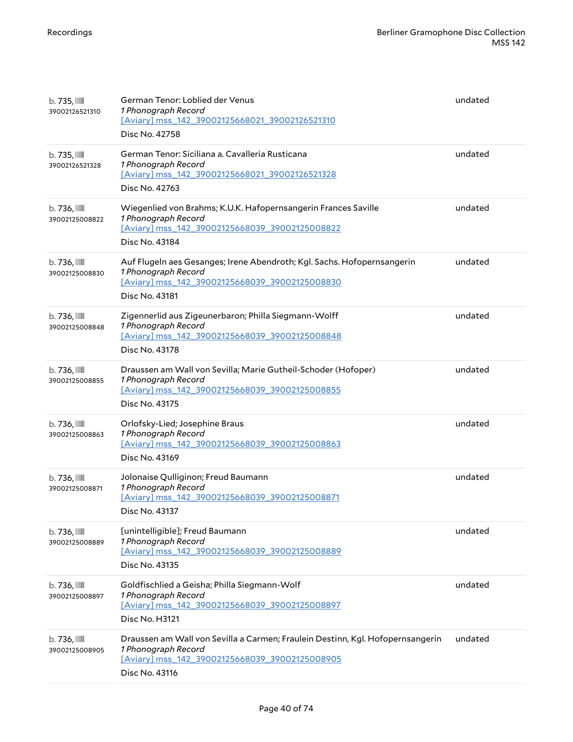| $b.735$ , $III$<br>39002126521310          | German Tenor: Loblied der Venus<br>1 Phonograph Record<br>[Aviary] mss_142_39002125668021_39002126521310<br>Disc No. 42758                                                | undated |
|--------------------------------------------|---------------------------------------------------------------------------------------------------------------------------------------------------------------------------|---------|
| $b.735$ , $III$<br>39002126521328          | German Tenor: Siciliana a. Cavalleria Rusticana<br>1 Phonograph Record<br>[Aviary] mss 142 39002125668021 39002126521328<br>Disc No. 42763                                | undated |
| $b.736$ , $\blacksquare$<br>39002125008822 | Wiegenlied von Brahms; K.U.K. Hafopernsangerin Frances Saville<br>1 Phonograph Record<br>[Aviary] mss_142_39002125668039_39002125008822<br>Disc No. 43184                 | undated |
| $b.736$ , $\blacksquare$<br>39002125008830 | Auf Flugeln aes Gesanges; Irene Abendroth; Kgl. Sachs. Hofopernsangerin<br>1 Phonograph Record<br>[Aviary] mss_142_39002125668039_39002125008830<br>Disc No. 43181        | undated |
| b. 736, III<br>39002125008848              | Zigennerlid aus Zigeunerbaron; Philla Siegmann-Wolff<br>1 Phonograph Record<br>[Aviary] mss_142_39002125668039_39002125008848<br>Disc No. 43178                           | undated |
| $b.736$ , $\mathbb{III}$<br>39002125008855 | Draussen am Wall von Sevilla; Marie Gutheil-Schoder (Hofoper)<br>1 Phonograph Record<br>[Aviary] mss_142_39002125668039_39002125008855<br>Disc No. 43175                  | undated |
| $b.736$ , $\blacksquare$<br>39002125008863 | Orlofsky-Lied; Josephine Braus<br>1 Phonograph Record<br>[Aviary] mss_142_39002125668039_39002125008863<br>Disc No. 43169                                                 | undated |
| $b.736$ , $\blacksquare$<br>39002125008871 | Jolonaise Qulliginon; Freud Baumann<br>1 Phonograph Record<br>[Aviary] mss 142 39002125668039 39002125008871<br>Disc No. 43137                                            | undated |
| $b.736$ , $\blacksquare$<br>39002125008889 | [unintelligible]; Freud Baumann<br>1 Phonograph Record<br>[Aviary] mss_142_39002125668039_39002125008889<br>Disc No. 43135                                                | undated |
| $b.736$ , $\blacksquare$<br>39002125008897 | Goldfischlied a Geisha; Philla Siegmann-Wolf<br>1 Phonograph Record<br>[Aviary] mss 142 39002125668039 39002125008897<br>Disc No. H3121                                   | undated |
| $b.736$ , $\blacksquare$<br>39002125008905 | Draussen am Wall von Sevilla a Carmen; Fraulein Destinn, Kgl. Hofopernsangerin<br>1 Phonograph Record<br>[Aviary] mss_142_39002125668039_39002125008905<br>Disc No. 43116 | undated |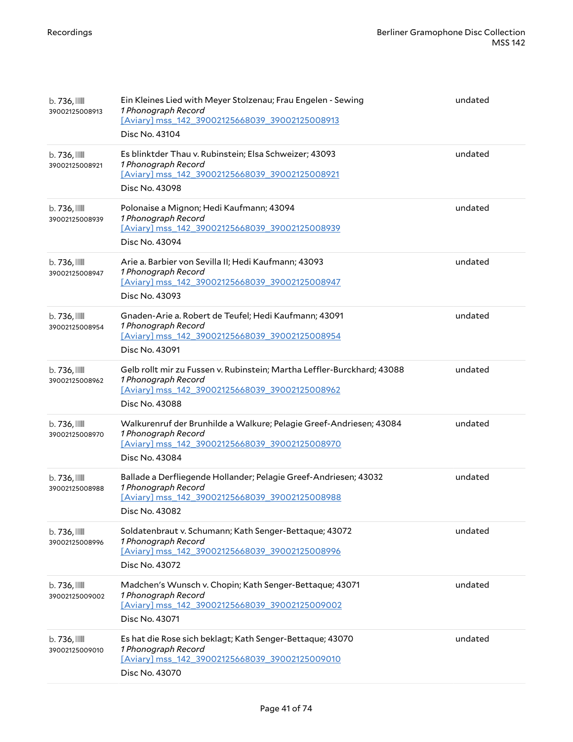| $b.736$ , $\blacksquare$<br>39002125008913 | Ein Kleines Lied with Meyer Stolzenau; Frau Engelen - Sewing<br>1 Phonograph Record<br>[Aviary] mss 142 39002125668039 39002125008913<br>Disc No. 43104            | undated |
|--------------------------------------------|--------------------------------------------------------------------------------------------------------------------------------------------------------------------|---------|
| $b.736$ , $\blacksquare$<br>39002125008921 | Es blinktder Thau v. Rubinstein; Elsa Schweizer; 43093<br>1 Phonograph Record<br>[Aviary] mss_142_39002125668039_39002125008921<br>Disc No. 43098                  | undated |
| b. 736, III<br>39002125008939              | Polonaise a Mignon; Hedi Kaufmann; 43094<br>1 Phonograph Record<br>[Aviary] mss_142_39002125668039_39002125008939<br>Disc No. 43094                                | undated |
| $b.736$ , $\blacksquare$<br>39002125008947 | Arie a. Barbier von Sevilla II; Hedi Kaufmann; 43093<br>1 Phonograph Record<br>[Aviary] mss_142_39002125668039_39002125008947<br>Disc No. 43093                    | undated |
| $b.736$ , $\blacksquare$<br>39002125008954 | Gnaden-Arie a. Robert de Teufel; Hedi Kaufmann; 43091<br>1 Phonograph Record<br>[Aviary] mss_142_39002125668039_39002125008954<br>Disc No. 43091                   | undated |
| $b.736$ , $\blacksquare$<br>39002125008962 | Gelb rollt mir zu Fussen v. Rubinstein; Martha Leffler-Burckhard; 43088<br>1 Phonograph Record<br>[Aviary] mss_142_39002125668039_39002125008962<br>Disc No. 43088 | undated |
| $b.736$ , $\blacksquare$<br>39002125008970 | Walkurenruf der Brunhilde a Walkure; Pelagie Greef-Andriesen; 43084<br>1 Phonograph Record<br>[Aviary] mss_142_39002125668039_39002125008970<br>Disc No. 43084     | undated |
| b. 736, III<br>39002125008988              | Ballade a Derfliegende Hollander; Pelagie Greef-Andriesen; 43032<br>1 Phonograph Record<br>[Aviary] mss_142_39002125668039_39002125008988<br>Disc No. 43082        | undated |
| $b.736$ , $\blacksquare$<br>39002125008996 | Soldatenbraut v. Schumann; Kath Senger-Bettaque; 43072<br>1 Phonograph Record<br>[Aviary] mss_142_39002125668039_39002125008996<br>Disc No. 43072                  | undated |
| $b.736$ , $\blacksquare$<br>39002125009002 | Madchen's Wunsch v. Chopin; Kath Senger-Bettaque; 43071<br>1 Phonograph Record<br>[Aviary] mss 142 39002125668039 39002125009002<br>Disc No. 43071                 | undated |
| $b.736$ , $\blacksquare$<br>39002125009010 | Es hat die Rose sich beklagt; Kath Senger-Bettaque; 43070<br>1 Phonograph Record<br>[Aviary] mss_142_39002125668039_39002125009010<br>Disc No. 43070               | undated |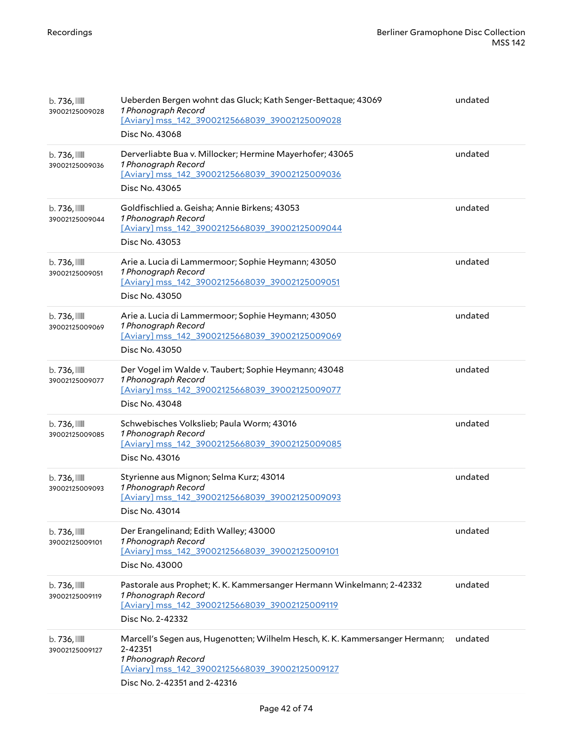| $b.736$ ,<br>39002125009028                | Ueberden Bergen wohnt das Gluck; Kath Senger-Bettaque; 43069<br>1 Phonograph Record<br>[Aviary] mss_142_39002125668039_39002125009028<br>Disc No. 43068                                         | undated |
|--------------------------------------------|-------------------------------------------------------------------------------------------------------------------------------------------------------------------------------------------------|---------|
| $b.736$ , $\mathbb{III}$<br>39002125009036 | Derverliabte Bua v. Millocker; Hermine Mayerhofer; 43065<br>1 Phonograph Record<br>[Aviary] mss_142_39002125668039_39002125009036<br>Disc No. 43065                                             | undated |
| $b.736$ , $\blacksquare$<br>39002125009044 | Goldfischlied a. Geisha; Annie Birkens; 43053<br>1 Phonograph Record<br>[Aviary] mss 142 39002125668039 39002125009044<br>Disc No. 43053                                                        | undated |
| $b.736$ , $\blacksquare$<br>39002125009051 | Arie a. Lucia di Lammermoor; Sophie Heymann; 43050<br>1 Phonograph Record<br>[Aviary] mss_142_39002125668039_39002125009051<br>Disc No. 43050                                                   | undated |
| $b.736$ , $\blacksquare$<br>39002125009069 | Arie a. Lucia di Lammermoor; Sophie Heymann; 43050<br>1 Phonograph Record<br>[Aviary] mss_142_39002125668039_39002125009069<br>Disc No. 43050                                                   | undated |
| $b.736$ , $\mathbb{III}$<br>39002125009077 | Der Vogel im Walde v. Taubert; Sophie Heymann; 43048<br>1 Phonograph Record<br>[Aviary] mss_142_39002125668039_39002125009077<br>Disc No. 43048                                                 | undated |
| $b.736$ , $\blacksquare$<br>39002125009085 | Schwebisches Volkslieb; Paula Worm; 43016<br>1 Phonograph Record<br>[Aviary] mss_142_39002125668039_39002125009085<br>Disc No. 43016                                                            | undated |
| $b.736$ , $III$<br>39002125009093          | Styrienne aus Mignon; Selma Kurz; 43014<br>1 Phonograph Record<br>[Aviary] mss_142_39002125668039_39002125009093<br>Disc No. 43014                                                              | undated |
| $b.736$ , $\blacksquare$<br>39002125009101 | Der Erangelinand; Edith Walley; 43000<br>1 Phonograph Record<br>[Aviary] mss_142_39002125668039_39002125009101<br>Disc No. 43000                                                                | undated |
| $b.736$ , $\blacksquare$<br>39002125009119 | Pastorale aus Prophet; K. K. Kammersanger Hermann Winkelmann; 2-42332<br>1 Phonograph Record<br>[Aviary] mss 142 39002125668039 39002125009119<br>Disc No. 2-42332                              | undated |
| $b.736$ , $\blacksquare$<br>39002125009127 | Marcell's Segen aus, Hugenotten; Wilhelm Hesch, K. K. Kammersanger Hermann;<br>2-42351<br>1 Phonograph Record<br>[Aviary] mss_142_39002125668039_39002125009127<br>Disc No. 2-42351 and 2-42316 | undated |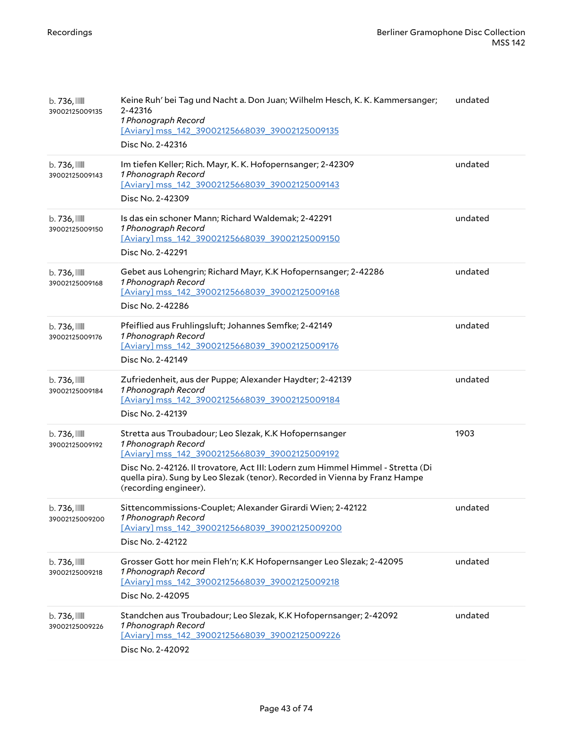| $b.736$ , $\blacksquare$<br>39002125009135 | Keine Ruh' bei Tag und Nacht a. Don Juan; Wilhelm Hesch, K. K. Kammersanger;<br>2-42316<br>1 Phonograph Record<br>[Aviary] mss_142_39002125668039_39002125009135<br>Disc No. 2-42316                                                                                                                                       | undated |
|--------------------------------------------|----------------------------------------------------------------------------------------------------------------------------------------------------------------------------------------------------------------------------------------------------------------------------------------------------------------------------|---------|
| $b.736$ , $\blacksquare$<br>39002125009143 | Im tiefen Keller; Rich. Mayr, K. K. Hofopernsanger; 2-42309<br>1 Phonograph Record<br>[Aviary] mss_142_39002125668039_39002125009143<br>Disc No. 2-42309                                                                                                                                                                   | undated |
| $b.736$ , $\blacksquare$<br>39002125009150 | Is das ein schoner Mann; Richard Waldemak; 2-42291<br>1 Phonograph Record<br>[Aviary] mss_142_39002125668039_39002125009150<br>Disc No. 2-42291                                                                                                                                                                            | undated |
| b. 736, III<br>39002125009168              | Gebet aus Lohengrin; Richard Mayr, K.K Hofopernsanger; 2-42286<br>1 Phonograph Record<br>[Aviary] mss_142_39002125668039_39002125009168<br>Disc No. 2-42286                                                                                                                                                                | undated |
| $b.736$ , $\blacksquare$<br>39002125009176 | Pfeiflied aus Fruhlingsluft; Johannes Semfke; 2-42149<br>1 Phonograph Record<br>[Aviary] mss 142 39002125668039 39002125009176<br>Disc No. 2-42149                                                                                                                                                                         | undated |
| $b.736$ , $\blacksquare$<br>39002125009184 | Zufriedenheit, aus der Puppe; Alexander Haydter; 2-42139<br>1 Phonograph Record<br>[Aviary] mss_142_39002125668039_39002125009184<br>Disc No. 2-42139                                                                                                                                                                      | undated |
| $b.736$ , $\blacksquare$<br>39002125009192 | Stretta aus Troubadour; Leo Slezak, K.K Hofopernsanger<br>1 Phonograph Record<br>[Aviary] mss_142_39002125668039_39002125009192<br>Disc No. 2-42126. Il trovatore, Act III: Lodern zum Himmel Himmel - Stretta (Di<br>quella pira). Sung by Leo Slezak (tenor). Recorded in Vienna by Franz Hampe<br>(recording engineer). | 1903    |
| $b.736$ , $\blacksquare$<br>39002125009200 | Sittencommissions-Couplet; Alexander Girardi Wien; 2-42122<br>1 Phonograph Record<br>[Aviary] mss_142_39002125668039_39002125009200<br>Disc No. 2-42122                                                                                                                                                                    | undated |
| $b.736$ , $\blacksquare$<br>39002125009218 | Grosser Gott hor mein Fleh'n; K.K Hofopernsanger Leo Slezak; 2-42095<br>1 Phonograph Record<br>[Aviary] mss 142 39002125668039 39002125009218<br>Disc No. 2-42095                                                                                                                                                          | undated |
| $b.736$ ,<br>39002125009226                | Standchen aus Troubadour; Leo Slezak, K.K Hofopernsanger; 2-42092<br>1 Phonograph Record<br>[Aviary] mss_142_39002125668039_39002125009226<br>Disc No. 2-42092                                                                                                                                                             | undated |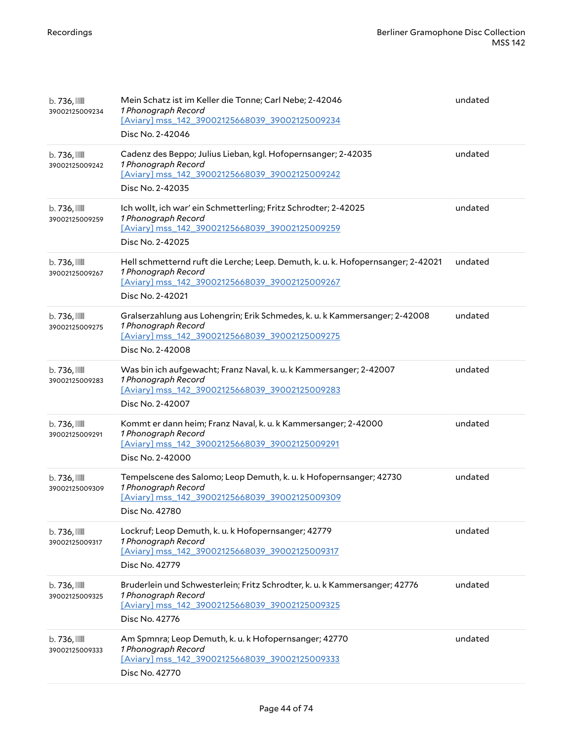| $b.736$ , $\mathbb{III}$<br>39002125009234 | Mein Schatz ist im Keller die Tonne; Carl Nebe; 2-42046<br>1 Phonograph Record<br>[Aviary] mss 142 39002125668039 39002125009234<br>Disc No. 2-42046                          | undated |
|--------------------------------------------|-------------------------------------------------------------------------------------------------------------------------------------------------------------------------------|---------|
| $b.736$ , $\blacksquare$<br>39002125009242 | Cadenz des Beppo; Julius Lieban, kgl. Hofopernsanger; 2-42035<br>1 Phonograph Record<br>[Aviary] mss_142_39002125668039_39002125009242<br>Disc No. 2-42035                    | undated |
| $b.736$ , $\mathbb{III}$<br>39002125009259 | Ich wollt, ich war' ein Schmetterling; Fritz Schrodter; 2-42025<br>1 Phonograph Record<br>[Aviary] mss_142_39002125668039_39002125009259<br>Disc No. 2-42025                  | undated |
| $b.736$ , $\blacksquare$<br>39002125009267 | Hell schmetternd ruft die Lerche; Leep. Demuth, k. u. k. Hofopernsanger; 2-42021<br>1 Phonograph Record<br>[Aviary] mss_142_39002125668039_39002125009267<br>Disc No. 2-42021 | undated |
| $b.736$ , $\blacksquare$<br>39002125009275 | Gralserzahlung aus Lohengrin; Erik Schmedes, k. u. k Kammersanger; 2-42008<br>1 Phonograph Record<br>[Aviary] mss_142_39002125668039_39002125009275<br>Disc No. 2-42008       | undated |
| $b.736$ , $\blacksquare$<br>39002125009283 | Was bin ich aufgewacht; Franz Naval, k. u. k Kammersanger; 2-42007<br>1 Phonograph Record<br>[Aviary] mss_142_39002125668039_39002125009283<br>Disc No. 2-42007               | undated |
| $b.736$ , $\blacksquare$<br>39002125009291 | Kommt er dann heim; Franz Naval, k. u. k Kammersanger; 2-42000<br>1 Phonograph Record<br>[Aviary] mss_142_39002125668039_39002125009291<br>Disc No. 2-42000                   | undated |
| b. 736, III<br>39002125009309              | Tempelscene des Salomo; Leop Demuth, k. u. k Hofopernsanger; 42730<br>1 Phonograph Record<br>[Aviary] mss_142_39002125668039_39002125009309<br>Disc No. 42780                 | undated |
| $b.736$ , $\mathbb{III}$<br>39002125009317 | Lockruf; Leop Demuth, k. u. k Hofopernsanger; 42779<br>1 Phonograph Record<br>[Aviary] mss 142 39002125668039 39002125009317<br>Disc No. 42779                                | undated |
| $b.736$ , $\mathbb{III}$<br>39002125009325 | Bruderlein und Schwesterlein; Fritz Schrodter, k. u. k Kammersanger; 42776<br>1 Phonograph Record<br>[Aviary] mss_142_39002125668039_39002125009325<br>Disc No. 42776         | undated |
| $b.736$ , $\mathbb{III}$<br>39002125009333 | Am Spmnra; Leop Demuth, k. u. k Hofopernsanger; 42770<br>1 Phonograph Record<br>[Aviary] mss_142_39002125668039_39002125009333<br>Disc No. 42770                              | undated |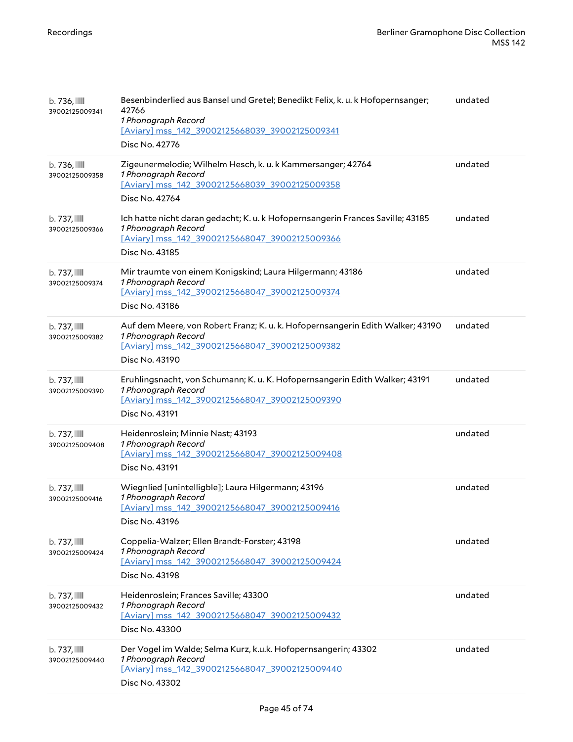| $b.736$ , $\mathbb{I}$<br>39002125009341   | Besenbinderlied aus Bansel und Gretel; Benedikt Felix, k. u. k Hofopernsanger;<br>42766<br>1 Phonograph Record<br>[Aviary] mss_142_39002125668039_39002125009341<br>Disc No. 42776 | undated |
|--------------------------------------------|------------------------------------------------------------------------------------------------------------------------------------------------------------------------------------|---------|
| b. 736, III<br>39002125009358              | Zigeunermelodie; Wilhelm Hesch, k. u. k Kammersanger; 42764<br>1 Phonograph Record<br>[Aviary] mss_142_39002125668039_39002125009358<br>Disc No. 42764                             | undated |
| $b.737$ , $\blacksquare$<br>39002125009366 | Ich hatte nicht daran gedacht; K. u. k Hofopernsangerin Frances Saville; 43185<br>1 Phonograph Record<br>[Aviary] mss_142_39002125668047_39002125009366<br>Disc No. 43185          | undated |
| $b.737$ , $\blacksquare$<br>39002125009374 | Mir traumte von einem Konigskind; Laura Hilgermann; 43186<br>1 Phonograph Record<br>[Aviary] mss_142_39002125668047_39002125009374<br>Disc No. 43186                               | undated |
| $b.737$ , $\blacksquare$<br>39002125009382 | Auf dem Meere, von Robert Franz; K. u. k. Hofopernsangerin Edith Walker; 43190<br>1 Phonograph Record<br>[Aviary] mss_142_39002125668047_39002125009382<br>Disc No. 43190          | undated |
| $b.737$ , $\blacksquare$<br>39002125009390 | Eruhlingsnacht, von Schumann; K. u. K. Hofopernsangerin Edith Walker; 43191<br>1 Phonograph Record<br>[Aviary] mss 142 39002125668047 39002125009390<br>Disc No. 43191             | undated |
| $b.737$ , $\blacksquare$<br>39002125009408 | Heidenroslein; Minnie Nast; 43193<br>1 Phonograph Record<br>[Aviary] mss 142 39002125668047 39002125009408<br>Disc No. 43191                                                       | undated |
| $b.737$ , $\blacksquare$<br>39002125009416 | Wiegnlied [unintelligble]; Laura Hilgermann; 43196<br>1 Phonograph Record<br>[Aviary] mss_142_39002125668047_39002125009416<br>Disc No. 43196                                      | undated |
| $b.737$ , $\blacksquare$<br>39002125009424 | Coppelia-Walzer; Ellen Brandt-Forster; 43198<br>1 Phonograph Record<br>[Aviary] mss 142 39002125668047 39002125009424<br>Disc No. 43198                                            | undated |
| $b.737$ , $\blacksquare$<br>39002125009432 | Heidenroslein; Frances Saville; 43300<br>1 Phonograph Record<br>[Aviary] mss_142_39002125668047_39002125009432<br>Disc No. 43300                                                   | undated |
| $b.737$ , $\blacksquare$<br>39002125009440 | Der Vogel im Walde; Selma Kurz, k.u.k. Hofopernsangerin; 43302<br>1 Phonograph Record<br>[Aviary] mss 142 39002125668047 39002125009440<br>Disc No. 43302                          | undated |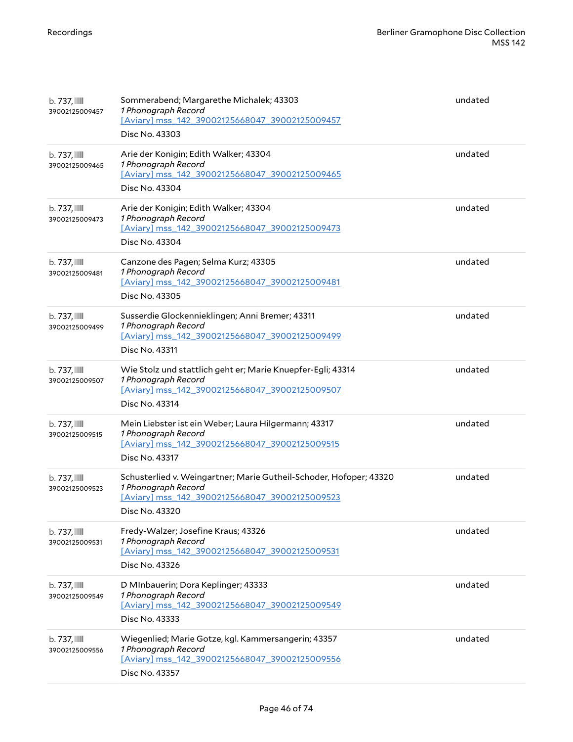| $b.737$ , $\blacksquare$<br>39002125009457 | Sommerabend; Margarethe Michalek; 43303<br>1 Phonograph Record<br>[Aviary] mss_142_39002125668047_39002125009457<br>Disc No. 43303                            | undated |
|--------------------------------------------|---------------------------------------------------------------------------------------------------------------------------------------------------------------|---------|
| $b.737$ , $\blacksquare$<br>39002125009465 | Arie der Konigin; Edith Walker; 43304<br>1 Phonograph Record<br>[Aviary] mss_142_39002125668047_39002125009465<br>Disc No. 43304                              | undated |
| b. 737, IIII<br>39002125009473             | Arie der Konigin; Edith Walker; 43304<br>1 Phonograph Record<br>[Aviary] mss_142_39002125668047_39002125009473<br>Disc No. 43304                              | undated |
| b. 737, IIII<br>39002125009481             | Canzone des Pagen; Selma Kurz; 43305<br>1 Phonograph Record<br>[Aviary] mss_142_39002125668047_39002125009481<br>Disc No. 43305                               | undated |
| $b.737$ , $\blacksquare$<br>39002125009499 | Susserdie Glockennieklingen; Anni Bremer; 43311<br>1 Phonograph Record<br>[Aviary] mss_142_39002125668047_39002125009499<br>Disc No. 43311                    | undated |
| $b.737$ , $\blacksquare$<br>39002125009507 | Wie Stolz und stattlich geht er; Marie Knuepfer-Egli; 43314<br>1 Phonograph Record<br>[Aviary] mss_142_39002125668047_39002125009507<br>Disc No. 43314        | undated |
| $b.737$ , $\blacksquare$<br>39002125009515 | Mein Liebster ist ein Weber; Laura Hilgermann; 43317<br>1 Phonograph Record<br>[Aviary] mss_142_39002125668047_39002125009515<br>Disc No. 43317               | undated |
| $b.737$ , $\blacksquare$<br>39002125009523 | Schusterlied v. Weingartner; Marie Gutheil-Schoder, Hofoper; 43320<br>1 Phonograph Record<br>[Aviary] mss_142_39002125668047_39002125009523<br>Disc No. 43320 | undated |
| b. 737, III<br>39002125009531              | Fredy-Walzer; Josefine Kraus; 43326<br>1 Phonograph Record<br>[Aviary] mss_142_39002125668047_39002125009531<br>Disc No. 43326                                | undated |
| b. 737, III<br>39002125009549              | D MInbauerin; Dora Keplinger; 43333<br>1 Phonograph Record<br>[Aviary] mss_142_39002125668047_39002125009549<br>Disc No. 43333                                | undated |
| $b.737$ , $\blacksquare$<br>39002125009556 | Wiegenlied; Marie Gotze, kgl. Kammersangerin; 43357<br>1 Phonograph Record<br>[Aviary] mss_142_39002125668047_39002125009556<br>Disc No. 43357                | undated |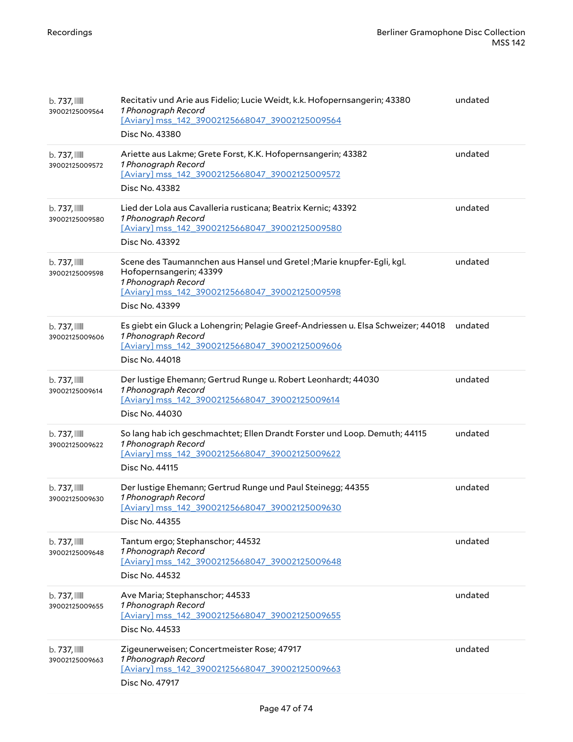| $b.737$ , $\mathbb{I}$<br>39002125009564   | Recitativ und Arie aus Fidelio; Lucie Weidt, k.k. Hofopernsangerin; 43380<br>1 Phonograph Record<br>[Aviary] mss_142_39002125668047_39002125009564<br>Disc No. 43380                         | undated |
|--------------------------------------------|----------------------------------------------------------------------------------------------------------------------------------------------------------------------------------------------|---------|
| $b.737$ , $\blacksquare$<br>39002125009572 | Ariette aus Lakme; Grete Forst, K.K. Hofopernsangerin; 43382<br>1 Phonograph Record<br>[Aviary] mss_142_39002125668047_39002125009572<br>Disc No. 43382                                      | undated |
| b. 737, IIII<br>39002125009580             | Lied der Lola aus Cavalleria rusticana; Beatrix Kernic; 43392<br>1 Phonograph Record<br>[Aviary] mss_142_39002125668047_39002125009580<br>Disc No. 43392                                     | undated |
| $b.737$ , $\blacksquare$<br>39002125009598 | Scene des Taumannchen aus Hansel und Gretel ; Marie knupfer-Egli, kgl.<br>Hofopernsangerin; 43399<br>1 Phonograph Record<br>[Aviary] mss_142_39002125668047_39002125009598<br>Disc No. 43399 | undated |
| $b.737$ , $\blacksquare$<br>39002125009606 | Es giebt ein Gluck a Lohengrin; Pelagie Greef-Andriessen u. Elsa Schweizer; 44018<br>1 Phonograph Record<br>[Aviary] mss_142_39002125668047_39002125009606<br>Disc No. 44018                 | undated |
| $b.737$ , $\blacksquare$<br>39002125009614 | Der lustige Ehemann; Gertrud Runge u. Robert Leonhardt; 44030<br>1 Phonograph Record<br>[Aviary] mss_142_39002125668047_39002125009614<br>Disc No. 44030                                     | undated |
| $b.737$ , $\blacksquare$<br>39002125009622 | So lang hab ich geschmachtet; Ellen Drandt Forster und Loop. Demuth; 44115<br>1 Phonograph Record<br>[Aviary] mss 142 39002125668047 39002125009622<br>Disc No. 44115                        | undated |
| b. 737, IIII<br>39002125009630             | Der lustige Ehemann; Gertrud Runge und Paul Steinegg; 44355<br>1 Phonograph Record<br>[Aviary] mss_142_39002125668047_39002125009630<br>Disc No. 44355                                       | undated |
| $b.737$ , $\blacksquare$<br>39002125009648 | Tantum ergo; Stephanschor; 44532<br>1 Phonograph Record<br>[Aviary] mss 142 39002125668047 39002125009648<br>Disc No. 44532                                                                  | undated |
| $b.737$ , $\blacksquare$<br>39002125009655 | Ave Maria; Stephanschor; 44533<br>1 Phonograph Record<br>[Aviary] mss_142_39002125668047_39002125009655<br>Disc No. 44533                                                                    | undated |
| $b.737$ , $\blacksquare$<br>39002125009663 | Zigeunerweisen; Concertmeister Rose; 47917<br>1 Phonograph Record<br>[Aviary] mss_142_39002125668047_39002125009663<br>Disc No. 47917                                                        | undated |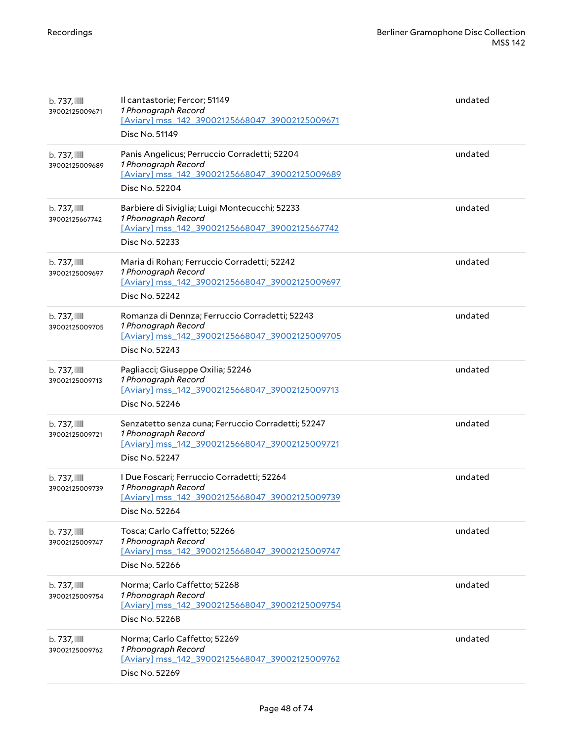| $b.737$ , $\blacksquare$<br>39002125009671 | Il cantastorie; Fercor; 51149<br>1 Phonograph Record<br>[Aviary] mss 142 39002125668047 39002125009671<br>Disc No. 51149                      | undated |
|--------------------------------------------|-----------------------------------------------------------------------------------------------------------------------------------------------|---------|
| $b.737$ , $\blacksquare$<br>39002125009689 | Panis Angelicus; Perruccio Corradetti; 52204<br>1 Phonograph Record<br>[Aviary] mss_142_39002125668047_39002125009689<br>Disc No. 52204       | undated |
| $b.737$ , $\blacksquare$<br>39002125667742 | Barbiere di Siviglia; Luigi Montecucchi; 52233<br>1 Phonograph Record<br>[Aviary] mss_142_39002125668047_39002125667742<br>Disc No. 52233     | undated |
| $b.737$ , $\blacksquare$<br>39002125009697 | Maria di Rohan; Ferruccio Corradetti; 52242<br>1 Phonograph Record<br>[Aviary] mss_142_39002125668047_39002125009697<br>Disc No. 52242        | undated |
| $b.737$ , $\blacksquare$<br>39002125009705 | Romanza di Dennza; Ferruccio Corradetti; 52243<br>1 Phonograph Record<br>[Aviary] mss_142_39002125668047_39002125009705<br>Disc No. 52243     | undated |
| $b.737$ , $\blacksquare$<br>39002125009713 | Pagliacci; Giuseppe Oxilia; 52246<br>1 Phonograph Record<br>[Aviary] mss_142_39002125668047_39002125009713<br>Disc No. 52246                  | undated |
| $b.737$ , $\blacksquare$<br>39002125009721 | Senzatetto senza cuna; Ferruccio Corradetti; 52247<br>1 Phonograph Record<br>[Aviary] mss_142_39002125668047_39002125009721<br>Disc No. 52247 | undated |
| $b.737$ , $\blacksquare$<br>39002125009739 | I Due Foscari; Ferruccio Corradetti; 52264<br>1 Phonograph Record<br>[Aviary] mss_142_39002125668047_39002125009739<br>Disc No. 52264         | undated |
| $b.737$ , $\blacksquare$<br>39002125009747 | Tosca; Carlo Caffetto; 52266<br>1 Phonograph Record<br>[Aviary] mss_142_39002125668047_39002125009747<br>Disc No. 52266                       | undated |
| $b.737$ , $\blacksquare$<br>39002125009754 | Norma; Carlo Caffetto; 52268<br>1 Phonograph Record<br>[Aviary] mss 142 39002125668047 39002125009754<br>Disc No. 52268                       | undated |
| $b.737$ , $\blacksquare$<br>39002125009762 | Norma; Carlo Caffetto; 52269<br>1 Phonograph Record<br>[Aviary] mss_142_39002125668047_39002125009762<br>Disc No. 52269                       | undated |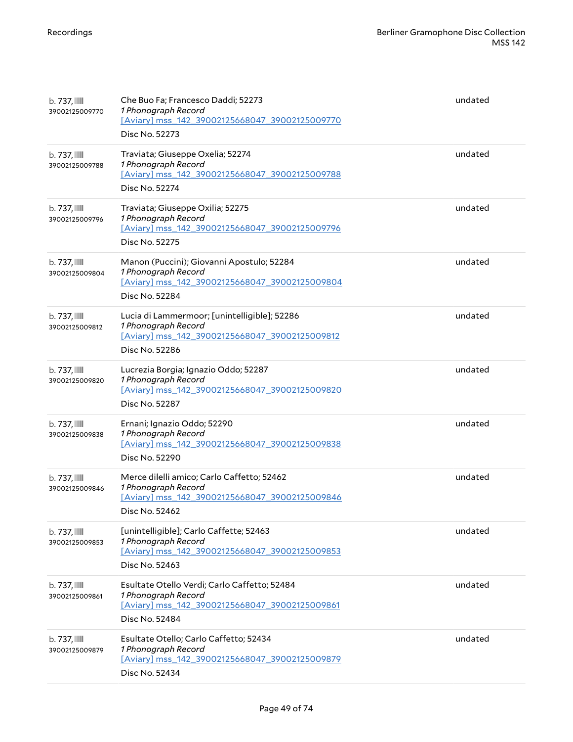| $b.737$ , $\blacksquare$<br>39002125009770 | Che Buo Fa; Francesco Daddi; 52273<br>1 Phonograph Record<br>[Aviary] mss_142_39002125668047_39002125009770<br>Disc No. 52273           | undated |
|--------------------------------------------|-----------------------------------------------------------------------------------------------------------------------------------------|---------|
| b. 737, IIII<br>39002125009788             | Traviata; Giuseppe Oxelia; 52274<br>1 Phonograph Record<br>[Aviary] mss_142_39002125668047_39002125009788<br>Disc No. 52274             | undated |
| $b.737$ , $\blacksquare$<br>39002125009796 | Traviata; Giuseppe Oxilia; 52275<br>1 Phonograph Record<br>[Aviary] mss_142_39002125668047_39002125009796<br>Disc No. 52275             | undated |
| $b.737$ , $\blacksquare$<br>39002125009804 | Manon (Puccini); Giovanni Apostulo; 52284<br>1 Phonograph Record<br>[Aviary] mss_142_39002125668047_39002125009804<br>Disc No. 52284    | undated |
| $b.737$ , $\blacksquare$<br>39002125009812 | Lucia di Lammermoor; [unintelligible]; 52286<br>1 Phonograph Record<br>[Aviary] mss_142_39002125668047_39002125009812<br>Disc No. 52286 | undated |
| b. 737, IIII<br>39002125009820             | Lucrezia Borgia; Ignazio Oddo; 52287<br>1 Phonograph Record<br>[Aviary] mss_142_39002125668047_39002125009820<br>Disc No. 52287         | undated |
| $b.737$ , $\blacksquare$<br>39002125009838 | Ernani; Ignazio Oddo; 52290<br>1 Phonograph Record<br>[Aviary] mss_142_39002125668047_39002125009838<br>Disc No. 52290                  | undated |
| $b.737$ , $\blacksquare$<br>39002125009846 | Merce dilelli amico; Carlo Caffetto; 52462<br>1 Phonograph Record<br>[Aviary] mss 142 39002125668047 39002125009846<br>Disc No. 52462   | undated |
| $b.737$ , $\mathbb{I}$<br>39002125009853   | [unintelligible]; Carlo Caffette; 52463<br>1 Phonograph Record<br>[Aviary] mss_142_39002125668047_39002125009853<br>Disc No. 52463      | undated |
| $b.737$ , $\blacksquare$<br>39002125009861 | Esultate Otello Verdi; Carlo Caffetto; 52484<br>1 Phonograph Record<br>[Aviary] mss_142_39002125668047_39002125009861<br>Disc No. 52484 | undated |
| $b.737$ , $\blacksquare$<br>39002125009879 | Esultate Otello; Carlo Caffetto; 52434<br>1 Phonograph Record<br>[Aviary] mss_142_39002125668047_39002125009879<br>Disc No. 52434       | undated |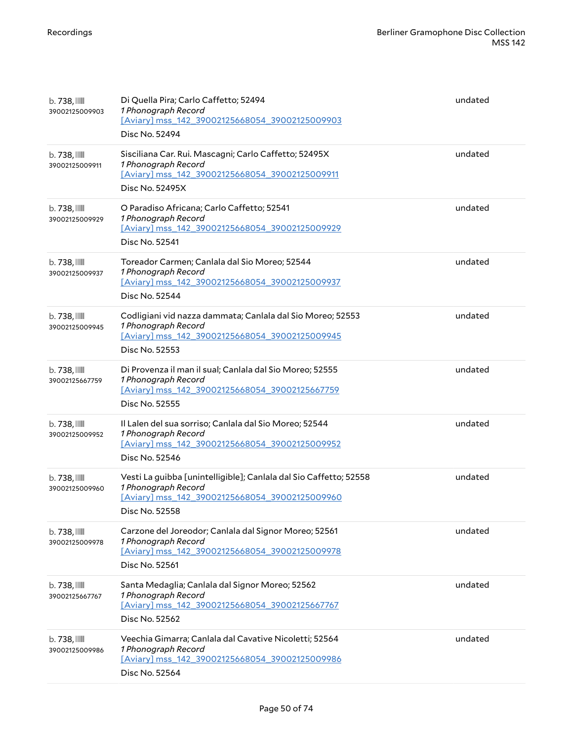| $b.738$ , $III$<br>39002125009903          | Di Quella Pira; Carlo Caffetto; 52494<br>1 Phonograph Record<br>[Aviary] mss 142 39002125668054 39002125009903<br>Disc No. 52494                             | undated |
|--------------------------------------------|--------------------------------------------------------------------------------------------------------------------------------------------------------------|---------|
| b. 738, III<br>39002125009911              | Sisciliana Car. Rui. Mascagni; Carlo Caffetto; 52495X<br>1 Phonograph Record<br>[Aviary] mss_142_39002125668054_39002125009911<br>Disc No. 52495X            | undated |
| b. 738, III<br>39002125009929              | O Paradiso Africana; Carlo Caffetto; 52541<br>1 Phonograph Record<br>[Aviary] mss_142_39002125668054_39002125009929<br>Disc No. 52541                        | undated |
| b. 738,<br>39002125009937                  | Toreador Carmen; Canlala dal Sio Moreo; 52544<br>1 Phonograph Record<br>[Aviary] mss_142_39002125668054_39002125009937<br>Disc No. 52544                     | undated |
| b. 738,<br>39002125009945                  | Codligiani vid nazza dammata; Canlala dal Sio Moreo; 52553<br>1 Phonograph Record<br>[Aviary] mss 142 39002125668054 39002125009945<br>Disc No. 52553        | undated |
| $b.738$ , $\mathbb{I}$<br>39002125667759   | Di Provenza il man il sual; Canlala dal Sio Moreo; 52555<br>1 Phonograph Record<br>[Aviary] mss_142_39002125668054_39002125667759<br>Disc No. 52555          | undated |
| b. 738, III<br>39002125009952              | Il Lalen del sua sorriso; Canlala dal Sio Moreo; 52544<br>1 Phonograph Record<br>[Aviary] mss_142_39002125668054_39002125009952<br>Disc No. 52546            | undated |
| b. 738,<br>39002125009960                  | Vesti La guibba [unintelligible]; Canlala dal Sio Caffetto; 52558<br>1 Phonograph Record<br>[Aviary] mss 142 39002125668054 39002125009960<br>Disc No. 52558 | undated |
| b. 738, III<br>39002125009978              | Carzone del Joreodor; Canlala dal Signor Moreo; 52561<br>1 Phonograph Record<br>[Aviary] mss 142 39002125668054 39002125009978<br>Disc No. 52561             | undated |
| $b.738$ , $\mathbb{I}$<br>39002125667767   | Santa Medaglia; Canlala dal Signor Moreo; 52562<br>1 Phonograph Record<br>[Aviary] mss_142_39002125668054_39002125667767<br>Disc No. 52562                   | undated |
| $b.738$ , $\blacksquare$<br>39002125009986 | Veechia Gimarra; Canlala dal Cavative Nicoletti; 52564<br>1 Phonograph Record<br>[Aviary] mss_142_39002125668054_39002125009986<br>Disc No. 52564            | undated |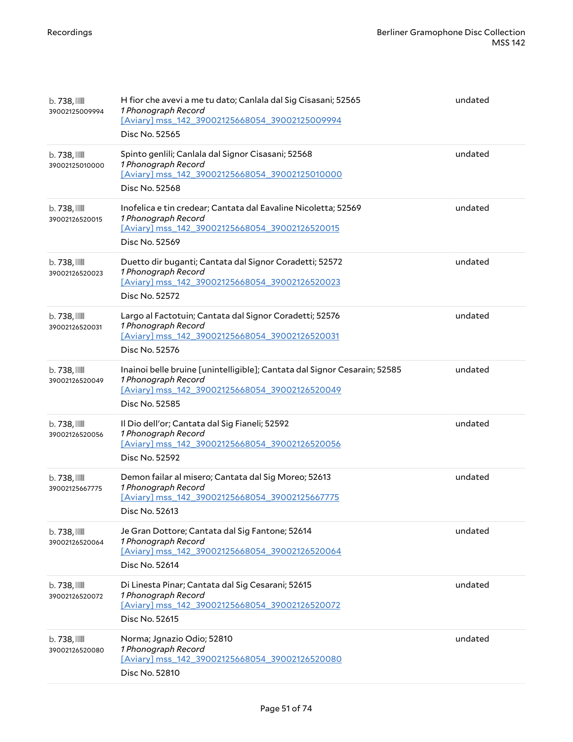| $b.738$ , $III$<br>39002125009994          | H fior che avevi a me tu dato; Canlala dal Sig Cisasani; 52565<br>1 Phonograph Record<br>[Aviary] mss 142 39002125668054 39002125009994<br>Disc No. 52565            | undated |
|--------------------------------------------|----------------------------------------------------------------------------------------------------------------------------------------------------------------------|---------|
| $b.738$ , $III$<br>39002125010000          | Spinto genlili; Canlala dal Signor Cisasani; 52568<br>1 Phonograph Record<br>[Aviary] mss_142_39002125668054_39002125010000<br>Disc No. 52568                        | undated |
| $b.738$ , $\blacksquare$<br>39002126520015 | Inofelica e tin credear; Cantata dal Eavaline Nicoletta; 52569<br>1 Phonograph Record<br>[Aviary] mss_142_39002125668054_39002126520015<br>Disc No. 52569            | undated |
| $b.738$ , $\blacksquare$<br>39002126520023 | Duetto dir buganti; Cantata dal Signor Coradetti; 52572<br>1 Phonograph Record<br>[Aviary] mss_142_39002125668054_39002126520023<br>Disc No. 52572                   | undated |
| $b.738$ , $\blacksquare$<br>39002126520031 | Largo al Factotuin; Cantata dal Signor Coradetti; 52576<br>1 Phonograph Record<br>[Aviary] mss_142_39002125668054_39002126520031<br>Disc No. 52576                   | undated |
| $b.738$ , $\blacksquare$<br>39002126520049 | Inainoi belle bruine [unintelligible]; Cantata dal Signor Cesarain; 52585<br>1 Phonograph Record<br>[Aviary] mss_142_39002125668054_39002126520049<br>Disc No. 52585 | undated |
| $b.738$ , $III$<br>39002126520056          | Il Dio dell'or; Cantata dal Sig Fianeli; 52592<br>1 Phonograph Record<br>[Aviary] mss 142 39002125668054 39002126520056<br>Disc No. 52592                            | undated |
| $b.738$ , $\blacksquare$<br>39002125667775 | Demon failar al misero; Cantata dal Sig Moreo; 52613<br>1 Phonograph Record<br>[Aviary] mss 142 39002125668054 39002125667775<br>Disc No. 52613                      | undated |
| $b.738$ , $\blacksquare$<br>39002126520064 | Je Gran Dottore; Cantata dal Sig Fantone; 52614<br>1 Phonograph Record<br>[Aviary] mss 142 39002125668054 39002126520064<br>Disc No. 52614                           | undated |
| $b.738$ , $\blacksquare$<br>39002126520072 | Di Linesta Pinar; Cantata dal Sig Cesarani; 52615<br>1 Phonograph Record<br>[Aviary] mss_142_39002125668054_39002126520072<br>Disc No. 52615                         | undated |
| $b.738$ , $\blacksquare$<br>39002126520080 | Norma; Jgnazio Odio; 52810<br>1 Phonograph Record<br>[Aviary] mss_142_39002125668054_39002126520080<br>Disc No. 52810                                                | undated |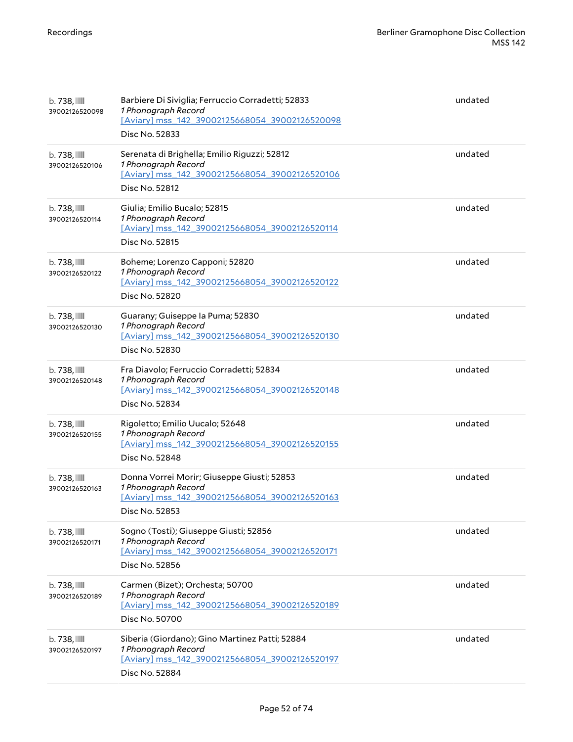| $b.738$ ,<br>39002126520098                | Barbiere Di Siviglia; Ferruccio Corradetti; 52833<br>1 Phonograph Record<br>[Aviary] mss 142 39002125668054 39002126520098<br>Disc No. 52833 | undated |
|--------------------------------------------|----------------------------------------------------------------------------------------------------------------------------------------------|---------|
| $b.738$ , $III$<br>39002126520106          | Serenata di Brighella; Emilio Riguzzi; 52812<br>1 Phonograph Record<br>[Aviary] mss_142_39002125668054_39002126520106<br>Disc No. 52812      | undated |
| b. 738, IIII<br>39002126520114             | Giulia; Emilio Bucalo; 52815<br>1 Phonograph Record<br>[Aviary] mss_142_39002125668054_39002126520114<br>Disc No. 52815                      | undated |
| b. 738, III<br>39002126520122              | Boheme; Lorenzo Capponi; 52820<br>1 Phonograph Record<br>[Aviary] mss_142_39002125668054_39002126520122<br>Disc No. 52820                    | undated |
| $b.738$ , $\blacksquare$<br>39002126520130 | Guarany; Guiseppe la Puma; 52830<br>1 Phonograph Record<br>[Aviary] mss_142_39002125668054_39002126520130<br>Disc No. 52830                  | undated |
| $b.738$ , $III$<br>39002126520148          | Fra Diavolo; Ferruccio Corradetti; 52834<br>1 Phonograph Record<br>[Aviary] mss_142_39002125668054_39002126520148<br>Disc No. 52834          | undated |
| $b.738$ , $III$<br>39002126520155          | Rigoletto; Emilio Uucalo; 52648<br>1 Phonograph Record<br>[Aviary] mss 142 39002125668054 39002126520155<br>Disc No. 52848                   | undated |
| $b.738$ , $III$<br>39002126520163          | Donna Vorrei Morir; Giuseppe Giusti; 52853<br>1 Phonograph Record<br>[Aviary] mss_142_39002125668054_39002126520163<br>Disc No. 52853        | undated |
| $b.738$ , $\blacksquare$<br>39002126520171 | Sogno (Tosti); Giuseppe Giusti; 52856<br>1 Phonograph Record<br>[Aviary] mss_142_39002125668054_39002126520171<br>Disc No. 52856             | undated |
| b. 738, III<br>39002126520189              | Carmen (Bizet); Orchesta; 50700<br>1 Phonograph Record<br>[Aviary] mss 142 39002125668054 39002126520189<br>Disc No. 50700                   | undated |
| $b.738$ , $\blacksquare$<br>39002126520197 | Siberia (Giordano); Gino Martinez Patti; 52884<br>1 Phonograph Record<br>[Aviary] mss_142_39002125668054_39002126520197<br>Disc No. 52884    | undated |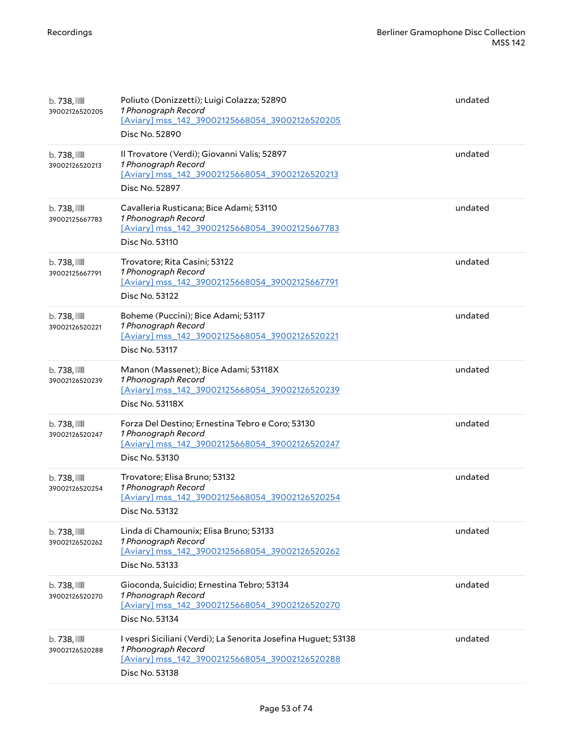| b. 738, III<br>39002126520205              | Poliuto (Donizzetti); Luigi Colazza; 52890<br>1 Phonograph Record<br>[Aviary] mss_142_39002125668054_39002126520205<br>Disc No. 52890                     | undated |
|--------------------------------------------|-----------------------------------------------------------------------------------------------------------------------------------------------------------|---------|
| b. 738, III<br>39002126520213              | Il Trovatore (Verdi); Giovanni Valis; 52897<br>1 Phonograph Record<br>[Aviary] mss_142_39002125668054_39002126520213<br>Disc No. 52897                    | undated |
| b. 738,<br>39002125667783                  | Cavalleria Rusticana; Bice Adami; 53110<br>1 Phonograph Record<br>[Aviary] mss_142_39002125668054_39002125667783<br>Disc No. 53110                        | undated |
| b. 738, III<br>39002125667791              | Trovatore; Rita Casini; 53122<br>1 Phonograph Record<br>[Aviary] mss_142_39002125668054_39002125667791<br>Disc No. 53122                                  | undated |
| $b.738$ , $III$<br>39002126520221          | Boheme (Puccini); Bice Adami; 53117<br>1 Phonograph Record<br>[Aviary] mss_142_39002125668054_39002126520221<br>Disc No. 53117                            | undated |
| $b.738$ , $III$<br>39002126520239          | Manon (Massenet); Bice Adami; 53118X<br>1 Phonograph Record<br>[Aviary] mss_142_39002125668054_39002126520239<br>Disc No. 53118X                          | undated |
| b. 738, III<br>39002126520247              | Forza Del Destino; Ernestina Tebro e Coro; 53130<br>1 Phonograph Record<br>[Aviary] mss_142_39002125668054_39002126520247<br>Disc No. 53130               | undated |
| b. 738,<br>39002126520254                  | Trovatore; Elisa Bruno; 53132<br>1 Phonograph Record<br>[Aviary] mss_142_39002125668054_39002126520254<br>Disc No. 53132                                  | undated |
| $b.738$ , $III$<br>39002126520262          | Linda di Chamounix; Elisa Bruno; 53133<br>1 Phonograph Record<br>[Aviary] mss 142 39002125668054 39002126520262<br>Disc No. 53133                         | undated |
| $b.738$ , $\blacksquare$<br>39002126520270 | Gioconda, Suicidio; Ernestina Tebro; 53134<br>1 Phonograph Record<br>[Aviary] mss_142_39002125668054_39002126520270<br>Disc No. 53134                     | undated |
| $b.738$ , $\mathbb{I}$<br>39002126520288   | I vespri Siciliani (Verdi); La Senorita Josefina Huguet; 53138<br>1 Phonograph Record<br>[Aviary] mss_142_39002125668054_39002126520288<br>Disc No. 53138 | undated |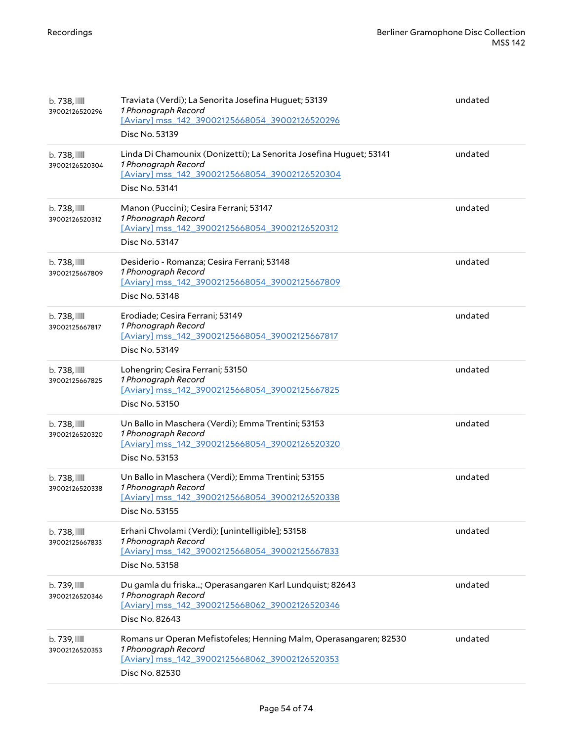| $b.738$ , $III$<br>39002126520296          | Traviata (Verdi); La Senorita Josefina Huguet; 53139<br>1 Phonograph Record<br>[Aviary] mss_142_39002125668054_39002126520296<br>Disc No. 53139               | undated |
|--------------------------------------------|---------------------------------------------------------------------------------------------------------------------------------------------------------------|---------|
| $b.738$ , $III$<br>39002126520304          | Linda Di Chamounix (Donizetti); La Senorita Josefina Huguet; 53141<br>1 Phonograph Record<br>[Aviary] mss_142_39002125668054_39002126520304<br>Disc No. 53141 | undated |
| $b.738$ , $III$<br>39002126520312          | Manon (Puccini); Cesira Ferrani; 53147<br>1 Phonograph Record<br>[Aviary] mss_142_39002125668054_39002126520312<br>Disc No. 53147                             | undated |
| b. 738,<br>39002125667809                  | Desiderio - Romanza; Cesira Ferrani; 53148<br>1 Phonograph Record<br>[Aviary] mss_142_39002125668054_39002125667809<br>Disc No. 53148                         | undated |
| $b.738$ , $III$<br>39002125667817          | Erodiade; Cesira Ferrani; 53149<br>1 Phonograph Record<br>[Aviary] mss_142_39002125668054_39002125667817<br>Disc No. 53149                                    | undated |
| $b.738$ , $III$<br>39002125667825          | Lohengrin; Cesira Ferrani; 53150<br>1 Phonograph Record<br>[Aviary] mss_142_39002125668054_39002125667825<br>Disc No. 53150                                   | undated |
| b. 738, III<br>39002126520320              | Un Ballo in Maschera (Verdi); Emma Trentini; 53153<br>1 Phonograph Record<br>[Aviary] mss_142_39002125668054_39002126520320<br>Disc No. 53153                 | undated |
| $b.738$ , $\blacksquare$<br>39002126520338 | Un Ballo in Maschera (Verdi); Emma Trentini; 53155<br>1 Phonograph Record<br>[Aviary] mss_142_39002125668054_39002126520338<br>Disc No. 53155                 | undated |
| $b.738$ , $III$<br>39002125667833          | Erhani Chvolami (Verdi); [unintelligible]; 53158<br>1 Phonograph Record<br>[Aviary] mss_142_39002125668054_39002125667833<br>Disc No. 53158                   | undated |
| b. 739, IIII<br>39002126520346             | Du gamla du friska; Operasangaren Karl Lundquist; 82643<br>1 Phonograph Record<br>[Aviary] mss_142_39002125668062_39002126520346<br>Disc No. 82643            | undated |
| $b.739$ , $III$<br>39002126520353          | Romans ur Operan Mefistofeles; Henning Malm, Operasangaren; 82530<br>1 Phonograph Record<br>[Aviary] mss_142_39002125668062_39002126520353<br>Disc No. 82530  | undated |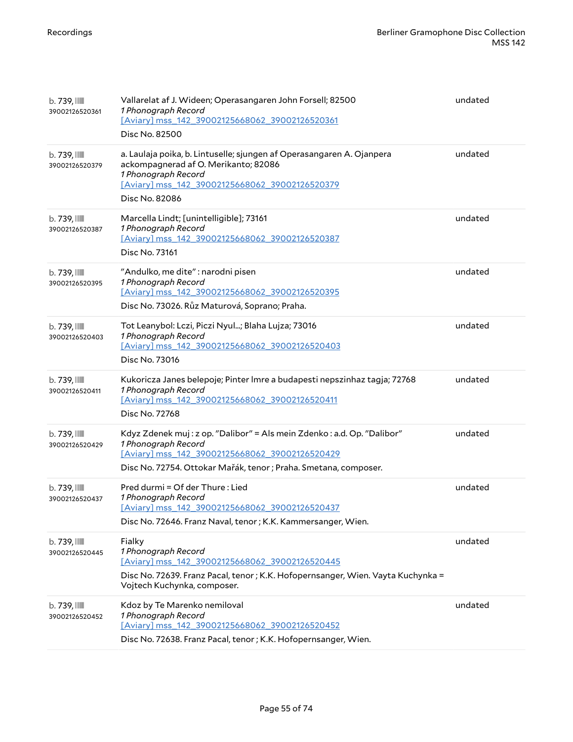| b. 739, IIII<br>39002126520361    | Vallarelat af J. Wideen; Operasangaren John Forsell; 82500<br>1 Phonograph Record<br>[Aviary] mss 142 39002125668062 39002126520361<br>Disc No. 82500                                                               | undated |
|-----------------------------------|---------------------------------------------------------------------------------------------------------------------------------------------------------------------------------------------------------------------|---------|
| b. 739, IIII<br>39002126520379    | a. Laulaja poika, b. Lintuselle; sjungen af Operasangaren A. Ojanpera<br>ackompagnerad af O. Merikanto; 82086<br>1 Phonograph Record<br>[Aviary] mss_142_39002125668062_39002126520379<br>Disc No. 82086            | undated |
| b. 739, IIII<br>39002126520387    | Marcella Lindt; [unintelligible]; 73161<br>1 Phonograph Record<br>[Aviary] mss 142 39002125668062 39002126520387<br>Disc No. 73161                                                                                  | undated |
| b. 739, III<br>39002126520395     | "Andulko, me dite": narodni pisen<br>1 Phonograph Record<br>[Aviary] mss 142 39002125668062 39002126520395<br>Disc No. 73026. Růz Maturová, Soprano; Praha.                                                         | undated |
| b. 739, III<br>39002126520403     | Tot Leanybol: Lczi, Piczi Nyul; Blaha Lujza; 73016<br>1 Phonograph Record<br>[Aviary] mss_142_39002125668062_39002126520403<br>Disc No. 73016                                                                       | undated |
| $b.739$ , $III$<br>39002126520411 | Kukoricza Janes belepoje; Pinter Imre a budapesti nepszinhaz tagja; 72768<br>1 Phonograph Record<br>[Aviary] mss_142_39002125668062_39002126520411<br>Disc No. 72768                                                | undated |
| b. 739, III<br>39002126520429     | Kdyz Zdenek muj: z op. "Dalibor" = Als mein Zdenko: a.d. Op. "Dalibor"<br>1 Phonograph Record<br>[Aviary] mss 142 39002125668062 39002126520429<br>Disc No. 72754. Ottokar Mařák, tenor ; Praha. Smetana, composer. | undated |
| b. 739, III<br>39002126520437     | Pred durmi = Of der Thure: Lied<br>1 Phonograph Record<br>[Aviary] mss_142_39002125668062_39002126520437<br>Disc No. 72646. Franz Naval, tenor ; K.K. Kammersanger, Wien.                                           | undated |
| b. 739, IIII<br>39002126520445    | Fialky<br>1 Phonograph Record<br>[Aviary] mss_142_39002125668062_39002126520445<br>Disc No. 72639. Franz Pacal, tenor; K.K. Hofopernsanger, Wien. Vayta Kuchynka =<br>Vojtech Kuchynka, composer.                   | undated |
| b. 739, III<br>39002126520452     | Kdoz by Te Marenko nemiloval<br>1 Phonograph Record<br>[Aviary] mss_142_39002125668062_39002126520452<br>Disc No. 72638. Franz Pacal, tenor ; K.K. Hofopernsanger, Wien.                                            | undated |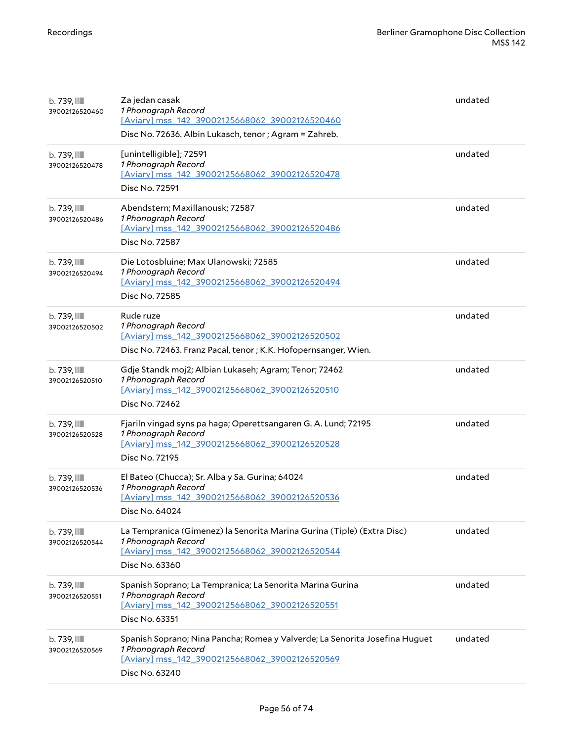| b. 739, IIII<br>39002126520460             | Za jedan casak<br>1 Phonograph Record<br>[Aviary] mss_142_39002125668062_39002126520460<br>Disc No. 72636. Albin Lukasch, tenor ; Agram = Zahreb.                      | undated |
|--------------------------------------------|------------------------------------------------------------------------------------------------------------------------------------------------------------------------|---------|
| $b.739$ , $\blacksquare$<br>39002126520478 | [unintelligible]; 72591<br>1 Phonograph Record<br>[Aviary] mss_142_39002125668062_39002126520478<br>Disc No. 72591                                                     | undated |
| b. 739, IIII<br>39002126520486             | Abendstern; Maxillanousk; 72587<br>1 Phonograph Record<br>[Aviary] mss_142_39002125668062_39002126520486<br>Disc No. 72587                                             | undated |
| b. 739, IIII<br>39002126520494             | Die Lotosbluine; Max Ulanowski; 72585<br>1 Phonograph Record<br>[Aviary] mss_142_39002125668062_39002126520494<br>Disc No. 72585                                       | undated |
| b. 739, III<br>39002126520502              | Rude ruze<br>1 Phonograph Record<br>[Aviary] mss_142_39002125668062_39002126520502<br>Disc No. 72463. Franz Pacal, tenor ; K.K. Hofopernsanger, Wien.                  | undated |
| b. 739, III<br>39002126520510              | Gdje Standk moj2; Albian Lukaseh; Agram; Tenor; 72462<br>1 Phonograph Record<br>[Aviary] mss_142_39002125668062_39002126520510<br>Disc No. 72462                       | undated |
| b. 739, IIII<br>39002126520528             | Fjariln vingad syns pa haga; Operettsangaren G. A. Lund; 72195<br>1 Phonograph Record<br>[Aviary] mss_142_39002125668062_39002126520528<br>Disc No. 72195              | undated |
| $b.739$ , $\blacksquare$<br>39002126520536 | El Bateo (Chucca); Sr. Alba y Sa. Gurina; 64024<br>1 Phonograph Record<br>[Aviary] mss_142_39002125668062_39002126520536<br>Disc No. 64024                             | undated |
| b. 739, IIII<br>39002126520544             | La Tempranica (Gimenez) la Senorita Marina Gurina (Tiple) (Extra Disc)<br>1 Phonograph Record<br>[Aviary] mss_142_39002125668062_39002126520544<br>Disc No. 63360      | undated |
| b. 739, IIII<br>39002126520551             | Spanish Soprano; La Tempranica; La Senorita Marina Gurina<br>1 Phonograph Record<br>[Aviary] mss_142_39002125668062_39002126520551<br>Disc No. 63351                   | undated |
| $b.739$ , $\blacksquare$<br>39002126520569 | Spanish Soprano; Nina Pancha; Romea y Valverde; La Senorita Josefina Huguet<br>1 Phonograph Record<br>[Aviary] mss_142_39002125668062_39002126520569<br>Disc No. 63240 | undated |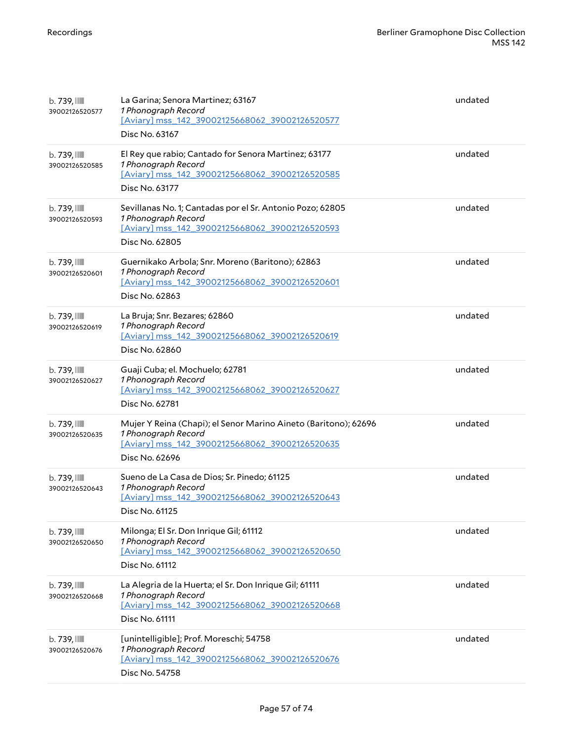| $b.739$ , $III$<br>39002126520577          | La Garina; Senora Martinez; 63167<br>1 Phonograph Record<br>[Aviary] mss 142 39002125668062 39002126520577<br>Disc No. 63167                               | undated |
|--------------------------------------------|------------------------------------------------------------------------------------------------------------------------------------------------------------|---------|
| b. 739, IIII<br>39002126520585             | El Rey que rabio; Cantado for Senora Martinez; 63177<br>1 Phonograph Record<br>[Aviary] mss_142_39002125668062_39002126520585<br>Disc No. 63177            | undated |
| b. 739, IIII<br>39002126520593             | Sevillanas No. 1; Cantadas por el Sr. Antonio Pozo; 62805<br>1 Phonograph Record<br>[Aviary] mss_142_39002125668062_39002126520593<br>Disc No. 62805       | undated |
| b. 739, IIII<br>39002126520601             | Guernikako Arbola; Snr. Moreno (Baritono); 62863<br>1 Phonograph Record<br>[Aviary] mss_142_39002125668062_39002126520601<br>Disc No. 62863                | undated |
| b. 739, IIII<br>39002126520619             | La Bruja; Snr. Bezares; 62860<br>1 Phonograph Record<br>[Aviary] mss 142 39002125668062 39002126520619<br>Disc No. 62860                                   | undated |
| b. 739, IIII<br>39002126520627             | Guaji Cuba; el. Mochuelo; 62781<br>1 Phonograph Record<br>[Aviary] mss_142_39002125668062_39002126520627<br>Disc No. 62781                                 | undated |
| $b.739$ , $\blacksquare$<br>39002126520635 | Mujer Y Reina (Chapi); el Senor Marino Aineto (Baritono); 62696<br>1 Phonograph Record<br>[Aviary] mss_142_39002125668062_39002126520635<br>Disc No. 62696 | undated |
| b. 739, IIII<br>39002126520643             | Sueno de La Casa de Dios; Sr. Pinedo; 61125<br>1 Phonograph Record<br>[Aviary] mss_142_39002125668062_39002126520643<br>Disc No. 61125                     | undated |
| $b.739$ , $III$<br>39002126520650          | Milonga; El Sr. Don Inrique Gil; 61112<br>1 Phonograph Record<br>[Aviary] mss_142_39002125668062_39002126520650<br>Disc No. 61112                          | undated |
| $b.739$ , $\blacksquare$<br>39002126520668 | La Alegria de la Huerta; el Sr. Don Inrique Gil; 61111<br>1 Phonograph Record<br>[Aviary] mss_142_39002125668062_39002126520668<br>Disc No. 61111          | undated |
| $b.739$ , $III$<br>39002126520676          | [unintelligible]; Prof. Moreschi; 54758<br>1 Phonograph Record<br>[Aviary] mss_142_39002125668062_39002126520676<br>Disc No. 54758                         | undated |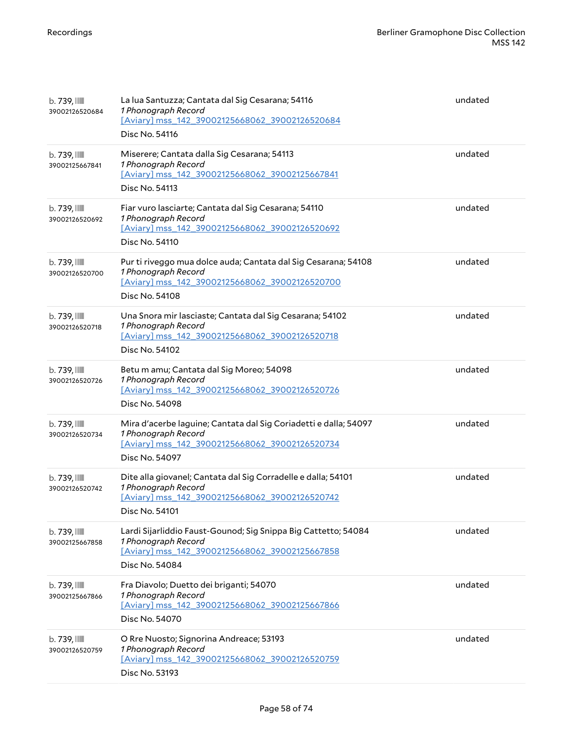| $b.739$ , $III$<br>39002126520684 | La lua Santuzza; Cantata dal Sig Cesarana; 54116<br>1 Phonograph Record<br>[Aviary] mss_142_39002125668062_39002126520684<br>Disc No. 54116                 | undated |
|-----------------------------------|-------------------------------------------------------------------------------------------------------------------------------------------------------------|---------|
| b. 739, IIII<br>39002125667841    | Miserere; Cantata dalla Sig Cesarana; 54113<br>1 Phonograph Record<br>[Aviary] mss_142_39002125668062_39002125667841<br>Disc No. 54113                      | undated |
| b. 739, IIII<br>39002126520692    | Fiar vuro lasciarte; Cantata dal Sig Cesarana; 54110<br>1 Phonograph Record<br>[Aviary] mss 142 39002125668062 39002126520692<br>Disc No. 54110             | undated |
| b. 739, IIII<br>39002126520700    | Pur ti riveggo mua dolce auda; Cantata dal Sig Cesarana; 54108<br>1 Phonograph Record<br>[Aviary] mss_142_39002125668062_39002126520700<br>Disc No. 54108   | undated |
| b. 739, III<br>39002126520718     | Una Snora mir lasciaste; Cantata dal Sig Cesarana; 54102<br>1 Phonograph Record<br>[Aviary] mss_142_39002125668062_39002126520718<br>Disc No. 54102         | undated |
| b. 739, IIII<br>39002126520726    | Betu m amu; Cantata dal Sig Moreo; 54098<br>1 Phonograph Record<br>[Aviary] mss_142_39002125668062_39002126520726<br>Disc No. 54098                         | undated |
| b. 739, IIII<br>39002126520734    | Mira d'acerbe laguine; Cantata dal Sig Coriadetti e dalla; 54097<br>1 Phonograph Record<br>[Aviary] mss_142_39002125668062_39002126520734<br>Disc No. 54097 | undated |
| b. 739, IIII<br>39002126520742    | Dite alla giovanel; Cantata dal Sig Corradelle e dalla; 54101<br>1 Phonograph Record<br>[Aviary] mss_142_39002125668062_39002126520742<br>Disc No. 54101    | undated |
| b. 739, III<br>39002125667858     | Lardi Sijarliddio Faust-Gounod; Sig Snippa Big Cattetto; 54084<br>1 Phonograph Record<br>[Aviary] mss_142_39002125668062_39002125667858<br>Disc No. 54084   | undated |
| b. 739, IIII<br>39002125667866    | Fra Diavolo; Duetto dei briganti; 54070<br>1 Phonograph Record<br>[Aviary] mss_142_39002125668062_39002125667866<br>Disc No. 54070                          | undated |
| b. 739, IIII<br>39002126520759    | O Rre Nuosto; Signorina Andreace; 53193<br>1 Phonograph Record<br>[Aviary] mss_142_39002125668062_39002126520759<br>Disc No. 53193                          | undated |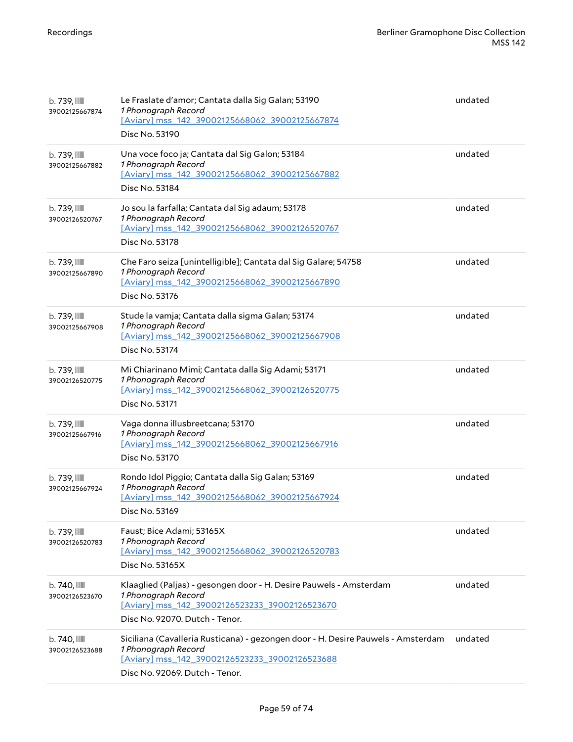| $b.739$ , $\blacksquare$<br>39002125667874 | Le Fraslate d'amor; Cantata dalla Sig Galan; 53190<br>1 Phonograph Record<br>[Aviary] mss_142_39002125668062_39002125667874<br>Disc No. 53190                                               | undated |
|--------------------------------------------|---------------------------------------------------------------------------------------------------------------------------------------------------------------------------------------------|---------|
| b. 739, IIII<br>39002125667882             | Una voce foco ja; Cantata dal Sig Galon; 53184<br>1 Phonograph Record<br>[Aviary] mss_142_39002125668062_39002125667882<br>Disc No. 53184                                                   | undated |
| $b.739$ , $\blacksquare$<br>39002126520767 | Jo sou la farfalla; Cantata dal Sig adaum; 53178<br>1 Phonograph Record<br>[Aviary] mss 142 39002125668062 39002126520767<br>Disc No. 53178                                                 | undated |
| $b.739$ , $III$<br>39002125667890          | Che Faro seiza [unintelligible]; Cantata dal Sig Galare; 54758<br>1 Phonograph Record<br>[Aviary] mss_142_39002125668062_39002125667890<br>Disc No. 53176                                   | undated |
| b. 739, IIII<br>39002125667908             | Stude la vamja; Cantata dalla sigma Galan; 53174<br>1 Phonograph Record<br>[Aviary] mss_142_39002125668062_39002125667908<br>Disc No. 53174                                                 | undated |
| $b.739$ , $\blacksquare$<br>39002126520775 | Mi Chiarinano Mimi; Cantata dalla Sig Adami; 53171<br>1 Phonograph Record<br>[Aviary] mss_142_39002125668062_39002126520775<br>Disc No. 53171                                               | undated |
| $b.739$ , $\blacksquare$<br>39002125667916 | Vaga donna illusbreetcana; 53170<br>1 Phonograph Record<br>[Aviary] mss_142_39002125668062_39002125667916<br>Disc No. 53170                                                                 | undated |
| b. 739, IIII<br>39002125667924             | Rondo Idol Piggio; Cantata dalla Sig Galan; 53169<br>1 Phonograph Record<br>[Aviary] mss_142_39002125668062_39002125667924<br>Disc No. 53169                                                | undated |
| $b.739$ , $\blacksquare$<br>39002126520783 | Faust; Bice Adami; 53165X<br>1 Phonograph Record<br>[Aviary] mss_142_39002125668062_39002126520783<br>Disc No. 53165X                                                                       | undated |
| $b.740$ , $III$<br>39002126523670          | Klaaglied (Paljas) - gesongen door - H. Desire Pauwels - Amsterdam<br>1 Phonograph Record<br>[Aviary] mss_142_39002126523233_39002126523670<br>Disc No. 92070. Dutch - Tenor.               | undated |
| $b.740$ , $III$<br>39002126523688          | Siciliana (Cavalleria Rusticana) - gezongen door - H. Desire Pauwels - Amsterdam<br>1 Phonograph Record<br>[Aviary] mss_142_39002126523233_39002126523688<br>Disc No. 92069. Dutch - Tenor. | undated |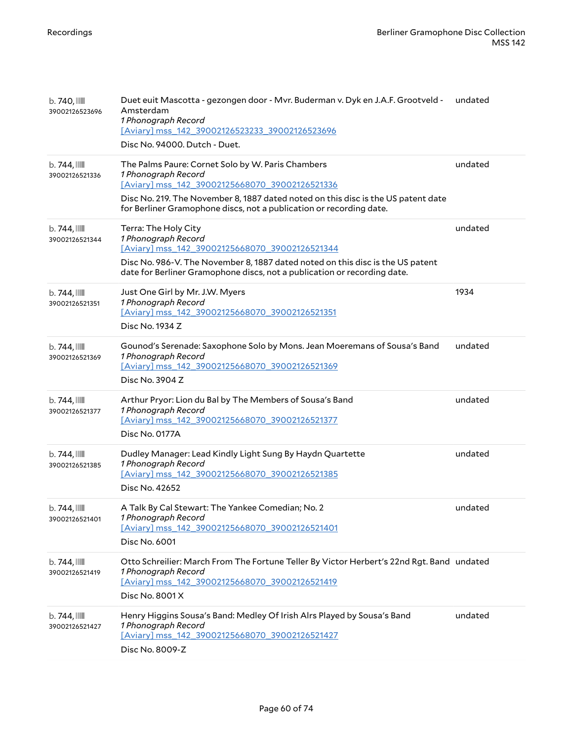| b. 740, III<br>39002126523696              | Duet euit Mascotta - gezongen door - Mvr. Buderman v. Dyk en J.A.F. Grootveld -<br>Amsterdam<br>1 Phonograph Record<br>[Aviary] mss_142_39002126523233_39002126523696<br>Disc No. 94000. Dutch - Duet.                                                                                 | undated |
|--------------------------------------------|----------------------------------------------------------------------------------------------------------------------------------------------------------------------------------------------------------------------------------------------------------------------------------------|---------|
| $b.744$ , $\blacksquare$<br>39002126521336 | The Palms Paure: Cornet Solo by W. Paris Chambers<br>1 Phonograph Record<br>[Aviary] mss 142 39002125668070 39002126521336<br>Disc No. 219. The November 8, 1887 dated noted on this disc is the US patent date<br>for Berliner Gramophone discs, not a publication or recording date. | undated |
| b.744,<br>39002126521344                   | Terra: The Holy City<br>1 Phonograph Record<br>[Aviary] mss 142 39002125668070 39002126521344<br>Disc No. 986-V. The November 8, 1887 dated noted on this disc is the US patent<br>date for Berliner Gramophone discs, not a publication or recording date.                            | undated |
| $b.744$ ,<br>39002126521351                | Just One Girl by Mr. J.W. Myers<br>1 Phonograph Record<br>[Aviary] mss 142 39002125668070 39002126521351<br>Disc No. 1934 Z                                                                                                                                                            | 1934    |
| $b.744$ ,<br>39002126521369                | Gounod's Serenade: Saxophone Solo by Mons. Jean Moeremans of Sousa's Band<br>1 Phonograph Record<br>[Aviary] mss_142_39002125668070_39002126521369<br>Disc No. 3904 Z                                                                                                                  | undated |
| $b.744$ , $\blacksquare$<br>39002126521377 | Arthur Pryor: Lion du Bal by The Members of Sousa's Band<br>1 Phonograph Record<br>[Aviary] mss_142_39002125668070_39002126521377<br>Disc No. 0177A                                                                                                                                    | undated |
| $b.744$ , $\blacksquare$<br>39002126521385 | Dudley Manager: Lead Kindly Light Sung By Haydn Quartette<br>1 Phonograph Record<br>[Aviary] mss_142_39002125668070_39002126521385<br>Disc No. 42652                                                                                                                                   | undated |
| b.744,<br>39002126521401                   | A Talk By Cal Stewart: The Yankee Comedian; No. 2<br>1 Phonograph Record<br>[Aviary] mss_142_39002125668070_39002126521401<br>Disc No. 6001                                                                                                                                            | undated |
| $b.744$ , $\blacksquare$<br>39002126521419 | Otto Schreilier: March From The Fortune Teller By Victor Herbert's 22nd Rgt. Band undated<br>1 Phonograph Record<br>[Aviary] mss_142_39002125668070_39002126521419<br>Disc No. 8001 X                                                                                                  |         |
| $b.744$ , $\blacksquare$<br>39002126521427 | Henry Higgins Sousa's Band: Medley Of Irish Alrs Played by Sousa's Band<br>1 Phonograph Record<br>[Aviary] mss 142 39002125668070 39002126521427<br>Disc No. 8009-Z                                                                                                                    | undated |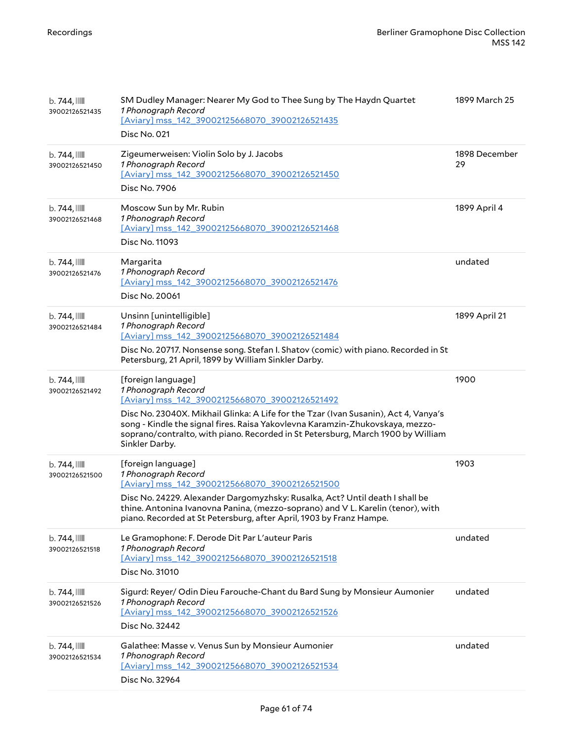| $b.744$ , $\blacksquare$<br>39002126521435 | SM Dudley Manager: Nearer My God to Thee Sung by The Haydn Quartet<br>1 Phonograph Record<br>[Aviary] mss_142_39002125668070_39002126521435<br>Disc No. 021                                                                                                                                                                                                              | 1899 March 25       |
|--------------------------------------------|--------------------------------------------------------------------------------------------------------------------------------------------------------------------------------------------------------------------------------------------------------------------------------------------------------------------------------------------------------------------------|---------------------|
| $b.744$ , $\blacksquare$<br>39002126521450 | Zigeumerweisen: Violin Solo by J. Jacobs<br>1 Phonograph Record<br>[Aviary] mss 142 39002125668070 39002126521450<br>Disc No. 7906                                                                                                                                                                                                                                       | 1898 December<br>29 |
| $b.744$ , $\blacksquare$<br>39002126521468 | Moscow Sun by Mr. Rubin<br>1 Phonograph Record<br>[Aviary] mss_142_39002125668070_39002126521468<br>Disc No. 11093                                                                                                                                                                                                                                                       | 1899 April 4        |
| b.744,<br>39002126521476                   | Margarita<br>1 Phonograph Record<br>[Aviary] mss_142_39002125668070_39002126521476<br>Disc No. 20061                                                                                                                                                                                                                                                                     | undated             |
| $b.744$ , $\blacksquare$<br>39002126521484 | Unsinn [unintelligible]<br>1 Phonograph Record<br>[Aviary] mss_142_39002125668070_39002126521484<br>Disc No. 20717. Nonsense song. Stefan I. Shatov (comic) with piano. Recorded in St<br>Petersburg, 21 April, 1899 by William Sinkler Darby.                                                                                                                           | 1899 April 21       |
| b.744,<br>39002126521492                   | [foreign language]<br>1 Phonograph Record<br>[Aviary] mss 142 39002125668070 39002126521492<br>Disc No. 23040X. Mikhail Glinka: A Life for the Tzar (Ivan Susanin), Act 4, Vanya's<br>song - Kindle the signal fires. Raisa Yakovlevna Karamzin-Zhukovskaya, mezzo-<br>soprano/contralto, with piano. Recorded in St Petersburg, March 1900 by William<br>Sinkler Darby. | 1900                |
| $b.744$ , $\blacksquare$<br>39002126521500 | [foreign language]<br>1 Phonograph Record<br>[Aviary] mss 142 39002125668070 39002126521500<br>Disc No. 24229. Alexander Dargomyzhsky: Rusalka, Act? Until death I shall be<br>thine. Antonina Ivanovna Panina, (mezzo-soprano) and VL. Karelin (tenor), with<br>piano. Recorded at St Petersburg, after April, 1903 by Franz Hampe.                                     | 1903                |
| b.744,<br>39002126521518                   | Le Gramophone: F. Derode Dit Par L'auteur Paris<br>1 Phonograph Record<br>[Aviary] mss_142_39002125668070_39002126521518<br>Disc No. 31010                                                                                                                                                                                                                               | undated             |
| b.744,<br>39002126521526                   | Sigurd: Reyer/ Odin Dieu Farouche-Chant du Bard Sung by Monsieur Aumonier<br>1 Phonograph Record<br>[Aviary] mss 142 39002125668070 39002126521526<br>Disc No. 32442                                                                                                                                                                                                     | undated             |
| $b.744$ , $\blacksquare$<br>39002126521534 | Galathee: Masse v. Venus Sun by Monsieur Aumonier<br>1 Phonograph Record<br>[Aviary] mss_142_39002125668070_39002126521534<br>Disc No. 32964                                                                                                                                                                                                                             | undated             |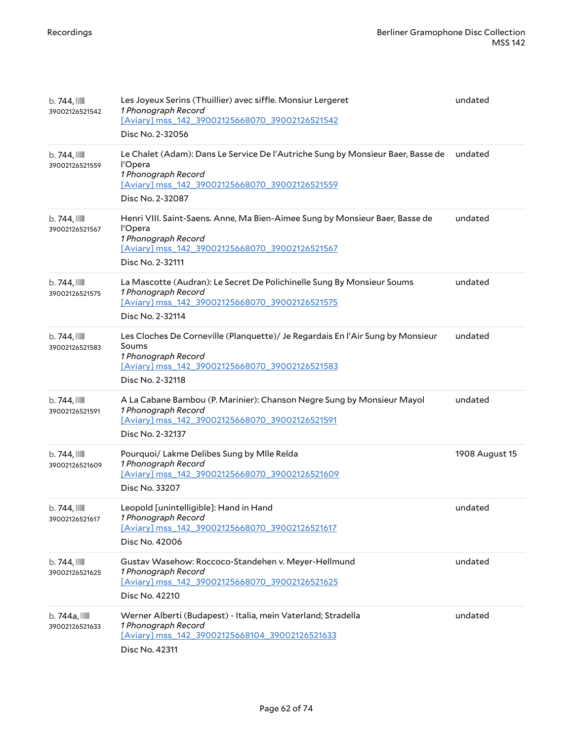| $b.744$ , $\blacksquare$<br>39002126521542 | Les Joyeux Serins (Thuillier) avec siffle. Monsiur Lergeret<br>1 Phonograph Record<br>[Aviary] mss_142_39002125668070_39002126521542<br>Disc No. 2-32056                                | undated        |
|--------------------------------------------|-----------------------------------------------------------------------------------------------------------------------------------------------------------------------------------------|----------------|
| b.744,<br>39002126521559                   | Le Chalet (Adam): Dans Le Service De l'Autriche Sung by Monsieur Baer, Basse de<br>l'Opera<br>1 Phonograph Record<br>[Aviary] mss_142_39002125668070_39002126521559<br>Disc No. 2-32087 | undated        |
| b.744,<br>39002126521567                   | Henri VIII. Saint-Saens. Anne, Ma Bien-Aimee Sung by Monsieur Baer, Basse de<br>l'Opera<br>1 Phonograph Record<br>[Aviary] mss_142_39002125668070_39002126521567<br>Disc No. 2-32111    | undated        |
| b.744,<br>39002126521575                   | La Mascotte (Audran): Le Secret De Polichinelle Sung By Monsieur Soums<br>1 Phonograph Record<br>[Aviary] mss 142 39002125668070 39002126521575<br>Disc No. 2-32114                     | undated        |
| b.744,<br>39002126521583                   | Les Cloches De Corneville (Planquette)/ Je Regardais En l'Air Sung by Monsieur<br>Soums<br>1 Phonograph Record<br>[Aviary] mss_142_39002125668070_39002126521583<br>Disc No. 2-32118    | undated        |
| $b.744$ , $\blacksquare$<br>39002126521591 | A La Cabane Bambou (P. Marinier): Chanson Negre Sung by Monsieur Mayol<br>1 Phonograph Record<br>[Aviary] mss_142_39002125668070_39002126521591<br>Disc No. 2-32137                     | undated        |
| $b.744$ , $\blacksquare$<br>39002126521609 | Pourquoi/ Lakme Delibes Sung by Mlle Relda<br>1 Phonograph Record<br>[Aviary] mss_142_39002125668070_39002126521609<br>Disc No. 33207                                                   | 1908 August 15 |
| $b.744$ , $\blacksquare$<br>39002126521617 | Leopold [unintelligible]: Hand in Hand<br>1 Phonograph Record<br>[Aviary] mss 142 39002125668070 39002126521617<br>Disc No. 42006                                                       | undated        |
| b. 744, IIII<br>39002126521625             | Gustav Wasehow: Roccoco-Standehen v. Meyer-Hellmund<br>1 Phonograph Record<br>[Aviary] mss 142 39002125668070 39002126521625<br>Disc No. 42210                                          | undated        |
| b. 744a, III<br>39002126521633             | Werner Alberti (Budapest) - Italia, mein Vaterland; Stradella<br>1 Phonograph Record<br>[Aviary] mss_142_39002125668104_39002126521633<br>Disc No. 42311                                | undated        |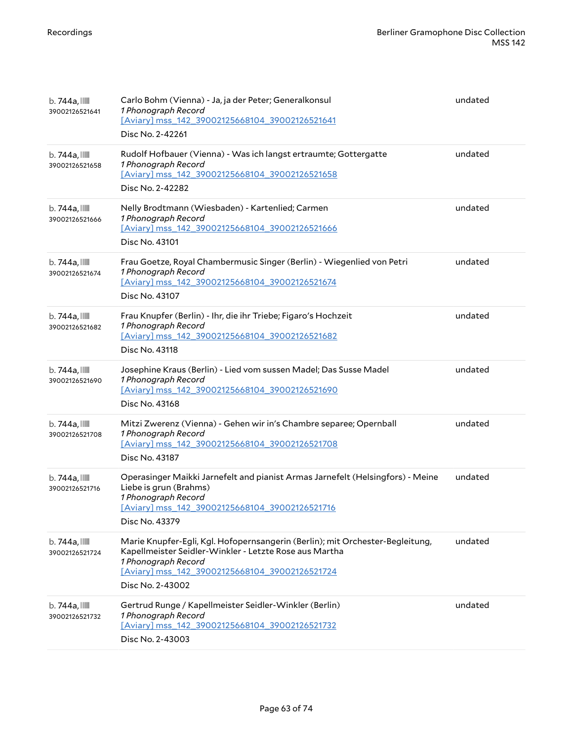| $b.744a$ , $\blacksquare$<br>39002126521641 | Carlo Bohm (Vienna) - Ja, ja der Peter; Generalkonsul<br>1 Phonograph Record<br>[Aviary] mss_142_39002125668104_39002126521641<br>Disc No. 2-42261                                                                                   | undated |
|---------------------------------------------|--------------------------------------------------------------------------------------------------------------------------------------------------------------------------------------------------------------------------------------|---------|
| b. 744a, IIII<br>39002126521658             | Rudolf Hofbauer (Vienna) - Was ich langst ertraumte; Gottergatte<br>1 Phonograph Record<br>[Aviary] mss_142_39002125668104_39002126521658<br>Disc No. 2-42282                                                                        | undated |
| b. 744a, IIII<br>39002126521666             | Nelly Brodtmann (Wiesbaden) - Kartenlied; Carmen<br>1 Phonograph Record<br>[Aviary] mss_142_39002125668104_39002126521666<br>Disc No. 43101                                                                                          | undated |
| b. 744a, IIII<br>39002126521674             | Frau Goetze, Royal Chambermusic Singer (Berlin) - Wiegenlied von Petri<br>1 Phonograph Record<br>[Aviary] mss_142_39002125668104_39002126521674<br>Disc No. 43107                                                                    | undated |
| b. 744a, IIII<br>39002126521682             | Frau Knupfer (Berlin) - Ihr, die ihr Triebe; Figaro's Hochzeit<br>1 Phonograph Record<br>[Aviary] mss 142 39002125668104 39002126521682<br>Disc No. 43118                                                                            | undated |
| b. 744a, IIII<br>39002126521690             | Josephine Kraus (Berlin) - Lied vom sussen Madel; Das Susse Madel<br>1 Phonograph Record<br>[Aviary] mss_142_39002125668104_39002126521690<br>Disc No. 43168                                                                         | undated |
| b. 744a, IIII<br>39002126521708             | Mitzi Zwerenz (Vienna) - Gehen wir in's Chambre separee; Opernball<br>1 Phonograph Record<br>[Aviary] mss_142_39002125668104_39002126521708<br>Disc No. 43187                                                                        | undated |
| b. 744a, IIII<br>39002126521716             | Operasinger Maikki Jarnefelt and pianist Armas Jarnefelt (Helsingfors) - Meine<br>Liebe is grun (Brahms)<br>1 Phonograph Record<br>[Aviary] mss_142_39002125668104_39002126521716<br>Disc No. 43379                                  | undated |
| b. 744a, IIII<br>39002126521724             | Marie Knupfer-Egli, Kgl. Hofopernsangerin (Berlin); mit Orchester-Begleitung,<br>Kapellmeister Seidler-Winkler - Letzte Rose aus Martha<br>1 Phonograph Record<br>[Aviary] mss_142_39002125668104_39002126521724<br>Disc No. 2-43002 | undated |
| b. 744a, III<br>39002126521732              | Gertrud Runge / Kapellmeister Seidler-Winkler (Berlin)<br>1 Phonograph Record<br>[Aviary] mss 142 39002125668104 39002126521732<br>Disc No. 2-43003                                                                                  | undated |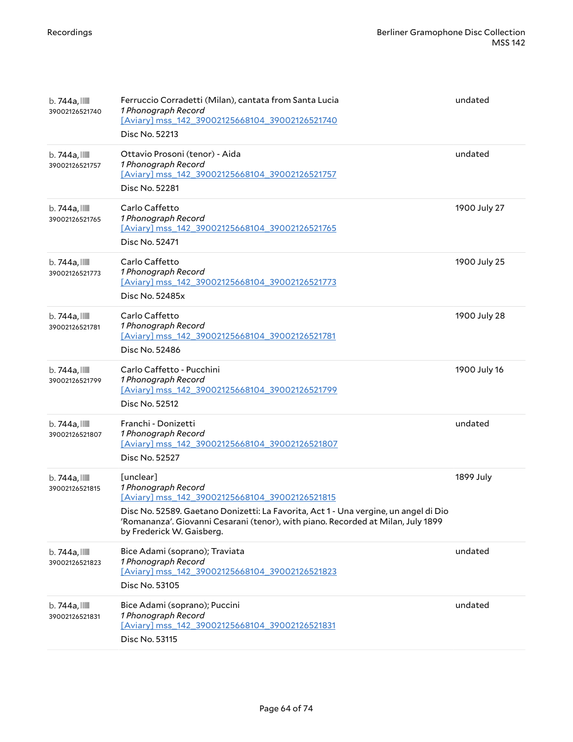| $b.744a$ , $\blacksquare$<br>39002126521740 | Ferruccio Corradetti (Milan), cantata from Santa Lucia<br>1 Phonograph Record<br>[Aviary] mss_142_39002125668104_39002126521740<br>Disc No. 52213                                                                                                                                           | undated      |
|---------------------------------------------|---------------------------------------------------------------------------------------------------------------------------------------------------------------------------------------------------------------------------------------------------------------------------------------------|--------------|
| b. 744a, IIII<br>39002126521757             | Ottavio Prosoni (tenor) - Aida<br>1 Phonograph Record<br>[Aviary] mss_142_39002125668104_39002126521757<br>Disc No. 52281                                                                                                                                                                   | undated      |
| $b.744a$ , $\blacksquare$<br>39002126521765 | Carlo Caffetto<br>1 Phonograph Record<br>[Aviary] mss 142 39002125668104 39002126521765<br>Disc No. 52471                                                                                                                                                                                   | 1900 July 27 |
| $b.744a$ , $\blacksquare$<br>39002126521773 | Carlo Caffetto<br>1 Phonograph Record<br>[Aviary] mss_142_39002125668104_39002126521773<br>Disc No. 52485x                                                                                                                                                                                  | 1900 July 25 |
| b. 744a, IIII<br>39002126521781             | Carlo Caffetto<br>1 Phonograph Record<br>[Aviary] mss 142 39002125668104 39002126521781<br>Disc No. 52486                                                                                                                                                                                   | 1900 July 28 |
| b. 744a, IIII<br>39002126521799             | Carlo Caffetto - Pucchini<br>1 Phonograph Record<br>[Aviary] mss 142 39002125668104 39002126521799<br>Disc No. 52512                                                                                                                                                                        | 1900 July 16 |
| b. 744a, IIII<br>39002126521807             | Franchi - Donizetti<br>1 Phonograph Record<br>[Aviary] mss_142_39002125668104_39002126521807<br>Disc No. 52527                                                                                                                                                                              | undated      |
| b. 744a, IIII<br>39002126521815             | [unclear]<br>1 Phonograph Record<br>[Aviary] mss 142 39002125668104 39002126521815<br>Disc No. 52589. Gaetano Donizetti: La Favorita, Act 1 - Una vergine, un angel di Dio<br>'Romananza'. Giovanni Cesarani (tenor), with piano. Recorded at Milan, July 1899<br>by Frederick W. Gaisberg. | 1899 July    |
| b. 744a, IIII<br>39002126521823             | Bice Adami (soprano); Traviata<br>1 Phonograph Record<br>[Aviary] mss_142_39002125668104_39002126521823<br>Disc No. 53105                                                                                                                                                                   | undated      |
| b. 744a, III<br>39002126521831              | Bice Adami (soprano); Puccini<br>1 Phonograph Record<br>[Aviary] mss_142_39002125668104_39002126521831<br>Disc No. 53115                                                                                                                                                                    | undated      |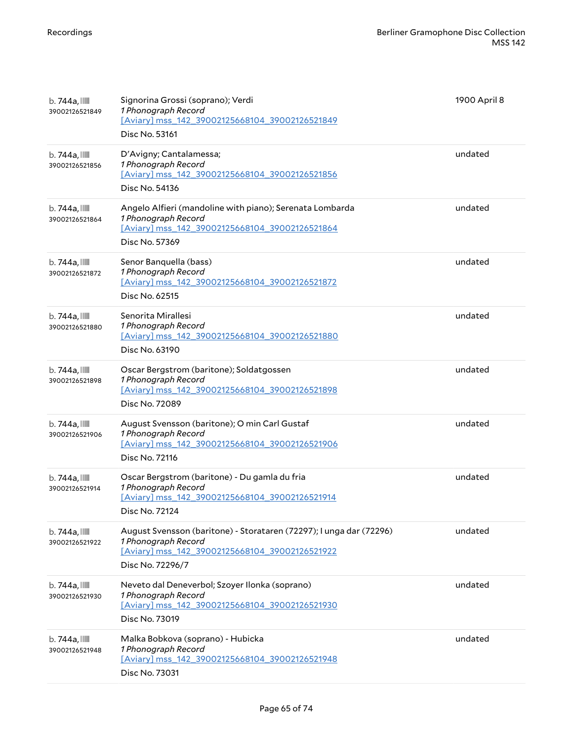| b. 744a, III<br>39002126521849              | Signorina Grossi (soprano); Verdi<br>1 Phonograph Record<br>[Aviary] mss_142_39002125668104_39002126521849<br>Disc No. 53161                                     | 1900 April 8 |
|---------------------------------------------|------------------------------------------------------------------------------------------------------------------------------------------------------------------|--------------|
| b. 744a, IIII<br>39002126521856             | D'Avigny; Cantalamessa;<br>1 Phonograph Record<br>[Aviary] mss_142_39002125668104_39002126521856<br>Disc No. 54136                                               | undated      |
| b. 744a, III<br>39002126521864              | Angelo Alfieri (mandoline with piano); Serenata Lombarda<br>1 Phonograph Record<br>[Aviary] mss_142_39002125668104_39002126521864<br>Disc No. 57369              | undated      |
| $b.744a$ , $\blacksquare$<br>39002126521872 | Senor Banquella (bass)<br>1 Phonograph Record<br>[Aviary] mss 142 39002125668104 39002126521872<br>Disc No. 62515                                                | undated      |
| b. 744a, III<br>39002126521880              | Senorita Mirallesi<br>1 Phonograph Record<br>[Aviary] mss_142_39002125668104_39002126521880<br>Disc No. 63190                                                    | undated      |
| $b.744a$ , $\blacksquare$<br>39002126521898 | Oscar Bergstrom (baritone); Soldatgossen<br>1 Phonograph Record<br>[Aviary] mss_142_39002125668104_39002126521898<br>Disc No. 72089                              | undated      |
| b. 744a, IIII<br>39002126521906             | August Svensson (baritone); O min Carl Gustaf<br>1 Phonograph Record<br>[Aviary] mss_142_39002125668104_39002126521906<br>Disc No. 72116                         | undated      |
| b. 744a, IIII<br>39002126521914             | Oscar Bergstrom (baritone) - Du gamla du fria<br>1 Phonograph Record<br>[Aviary] mss 142 39002125668104 39002126521914<br>Disc No. 72124                         | undated      |
| b. 744a, IIII<br>39002126521922             | August Svensson (baritone) - Storataren (72297); I unga dar (72296)<br>1 Phonograph Record<br>[Aviary] mss_142_39002125668104_39002126521922<br>Disc No. 72296/7 | undated      |
| b. 744a, III<br>39002126521930              | Neveto dal Deneverbol; Szoyer Ilonka (soprano)<br>1 Phonograph Record<br>[Aviary] mss 142 39002125668104 39002126521930<br>Disc No. 73019                        | undated      |
| b. 744a, III<br>39002126521948              | Malka Bobkova (soprano) - Hubicka<br>1 Phonograph Record<br>[Aviary] mss_142_39002125668104_39002126521948<br>Disc No. 73031                                     | undated      |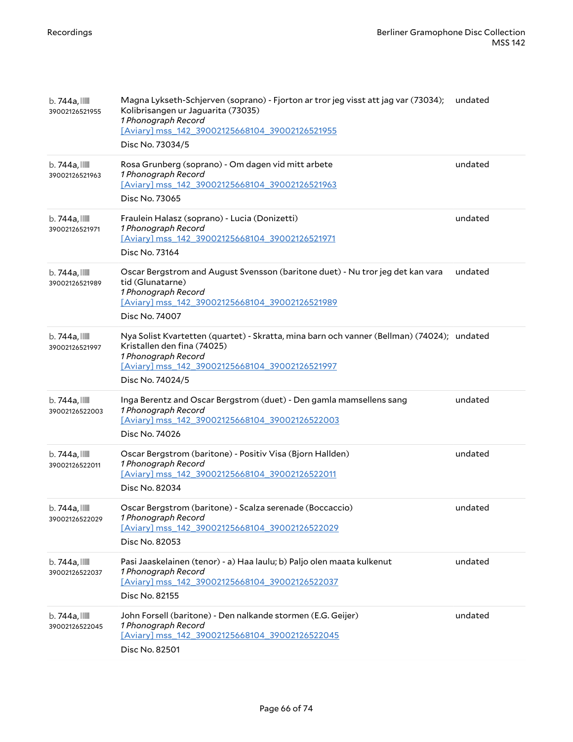| b. 744a, IIII<br>39002126521955             | Magna Lykseth-Schjerven (soprano) - Fjorton ar tror jeg visst att jag var (73034);<br>Kolibrisangen ur Jaguarita (73035)<br>1 Phonograph Record<br>[Aviary] mss_142_39002125668104_39002126521955<br>Disc No. 73034/5  | undated |
|---------------------------------------------|------------------------------------------------------------------------------------------------------------------------------------------------------------------------------------------------------------------------|---------|
| b. 744a, IIII<br>39002126521963             | Rosa Grunberg (soprano) - Om dagen vid mitt arbete<br>1 Phonograph Record<br>[Aviary] mss 142 39002125668104 39002126521963<br>Disc No. 73065                                                                          | undated |
| b. 744a, IIII<br>39002126521971             | Fraulein Halasz (soprano) - Lucia (Donizetti)<br>1 Phonograph Record<br>[Aviary] mss 142 39002125668104 39002126521971<br>Disc No. 73164                                                                               | undated |
| $b.744a$ , $\blacksquare$<br>39002126521989 | Oscar Bergstrom and August Svensson (baritone duet) - Nu tror jeg det kan vara<br>tid (Glunatarne)<br>1 Phonograph Record<br>[Aviary] mss_142_39002125668104_39002126521989<br>Disc No. 74007                          | undated |
| b. 744a, IIII<br>39002126521997             | Nya Solist Kvartetten (quartet) - Skratta, mina barn och vanner (Bellman) (74024); undated<br>Kristallen den fina (74025)<br>1 Phonograph Record<br>[Aviary] mss 142 39002125668104 39002126521997<br>Disc No. 74024/5 |         |
| $b.744a$ , $\blacksquare$<br>39002126522003 | Inga Berentz and Oscar Bergstrom (duet) - Den gamla mamsellens sang<br>1 Phonograph Record<br>[Aviary] mss_142_39002125668104_39002126522003<br>Disc No. 74026                                                         | undated |
| b. 744a, III<br>39002126522011              | Oscar Bergstrom (baritone) - Positiv Visa (Bjorn Hallden)<br>1 Phonograph Record<br>[Aviary] mss 142 39002125668104 39002126522011<br>Disc No. 82034                                                                   | undated |
| b. 744a, IIII<br>39002126522029             | Oscar Bergstrom (baritone) - Scalza serenade (Boccaccio)<br>1 Phonograph Record<br>[Aviary] mss 142 39002125668104 39002126522029<br>Disc No. 82053                                                                    | undated |
| b. 744a, IIII<br>39002126522037             | Pasi Jaaskelainen (tenor) - a) Haa laulu; b) Paljo olen maata kulkenut<br>1 Phonograph Record<br>[Aviary] mss_142_39002125668104_39002126522037<br>Disc No. 82155                                                      | undated |
| $b.744a$ , $\blacksquare$<br>39002126522045 | John Forsell (baritone) - Den nalkande stormen (E.G. Geijer)<br>1 Phonograph Record<br>[Aviary] mss_142_39002125668104_39002126522045<br>Disc No. 82501                                                                | undated |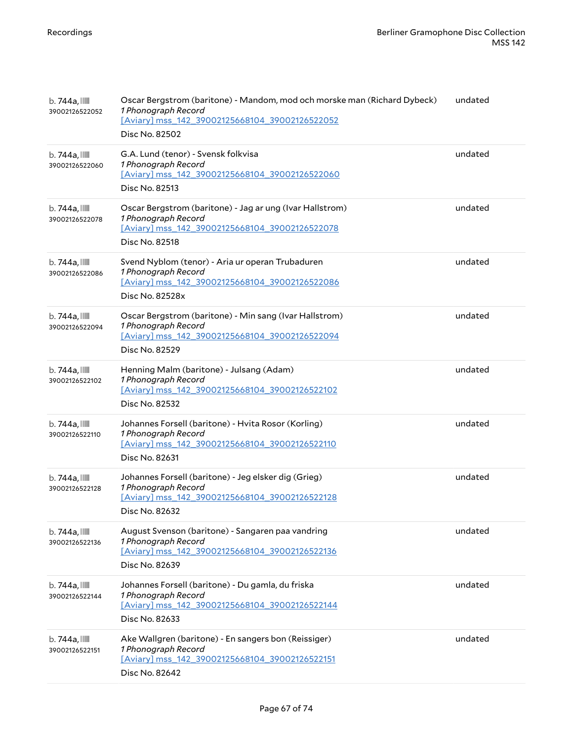| b. 744a, IIII<br>39002126522052             | Oscar Bergstrom (baritone) - Mandom, mod och morske man (Richard Dybeck)<br>1 Phonograph Record<br>[Aviary] mss 142 39002125668104 39002126522052<br>Disc No. 82502 | undated |
|---------------------------------------------|---------------------------------------------------------------------------------------------------------------------------------------------------------------------|---------|
| $b.744a$ , $\blacksquare$<br>39002126522060 | G.A. Lund (tenor) - Svensk folkvisa<br>1 Phonograph Record<br>[Aviary] mss 142 39002125668104 39002126522060<br>Disc No. 82513                                      | undated |
| b. 744a, IIII<br>39002126522078             | Oscar Bergstrom (baritone) - Jag ar ung (Ivar Hallstrom)<br>1 Phonograph Record<br>[Aviary] mss_142_39002125668104_39002126522078<br>Disc No. 82518                 | undated |
| b. 744a, IIII<br>39002126522086             | Svend Nyblom (tenor) - Aria ur operan Trubaduren<br>1 Phonograph Record<br>[Aviary] mss_142_39002125668104_39002126522086<br>Disc No. 82528x                        | undated |
| b. 744a, IIII<br>39002126522094             | Oscar Bergstrom (baritone) - Min sang (Ivar Hallstrom)<br>1 Phonograph Record<br>[Aviary] mss_142_39002125668104_39002126522094<br>Disc No. 82529                   | undated |
| b. 744a, IIII<br>39002126522102             | Henning Malm (baritone) - Julsang (Adam)<br>1 Phonograph Record<br>[Aviary] mss_142_39002125668104_39002126522102<br>Disc No. 82532                                 | undated |
| $b.744a$ , $\blacksquare$<br>39002126522110 | Johannes Forsell (baritone) - Hvita Rosor (Korling)<br>1 Phonograph Record<br>[Aviary] mss_142_39002125668104_39002126522110<br>Disc No. 82631                      | undated |
| $b.744a$ , $\blacksquare$<br>39002126522128 | Johannes Forsell (baritone) - Jeg elsker dig (Grieg)<br>1 Phonograph Record<br>[Aviary] mss_142_39002125668104_39002126522128<br>Disc No. 82632                     | undated |
| b. 744a, IIII<br>39002126522136             | August Svenson (baritone) - Sangaren paa vandring<br>1 Phonograph Record<br>[Aviary] mss 142 39002125668104 39002126522136<br>Disc No. 82639                        | undated |
| b. 744a, IIII<br>39002126522144             | Johannes Forsell (baritone) - Du gamla, du friska<br>1 Phonograph Record<br>[Aviary] mss 142 39002125668104 39002126522144<br>Disc No. 82633                        | undated |
| b. 744a, IIII<br>39002126522151             | Ake Wallgren (baritone) - En sangers bon (Reissiger)<br>1 Phonograph Record<br>[Aviary] mss_142_39002125668104_39002126522151<br>Disc No. 82642                     | undated |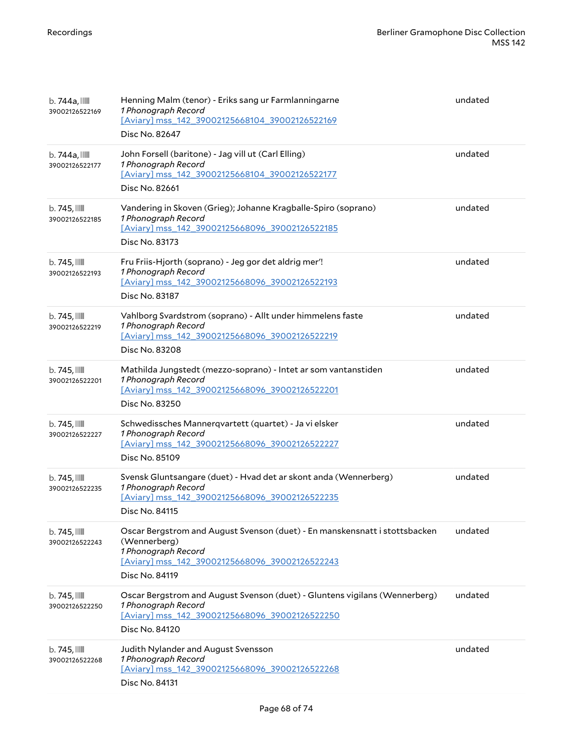| $b.744a$ , $\blacksquare$<br>39002126522169 | Henning Malm (tenor) - Eriks sang ur Farmlanningarne<br>1 Phonograph Record<br>[Aviary] mss_142_39002125668104_39002126522169<br>Disc No. 82647                                       | undated |
|---------------------------------------------|---------------------------------------------------------------------------------------------------------------------------------------------------------------------------------------|---------|
| b. 744a, IIII<br>39002126522177             | John Forsell (baritone) - Jag vill ut (Carl Elling)<br>1 Phonograph Record<br>[Aviary] mss_142_39002125668104_39002126522177<br>Disc No. 82661                                        | undated |
| $b.745$ , $III$<br>39002126522185           | Vandering in Skoven (Grieg); Johanne Kragballe-Spiro (soprano)<br>1 Phonograph Record<br>[Aviary] mss 142 39002125668096 39002126522185<br>Disc No. 83173                             | undated |
| $b.745$ , $\blacksquare$<br>39002126522193  | Fru Friis-Hjorth (soprano) - Jeg gor det aldrig mer'!<br>1 Phonograph Record<br>[Aviary] mss_142_39002125668096_39002126522193<br>Disc No. 83187                                      | undated |
| $b.745$ , $III$<br>39002126522219           | Vahlborg Svardstrom (soprano) - Allt under himmelens faste<br>1 Phonograph Record<br>[Aviary] mss 142 39002125668096 39002126522219<br>Disc No. 83208                                 | undated |
| $b.745$ , $\blacksquare$<br>39002126522201  | Mathilda Jungstedt (mezzo-soprano) - Intet ar som vantanstiden<br>1 Phonograph Record<br>[Aviary] mss_142_39002125668096_39002126522201<br>Disc No. 83250                             | undated |
| $b.745$ , $\blacksquare$<br>39002126522227  | Schwedissches Mannerqvartett (quartet) - Ja vi elsker<br>1 Phonograph Record<br>[Aviary] mss_142_39002125668096_39002126522227<br>Disc No. 85109                                      | undated |
| $b.745$ , $III$<br>39002126522235           | Svensk Gluntsangare (duet) - Hvad det ar skont anda (Wennerberg)<br>1 Phonograph Record<br>[Aviary] mss 142 39002125668096 39002126522235<br>Disc No. 84115                           | undated |
| $b.745$ , $\blacksquare$<br>39002126522243  | Oscar Bergstrom and August Svenson (duet) - En manskensnatt i stottsbacken<br>(Wennerberg)<br>1 Phonograph Record<br>[Aviary] mss_142_39002125668096_39002126522243<br>Disc No. 84119 | undated |
| $b.745$ , $III$<br>39002126522250           | Oscar Bergstrom and August Svenson (duet) - Gluntens vigilans (Wennerberg)<br>1 Phonograph Record<br>[Aviary] mss 142 39002125668096 39002126522250<br>Disc No. 84120                 | undated |
| $b.745$ , $\blacksquare$<br>39002126522268  | Judith Nylander and August Svensson<br>1 Phonograph Record<br>[Aviary] mss_142_39002125668096_39002126522268<br>Disc No. 84131                                                        | undated |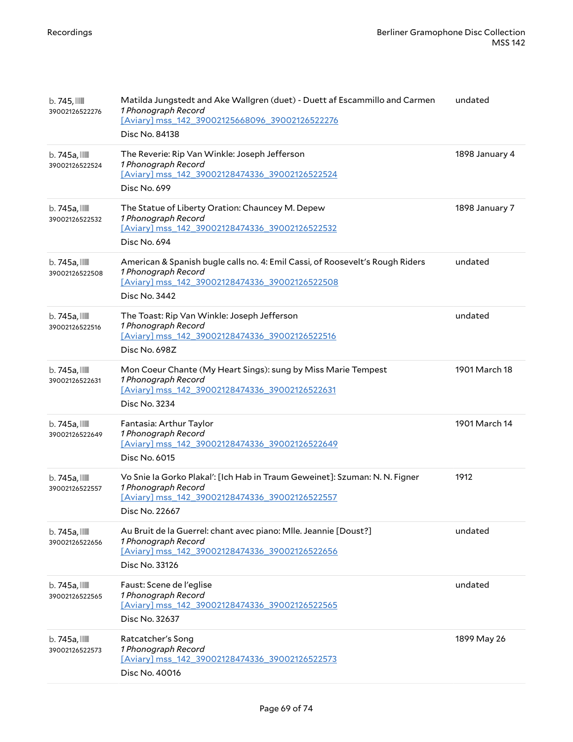| $b.745$ , $III$<br>39002126522276           | Matilda Jungstedt and Ake Wallgren (duet) - Duett af Escammillo and Carmen<br>1 Phonograph Record<br>[Aviary] mss_142_39002125668096_39002126522276<br>Disc No. 84138   | undated        |
|---------------------------------------------|-------------------------------------------------------------------------------------------------------------------------------------------------------------------------|----------------|
| $b.745a$ , $III$<br>39002126522524          | The Reverie: Rip Van Winkle: Joseph Jefferson<br>1 Phonograph Record<br>[Aviary] mss_142_39002128474336_39002126522524<br>Disc No. 699                                  | 1898 January 4 |
| $b.745a$ , $III$<br>39002126522532          | The Statue of Liberty Oration: Chauncey M. Depew<br>1 Phonograph Record<br>[Aviary] mss_142_39002128474336_39002126522532<br>Disc No. 694                               | 1898 January 7 |
| b. 745a, IIII<br>39002126522508             | American & Spanish bugle calls no. 4: Emil Cassi, of Roosevelt's Rough Riders<br>1 Phonograph Record<br>[Aviary] mss_142_39002128474336_39002126522508<br>Disc No. 3442 | undated        |
| $b.745a$ , $\blacksquare$<br>39002126522516 | The Toast: Rip Van Winkle: Joseph Jefferson<br>1 Phonograph Record<br>[Aviary] mss_142_39002128474336_39002126522516<br>Disc No. 698Z                                   | undated        |
| $b.745a$ , $\blacksquare$<br>39002126522631 | Mon Coeur Chante (My Heart Sings): sung by Miss Marie Tempest<br>1 Phonograph Record<br>[Aviary] mss 142 39002128474336 39002126522631<br>Disc No. 3234                 | 1901 March 18  |
| $b.745a$ , $III$<br>39002126522649          | Fantasia: Arthur Taylor<br>1 Phonograph Record<br>[Aviary] mss 142 39002128474336 39002126522649<br>Disc No. 6015                                                       | 1901 March 14  |
| $b.745a$ , $\blacksquare$<br>39002126522557 | Vo Snie la Gorko Plakal': [Ich Hab in Traum Geweinet]: Szuman: N. N. Figner<br>1 Phonograph Record<br>[Aviary] mss_142_39002128474336_39002126522557<br>Disc No. 22667  | 1912           |
| $b.745a$ , $III$<br>39002126522656          | Au Bruit de la Guerrel: chant avec piano: Mlle. Jeannie [Doust?]<br>1 Phonograph Record<br>[Aviary] mss_142_39002128474336_39002126522656<br>Disc No. 33126             | undated        |
| $b.745a$ , $III$<br>39002126522565          | Faust: Scene de l'eglise<br>1 Phonograph Record<br>[Aviary] mss_142_39002128474336_39002126522565<br>Disc No. 32637                                                     | undated        |
| $b.745a$ , $\blacksquare$<br>39002126522573 | Ratcatcher's Song<br>1 Phonograph Record<br>[Aviary] mss_142_39002128474336_39002126522573<br>Disc No. 40016                                                            | 1899 May 26    |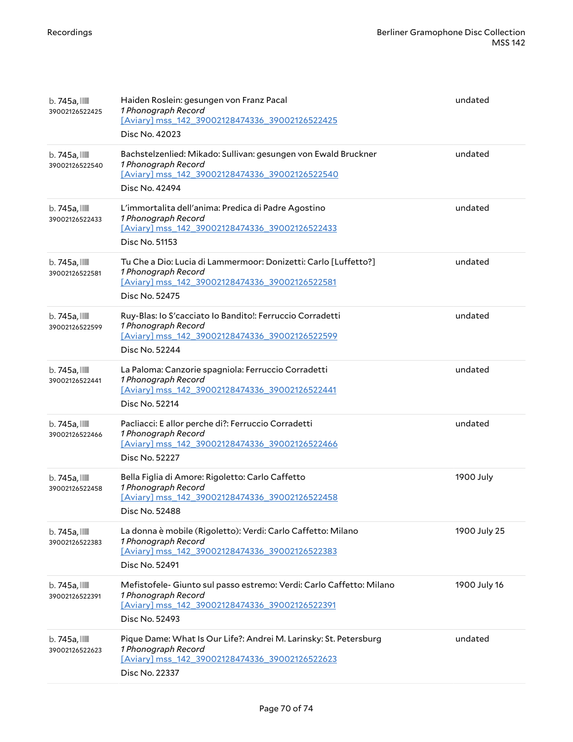| b. 745a, IIII<br>39002126522425             | Haiden Roslein: gesungen von Franz Pacal<br>1 Phonograph Record<br>[Aviary] mss_142_39002128474336_39002126522425<br>Disc No. 42023                             | undated      |
|---------------------------------------------|-----------------------------------------------------------------------------------------------------------------------------------------------------------------|--------------|
| b. 745a, IIII<br>39002126522540             | Bachstelzenlied: Mikado: Sullivan: gesungen von Ewald Bruckner<br>1 Phonograph Record<br>[Aviary] mss_142_39002128474336_39002126522540<br>Disc No. 42494       | undated      |
| b. 745a, IIII<br>39002126522433             | L'immortalita dell'anima: Predica di Padre Agostino<br>1 Phonograph Record<br>[Aviary] mss_142_39002128474336_39002126522433<br>Disc No. 51153                  | undated      |
| b. 745a, IIII<br>39002126522581             | Tu Che a Dio: Lucia di Lammermoor: Donizetti: Carlo [Luffetto?]<br>1 Phonograph Record<br>[Aviary] mss_142_39002128474336_39002126522581<br>Disc No. 52475      | undated      |
| b. 745a, IIII<br>39002126522599             | Ruy-Blas: lo S'cacciato lo Bandito!: Ferruccio Corradetti<br>1 Phonograph Record<br>[Aviary] mss_142_39002128474336_39002126522599<br>Disc No. 52244            | undated      |
| $b.745a$ , $\blacksquare$<br>39002126522441 | La Paloma: Canzorie spagniola: Ferruccio Corradetti<br>1 Phonograph Record<br>[Aviary] mss_142_39002128474336_39002126522441<br>Disc No. 52214                  | undated      |
| b. 745a, IIII<br>39002126522466             | Pacliacci: E allor perche di?: Ferruccio Corradetti<br>1 Phonograph Record<br>[Aviary] mss_142_39002128474336_39002126522466<br>Disc No. 52227                  | undated      |
| b. 745a, IIII<br>39002126522458             | Bella Figlia di Amore: Rigoletto: Carlo Caffetto<br>1 Phonograph Record<br>[Aviary] mss_142_39002128474336_39002126522458<br>Disc No. 52488                     | 1900 July    |
| b. 745a, IIII<br>39002126522383             | La donna è mobile (Rigoletto): Verdi: Carlo Caffetto: Milano<br>1 Phonograph Record<br>[Aviary] mss 142 39002128474336 39002126522383<br>Disc No. 52491         | 1900 July 25 |
| b. 745a, IIII<br>39002126522391             | Mefistofele- Giunto sul passo estremo: Verdi: Carlo Caffetto: Milano<br>1 Phonograph Record<br>[Aviary] mss 142 39002128474336 39002126522391<br>Disc No. 52493 | 1900 July 16 |
| b. 745a, IIII<br>39002126522623             | Pique Dame: What Is Our Life?: Andrei M. Larinsky: St. Petersburg<br>1 Phonograph Record<br>[Aviary] mss_142_39002128474336_39002126522623<br>Disc No. 22337    | undated      |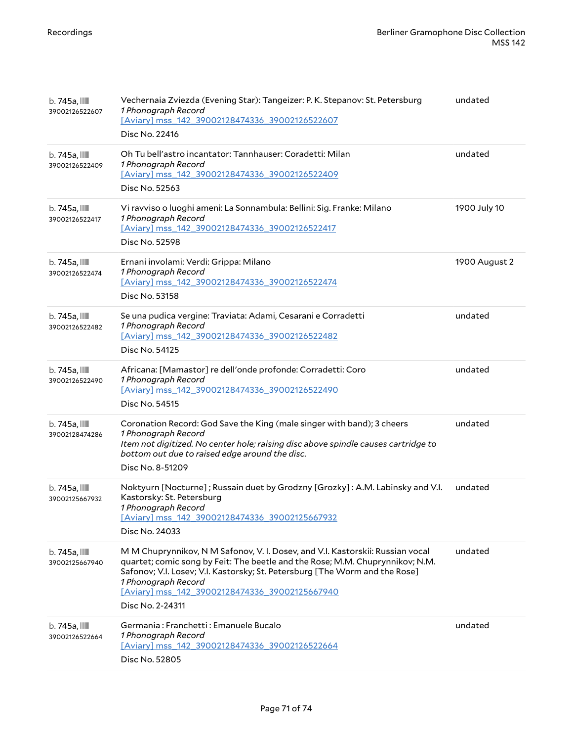| $b.745a$ ,<br>39002126522607    | Vechernaia Zviezda (Evening Star): Tangeizer: P. K. Stepanov: St. Petersburg<br>1 Phonograph Record<br>[Aviary] mss_142_39002128474336_39002126522607<br>Disc No. 22416                                                                                                                                                                     | undated       |
|---------------------------------|---------------------------------------------------------------------------------------------------------------------------------------------------------------------------------------------------------------------------------------------------------------------------------------------------------------------------------------------|---------------|
| b. 745a, IIII<br>39002126522409 | Oh Tu bell'astro incantator: Tannhauser: Coradetti: Milan<br>1 Phonograph Record<br>[Aviary] mss_142_39002128474336_39002126522409<br>Disc No. 52563                                                                                                                                                                                        | undated       |
| b. 745a, IIII<br>39002126522417 | Vi ravviso o luoghi ameni: La Sonnambula: Bellini: Sig. Franke: Milano<br>1 Phonograph Record<br>[Aviary] mss 142 39002128474336 39002126522417<br>Disc No. 52598                                                                                                                                                                           | 1900 July 10  |
| b. 745a, IIII<br>39002126522474 | Ernani involami: Verdi: Grippa: Milano<br>1 Phonograph Record<br>[Aviary] mss_142_39002128474336_39002126522474<br>Disc No. 53158                                                                                                                                                                                                           | 1900 August 2 |
| b. 745a, IIII<br>39002126522482 | Se una pudica vergine: Traviata: Adami, Cesarani e Corradetti<br>1 Phonograph Record<br>[Aviary] mss_142_39002128474336_39002126522482<br>Disc No. 54125                                                                                                                                                                                    | undated       |
| b. 745a, IIII<br>39002126522490 | Africana: [Mamastor] re dell'onde profonde: Corradetti: Coro<br>1 Phonograph Record<br>[Aviary] mss_142_39002128474336_39002126522490<br>Disc No. 54515                                                                                                                                                                                     | undated       |
| b. 745a, IIII<br>39002128474286 | Coronation Record: God Save the King (male singer with band); 3 cheers<br>1 Phonograph Record<br>Item not digitized. No center hole; raising disc above spindle causes cartridge to<br>bottom out due to raised edge around the disc.<br>Disc No. 8-51209                                                                                   | undated       |
| b. 745a, IIII<br>39002125667932 | Noktyurn [Nocturne]; Russain duet by Grodzny [Grozky]: A.M. Labinsky and V.I.<br>Kastorsky: St. Petersburg<br>1 Phonograph Record<br>[Aviary] mss 142 39002128474336 39002125667932<br>Disc No. 24033                                                                                                                                       | undated       |
| $b.745a$ ,<br>39002125667940    | M M Chuprynnikov, N M Safonov, V. I. Dosev, and V.I. Kastorskii: Russian vocal<br>quartet; comic song by Feit: The beetle and the Rose; M.M. Chuprynnikov; N.M.<br>Safonov; V.I. Losev; V.I. Kastorsky; St. Petersburg [The Worm and the Rose]<br>1 Phonograph Record<br>[Aviary] mss 142 39002128474336 39002125667940<br>Disc No. 2-24311 | undated       |
| b. 745a, IIII<br>39002126522664 | Germania: Franchetti: Emanuele Bucalo<br>1 Phonograph Record<br>[Aviary] mss_142_39002128474336_39002126522664<br>Disc No. 52805                                                                                                                                                                                                            | undated       |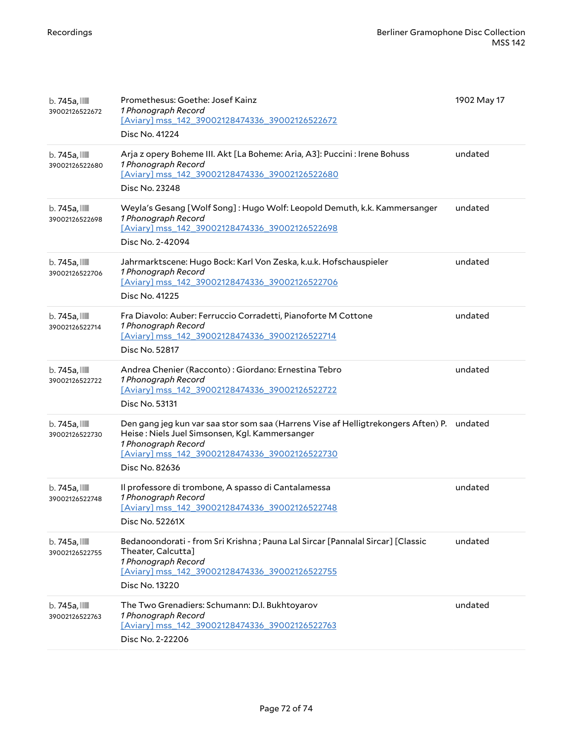| b. 745a, IIII<br>39002126522672 | Promethesus: Goethe: Josef Kainz<br>1 Phonograph Record<br>[Aviary] mss 142 39002128474336 39002126522672<br>Disc No. 41224                                                                                                    | 1902 May 17 |
|---------------------------------|--------------------------------------------------------------------------------------------------------------------------------------------------------------------------------------------------------------------------------|-------------|
| b. 745a, IIII<br>39002126522680 | Arja z opery Boheme III. Akt [La Boheme: Aria, A3]: Puccini : Irene Bohuss<br>1 Phonograph Record<br>[Aviary] mss_142_39002128474336_39002126522680<br>Disc No. 23248                                                          | undated     |
| b. 745a, IIII<br>39002126522698 | Weyla's Gesang [Wolf Song]: Hugo Wolf: Leopold Demuth, k.k. Kammersanger<br>1 Phonograph Record<br>[Aviary] mss_142_39002128474336_39002126522698<br>Disc No. 2-42094                                                          | undated     |
| b. 745a, IIII<br>39002126522706 | Jahrmarktscene: Hugo Bock: Karl Von Zeska, k.u.k. Hofschauspieler<br>1 Phonograph Record<br>[Aviary] mss_142_39002128474336_39002126522706<br>Disc No. 41225                                                                   | undated     |
| b. 745a, IIII<br>39002126522714 | Fra Diavolo: Auber: Ferruccio Corradetti, Pianoforte M Cottone<br>1 Phonograph Record<br>[Aviary] mss 142 39002128474336 39002126522714<br>Disc No. 52817                                                                      | undated     |
| b. 745a, IIII<br>39002126522722 | Andrea Chenier (Racconto): Giordano: Ernestina Tebro<br>1 Phonograph Record<br>[Aviary] mss 142 39002128474336 39002126522722<br>Disc No. 53131                                                                                | undated     |
| b. 745a, IIII<br>39002126522730 | Den gang jeg kun var saa stor som saa (Harrens Vise af Helligtrekongers Aften) P.<br>Heise: Niels Juel Simsonsen, Kgl. Kammersanger<br>1 Phonograph Record<br>[Aviary] mss_142_39002128474336_39002126522730<br>Disc No. 82636 | undated     |
| b. 745a, IIII<br>39002126522748 | Il professore di trombone, A spasso di Cantalamessa<br>1 Phonograph Record<br>[Aviary] mss_142_39002128474336_39002126522748<br>Disc No. 52261X                                                                                | undated     |
| b. 745a, IIII<br>39002126522755 | Bedanoondorati - from Sri Krishna; Pauna Lal Sircar [Pannalal Sircar] [Classic<br>Theater, Calcutta]<br>1 Phonograph Record<br>[Aviary] mss 142 39002128474336 39002126522755<br>Disc No. 13220                                | undated     |
| b. 745a, IIII<br>39002126522763 | The Two Grenadiers: Schumann: D.I. Bukhtoyarov<br>1 Phonograph Record<br>[Aviary] mss_142_39002128474336_39002126522763<br>Disc No. 2-22206                                                                                    | undated     |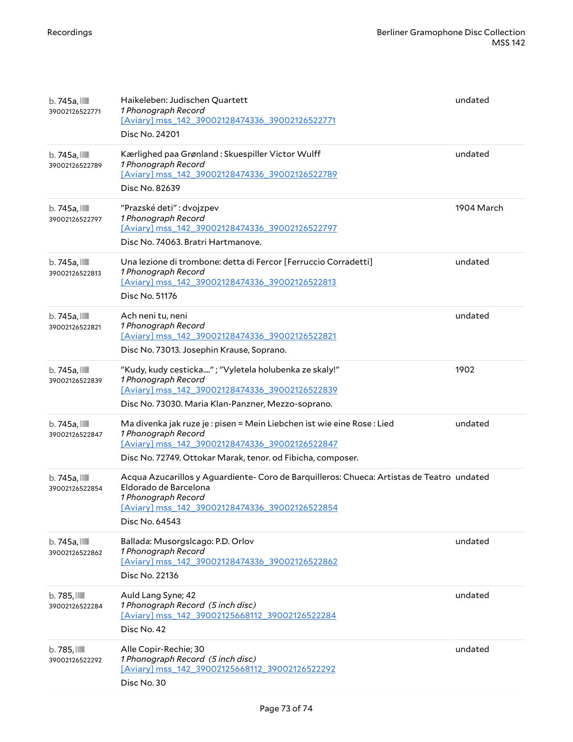| b. 745a, IIII<br>39002126522771             | Haikeleben: Judischen Quartett<br>1 Phonograph Record<br>[Aviary] mss_142_39002128474336_39002126522771<br>Disc No. 24201                                                                                       | undated    |
|---------------------------------------------|-----------------------------------------------------------------------------------------------------------------------------------------------------------------------------------------------------------------|------------|
| $b.745a$ , $III$<br>39002126522789          | Kærlighed paa Grønland: Skuespiller Victor Wulff<br>1 Phonograph Record<br>[Aviary] mss_142_39002128474336_39002126522789<br>Disc No. 82639                                                                     | undated    |
| $b.745a$ , $III$<br>39002126522797          | "Prazské deti": dvojzpev<br>1 Phonograph Record<br>[Aviary] mss 142 39002128474336 39002126522797<br>Disc No. 74063. Bratri Hartmanove.                                                                         | 1904 March |
| $b.745a$ , $\blacksquare$<br>39002126522813 | Una lezione di trombone: detta di Fercor [Ferruccio Corradetti]<br>1 Phonograph Record<br>[Aviary] mss_142_39002128474336_39002126522813<br>Disc No. 51176                                                      | undated    |
| b. 745a, IIII<br>39002126522821             | Ach neni tu, neni<br>1 Phonograph Record<br>[Aviary] mss 142 39002128474336 39002126522821<br>Disc No. 73013. Josephin Krause, Soprano.                                                                         | undated    |
| b. 745a, IIII<br>39002126522839             | "Kudy, kudy cesticka"; "Vyletela holubenka ze skaly!"<br>1 Phonograph Record<br>[Aviary] mss 142 39002128474336 39002126522839<br>Disc No. 73030. Maria Klan-Panzner, Mezzo-soprano.                            | 1902       |
| $b.745a$ , $III$<br>39002126522847          | Ma divenka jak ruze je : pisen = Mein Liebchen ist wie eine Rose : Lied<br>1 Phonograph Record<br>[Aviary] mss 142 39002128474336 39002126522847<br>Disc No. 72749. Ottokar Marak, tenor. od Fibicha, composer. | undated    |
| $b.745a$ , $\blacksquare$<br>39002126522854 | Acqua Azucarillos y Aguardiente- Coro de Barquilleros: Chueca: Artistas de Teatro undated<br>Eldorado de Barcelona<br>1 Phonograph Record<br>[Aviary] mss 142 39002128474336 39002126522854<br>Disc No. 64543   |            |
| $b.745a$ , $\blacksquare$<br>39002126522862 | Ballada: Musorgslcago: P.D. Orlov<br>1 Phonograph Record<br>[Aviary] mss_142_39002128474336_39002126522862<br>Disc No. 22136                                                                                    | undated    |
| $b.785$ , $III$<br>39002126522284           | Auld Lang Syne; 42<br>1 Phonograph Record (5 inch disc)<br>[Aviary] mss 142 39002125668112 39002126522284<br>Disc No. 42                                                                                        | undated    |
| $b.785$ , $III$<br>39002126522292           | Alle Copir-Rechie; 30<br>1 Phonograph Record (5 inch disc)<br>[Aviary] mss 142 39002125668112 39002126522292<br>Disc No. 30                                                                                     | undated    |